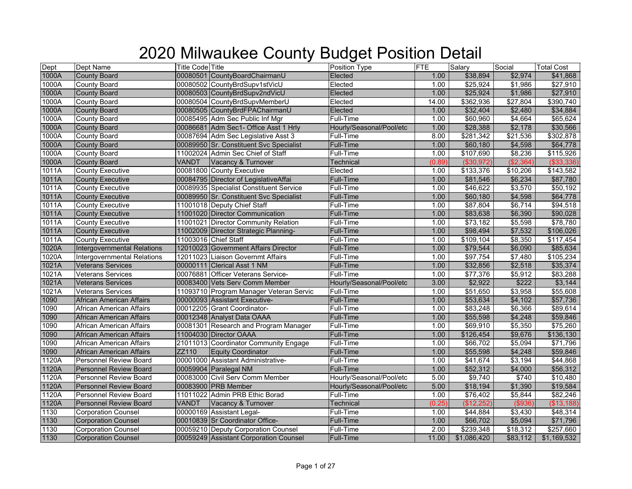| Dept  | Dept Name                          | <b>Title Code</b> Title |                                         | Position Type            | FTE    | Salary           | Social    | <b>Total Cost</b> |
|-------|------------------------------------|-------------------------|-----------------------------------------|--------------------------|--------|------------------|-----------|-------------------|
| 1000A | <b>County Board</b>                |                         | 00080501 CountyBoardChairmanU           | Elected                  | 1.00   | \$38,894         | \$2,974   | \$41,868          |
| 1000A | County Board                       |                         | 00080502 CountyBrdSupv1stVicU           | Elected                  | 1.00   | \$25,924         | \$1,986   | \$27,910          |
| 1000A | <b>County Board</b>                |                         | 00080503 CountyBrdSupv2ndVicU           | Elected                  | 1.00   | \$25,924         | \$1,986   | \$27,910          |
| 1000A | <b>County Board</b>                |                         | 00080504 CountyBrdSupvMemberU           | Elected                  | 14.00  | \$362,936        | \$27,804  | \$390,740         |
| 1000A | <b>County Board</b>                |                         | 00080505 CountyBrdFPAChairmanU          | Elected                  | 1.00   | \$32,404         | \$2,480   | \$34,884          |
| 1000A | County Board                       |                         | 00085495 Adm Sec Public Inf Mgr         | Full-Time                | 1.00   | \$60,960         | \$4,664   | \$65,624          |
| 1000A | <b>County Board</b>                |                         | 00086681 Adm Sec1- Office Asst 1 Hrly   | Hourly/Seasonal/Pool/etc | 1.00   | \$28,388         | \$2,178   | \$30,566          |
| 1000A | County Board                       |                         | 00087694 Adm Sec Legislative Asst 3     | Full-Time                | 8.00   | \$281,342        | \$21,536  | \$302,878         |
| 1000A | <b>County Board</b>                |                         | 00089950 Sr. Constituent Svc Specialist | Full-Time                | 1.00   | \$60,180         | \$4,598   | \$64,778          |
| 1000A | County Board                       |                         | 11002024 Admin Sec Chief of Staff       | Full-Time                | 1.00   | \$107,690        | \$8,236   | \$115,926         |
| 1000A | <b>County Board</b>                | VANDT                   | Vacancy & Turnover                      | Technical                | (0.89) | ( \$30, 972)     | (\$2,364) | ( \$33, 336)      |
| 1011A | County Executive                   |                         | 00081800 County Executive               | Elected                  | 1.00   | \$133,376        | \$10,206  | \$143,582         |
| 1011A | <b>County Executive</b>            |                         | 00084795 Director of LegislativeAffai   | <b>Full-Time</b>         | 1.00   | \$81,546         | \$6,234   | \$87,780          |
| 1011A | <b>County Executive</b>            |                         | 00089935 Specialist Constituent Service | Full-Time                | 1.00   | \$46,622         | \$3,570   | \$50,192          |
| 1011A | <b>County Executive</b>            |                         | 00089950 Sr. Constituent Svc Specialist | Full-Time                | 1.00   | \$60,180         | \$4,598   | \$64,778          |
| 1011A | County Executive                   |                         | 11001018 Deputy Chief Staff             | Full-Time                | 1.00   | \$87,804         | \$6,714   | \$94,518          |
| 1011A | <b>County Executive</b>            |                         | 11001020 Director Communication         | Full-Time                | 1.00   | \$83,638         | \$6,390   | \$90,028          |
| 1011A | <b>County Executive</b>            |                         | 11001021 Director Community Relation    | Full-Time                | 1.00   | \$73,182         | \$5,598   | \$78,780          |
| 1011A | <b>County Executive</b>            |                         | 11002009 Director Strategic Planning-   | Full-Time                | 1.00   | \$98,494         | \$7,532   | \$106,026         |
| 1011A | <b>County Executive</b>            |                         | 11003016 Chief Staff                    | Full-Time                | 1.00   | \$109,104        | \$8,350   | \$117,454         |
| 1020A | <b>Intergovernmental Relations</b> |                         | 12010023 Government Affairs Director    | <b>Full-Time</b>         | 1.00   | \$79,544         | \$6,090   | \$85,634          |
| 1020A | <b>Intergovernmental Relations</b> |                         | 12011023 Liaison Governmt Affairs       | Full-Time                | 1.00   | \$97,754         | \$7,480   | \$105,234         |
| 1021A | Veterans Services                  |                         | 00000111 Clerical Asst 1 NM             | Full-Time                | 1.00   | \$32,856         | \$2,518   | \$35,374          |
| 1021A | <b>Veterans Services</b>           |                         | 00076881 Officer Veterans Service-      | Full-Time                | 1.00   | \$77,376         | \$5,912   | \$83,288          |
| 1021A | <b>Veterans Services</b>           |                         | 00083400 Vets Serv Comm Member          | Hourly/Seasonal/Pool/etc | 3.00   | \$2,922          | \$222     | \$3,144           |
| 1021A | <b>Veterans Services</b>           |                         | 11093710 Program Manager Veteran Servic | Full-Time                | 1.00   | \$51,650         | \$3,958   | \$55,608          |
| 1090  | African American Affairs           |                         | 00000093 Assistant Executive-           | <b>Full-Time</b>         | 1.00   | \$53,634         | \$4,102   | \$57,736          |
| 1090  | African American Affairs           |                         | 00012205 Grant Coordinator-             | Full-Time                | 1.00   | \$83,248         | \$6,366   | \$89,614          |
| 1090  | African American Affairs           |                         | 00012348 Analyst Data OAAA              | Full-Time                | 1.00   | \$55,598         | \$4,248   | \$59,846          |
| 1090  | African American Affairs           |                         | 00081301 Research and Program Manager   | Full-Time                | 1.00   | \$69,910         | \$5,350   | \$75,260          |
| 1090  | African American Affairs           |                         | 11004030 Director OAAA                  | <b>Full-Time</b>         | 1.00   | \$126,454        | \$9,676   | \$136,130         |
| 1090  | African American Affairs           |                         | 21011013 Coordinator Community Engage   | Full-Time                | 1.00   | \$66,702         | \$5,094   | \$71,796          |
| 1090  | African American Affairs           | ZZ110                   | <b>Equity Coordinator</b>               | Full-Time                | 1.00   | \$55,598         | \$4,248   | \$59,846          |
| 1120A | <b>Personnel Review Board</b>      |                         | 00001000 Assistant Administrative-      | Full-Time                | 1.00   | $\sqrt{$41,674}$ | \$3,194   | \$44,868          |
| 1120A | <b>Personnel Review Board</b>      |                         | 00059904 Paralegal NM                   | Full-Time                | 1.00   | \$52,312         | \$4,000   | \$56,312          |
| 1120A | <b>Personnel Review Board</b>      |                         | 00083000 Civil Serv Comm Member         | Hourly/Seasonal/Pool/etc | 5.00   | \$9,740          | \$740     | \$10,480          |
| 1120A | <b>Personnel Review Board</b>      |                         | 00083900 PRB Member                     | Hourly/Seasonal/Pool/etc | 5.00   | \$18,194         | \$1,390   | \$19,584          |
| 1120A | <b>Personnel Review Board</b>      |                         | 11011022 Admin PRB Ethic Borad          | Full-Time                | 1.00   | \$76,402         | \$5,844   | \$82,246          |
| 1120A | Personnel Review Board             | VANDT                   | Vacancy & Turnover                      | Technical                | (0.25) | (\$12,252)       | ( \$936)  | (\$13,188)        |
| 1130  | <b>Corporation Counsel</b>         |                         | 00000169 Assistant Legal-               | Full-Time                | 1.00   | \$44,884         | \$3,430   | \$48,314          |
| 1130  | <b>Corporation Counsel</b>         |                         | 00010839 Sr Coordinator Office-         | Full-Time                | 1.00   | \$66,702         | \$5,094   | \$71,796          |
| 1130  | <b>Corporation Counsel</b>         |                         | 00059210 Deputy Corporation Counsel     | Full-Time                | 2.00   | \$239,348        | \$18,312  | \$257,660         |
| 1130  | <b>Corporation Counsel</b>         |                         | 00059249 Assistant Corporation Counsel  | <b>Full-Time</b>         | 11.00  | \$1,086,420      | \$83,112  | \$1,169,532       |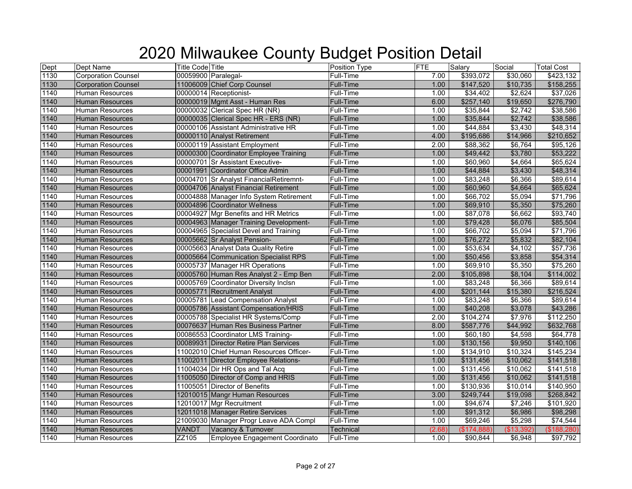| Dept | Dept Name                  | <b>Title Code</b> Title |                                         | <b>Position Type</b> | <b>FTE</b> | Salary      | Social     | <b>Total Cost</b> |
|------|----------------------------|-------------------------|-----------------------------------------|----------------------|------------|-------------|------------|-------------------|
| 1130 | <b>Corporation Counsel</b> | 00059900 Paralegal-     |                                         | Full-Time            | 7.00       | \$393,072   | \$30,060   | \$423,132         |
| 1130 | <b>Corporation Counsel</b> |                         | 11006009 Chief Corp Counsel             | <b>Full-Time</b>     | 1.00       | \$147,520   | \$10,735   | \$158,255         |
| 1140 | <b>Human Resources</b>     |                         | 00000014 Receptionist-                  | Full-Time            | 1.00       | \$34,402    | \$2,624    | \$37,026          |
| 1140 | <b>Human Resources</b>     |                         | 00000019 Mgmt Asst - Human Res          | Full-Time            | 6.00       | \$257,140   | \$19,650   | \$276,790         |
| 1140 | <b>Human Resources</b>     |                         | 00000032 Clerical Spec HR (NR)          | Full-Time            | 1.00       | \$35,844    | \$2,742    | \$38,586          |
| 1140 | <b>Human Resources</b>     |                         | 00000035 Clerical Spec HR - ERS (NR)    | Full-Time            | 1.00       | \$35,844    | \$2,742    | \$38,586          |
| 1140 | <b>Human Resources</b>     |                         | 00000106 Assistant Administrative HR    | Full-Time            | 1.00       | \$44,884    | \$3,430    | \$48,314          |
| 1140 | <b>Human Resources</b>     |                         | 00000110 Analyst Retirement             | <b>Full-Time</b>     | 4.00       | \$195,686   | \$14,966   | \$210,652         |
| 1140 | <b>Human Resources</b>     |                         | 00000119 Assistant Employment           | Full-Time            | 2.00       | \$88,362    | \$6,764    | \$95,126          |
| 1140 | <b>Human Resources</b>     |                         | 00000300 Coordinator Employee Training  | Full-Time            | 1.00       | \$49,442    | \$3,780    | \$53,222          |
| 1140 | Human Resources            |                         | 00000701 Sr Assistant Executive-        | Full-Time            | 1.00       | \$60,960    | \$4,664    | \$65,624          |
| 1140 | <b>Human Resources</b>     |                         | 00001991 Coordinator Office Admin       | <b>Full-Time</b>     | 1.00       | \$44,884    | \$3,430    | \$48,314          |
| 1140 | <b>Human Resources</b>     |                         | 00004701 Sr Analyst FinancialRetiremnt- | Full-Time            | 1.00       | \$83,248    | \$6,366    | \$89,614          |
| 1140 | <b>Human Resources</b>     |                         | 00004706 Analyst Financial Retirement   | <b>Full-Time</b>     | 1.00       | \$60,960    | \$4,664    | \$65,624          |
| 1140 | <b>Human Resources</b>     |                         | 00004888 Manager Info System Retirement | Full-Time            | 1.00       | \$66,702    | \$5,094    | \$71,796          |
| 1140 | <b>Human Resources</b>     |                         | 00004896 Coordinator Wellness           | <b>Full-Time</b>     | 1.00       | \$69,910    | \$5,350    | \$75,260          |
| 1140 | Human Resources            |                         | 00004927 Mgr Benefits and HR Metrics    | Full-Time            | 1.00       | \$87,078    | \$6,662    | \$93,740          |
| 1140 | <b>Human Resources</b>     |                         | 00004963 Manager Training Development-  | <b>Full-Time</b>     | 1.00       | \$79,428    | \$6,076    | \$85,504          |
| 1140 | <b>Human Resources</b>     |                         | 00004965 Specialist Devel and Training  | Full-Time            | 1.00       | \$66,702    | \$5,094    | \$71,796          |
| 1140 | <b>Human Resources</b>     |                         | 00005662 Sr Analyst Pension-            | Full-Time            | 1.00       | \$76,272    | \$5,832    | \$82,104          |
| 1140 | <b>Human Resources</b>     |                         | 00005663 Analyst Data Quality Retire    | <b>Full-Time</b>     | 1.00       | \$53,634    | \$4,102    | \$57,736          |
| 1140 | <b>Human Resources</b>     |                         | 00005664 Communication Specialist RPS   | Full-Time            | 1.00       | \$50,456    | \$3,858    | \$54,314          |
| 1140 | <b>Human Resources</b>     |                         | 00005737 Manager HR Operations          | Full-Time            | 1.00       | \$69,910    | \$5,350    | \$75,260          |
| 1140 | <b>Human Resources</b>     |                         | 00005760 Human Res Analyst 2 - Emp Ben  | Full-Time            | 2.00       | \$105,898   | \$8,104    | \$114,002         |
| 1140 | <b>Human Resources</b>     |                         | 00005769 Coordinator Diversity Inclsn   | Full-Time            | 1.00       | \$83,248    | \$6,366    | \$89,614          |
| 1140 | <b>Human Resources</b>     |                         | 00005771 Recruitment Analyst            | <b>Full-Time</b>     | 4.00       | \$201,144   | \$15,380   | \$216,524         |
| 1140 | Human Resources            |                         | 00005781 Lead Compensation Analyst      | <b>Full-Time</b>     | 1.00       | \$83,248    | \$6,366    | \$89,614          |
| 1140 | <b>Human Resources</b>     |                         | 00005786 Assistant Compensation/HRIS    | <b>Full-Time</b>     | 1.00       | \$40,208    | \$3,078    | \$43,286          |
| 1140 | <b>Human Resources</b>     |                         | 00005788 Specialist HR Systems/Comp     | <b>Full-Time</b>     | 2.00       | \$104,274   | \$7,976    | \$112,250         |
| 1140 | <b>Human Resources</b>     |                         | 00076637 Human Res Business Partner     | <b>Full-Time</b>     | 8.00       | \$587,776   | \$44,992   | \$632,768         |
| 1140 | <b>Human Resources</b>     |                         | 00086553 Coordinator LMS Training-      | <b>Full-Time</b>     | 1.00       | \$60,180    | \$4,598    | \$64,778          |
| 1140 | <b>Human Resources</b>     |                         | 00089931 Director Retire Plan Services  | <b>Full-Time</b>     | 1.00       | \$130,156   | \$9,950    | \$140,106         |
| 1140 | Human Resources            |                         | 11002010 Chief Human Resources Officer- | <b>Full-Time</b>     | 1.00       | \$134,910   | \$10,324   | \$145,234         |
| 1140 | <b>Human Resources</b>     |                         | 11002011 Director Employee Relations-   | Full-Time            | 1.00       | \$131,456   | \$10,062   | \$141,518         |
| 1140 | <b>Human Resources</b>     |                         | 11004034 Dir HR Ops and Tal Acq         | Full-Time            | 1.00       | \$131,456   | \$10,062   | \$141,518         |
| 1140 | <b>Human Resources</b>     |                         | 11005050 Director of Comp and HRIS      | <b>Full-Time</b>     | 1.00       | \$131,456   | \$10,062   | \$141,518         |
| 1140 | <b>Human Resources</b>     |                         | 11005051 Director of Benefits           | Full-Time            | 1.00       | \$130,936   | \$10,014   | \$140,950         |
| 1140 | <b>Human Resources</b>     |                         | 12010015 Mangr Human Resources          | <b>Full-Time</b>     | 3.00       | \$249,744   | \$19,098   | \$268,842         |
| 1140 | Human Resources            |                         | 12010017 Mgr Recruitment                | Full-Time            | 1.00       | \$94,674    | \$7,246    | \$101,920         |
| 1140 | <b>Human Resources</b>     |                         | 12011018 Manager Retire Services        | Full-Time            | 1.00       | \$91,312    | \$6,986    | \$98,298          |
| 1140 | <b>Human Resources</b>     |                         | 21009030 Manager Progr Leave ADA Compl  | <b>Full-Time</b>     | 1.00       | \$69,246    | \$5,298    | \$74,544          |
| 1140 | <b>Human Resources</b>     | <b>VANDT</b>            | Vacancy & Turnover                      | Technical            | (2.68)     | (\$174,888) | (\$13,392) | (\$188,280)       |
| 1140 | Human Resources            | ZZ105                   | Employee Engagement Coordinato          | Full-Time            | 1.00       | \$90,844    | \$6,948    | \$97,792          |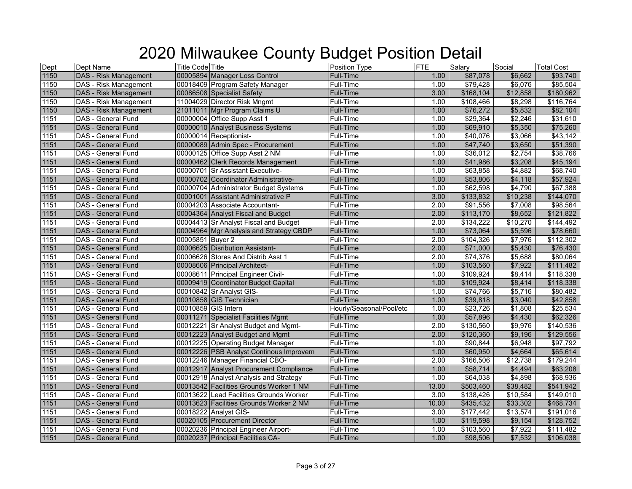| Dept | Dept Name                    | <b>Title Code Title</b>                 | Position Type            | <b>FTE</b> | Salary    | Social          | <b>Total Cost</b> |
|------|------------------------------|-----------------------------------------|--------------------------|------------|-----------|-----------------|-------------------|
| 1150 | <b>DAS - Risk Management</b> | 00005894 Manager Loss Control           | Full-Time                | 1.00       | \$87,078  | \$6,662         | \$93,740          |
| 1150 | DAS - Risk Management        | 00018409 Program Safety Manager         | <b>Full-Time</b>         | 1.00       | \$79,428  | \$6,076         | \$85,504          |
| 1150 | DAS - Risk Management        | 00086508 Specialist Safety              | <b>Full-Time</b>         | 3.00       | \$168,104 | \$12,858        | \$180,962         |
| 1150 | DAS - Risk Management        | 11004029 Director Risk Mngmt            | Full-Time                | 1.00       | \$108,466 | \$8,298         | \$116,764         |
| 1150 | <b>DAS - Risk Management</b> | 21011011 Mgr Program Claims U           | <b>Full-Time</b>         | 1.00       | \$76,272  | \$5,832         | \$82,104          |
| 1151 | DAS - General Fund           | 00000004 Office Supp Asst 1             | Full-Time                | 1.00       | \$29,364  | $\sqrt{$2,246}$ | \$31,610          |
| 1151 | <b>DAS - General Fund</b>    | 00000010 Analyst Business Systems       | <b>Full-Time</b>         | 1.00       | \$69,910  | \$5,350         | \$75,260          |
| 1151 | <b>DAS - General Fund</b>    | 00000014 Receptionist-                  | <b>Full-Time</b>         | 1.00       | \$40,076  | \$3,066         | \$43,142          |
| 1151 | DAS - General Fund           | 00000089 Admin Spec - Procurement       | Full-Time                | 1.00       | \$47,740  | \$3,650         | \$51,390          |
| 1151 | DAS - General Fund           | 00000125 Office Supp Asst 2 NM          | Full-Time                | 1.00       | \$36,012  | \$2,754         | \$38,766          |
| 1151 | DAS - General Fund           | 00000462 Clerk Records Management       | <b>Full-Time</b>         | 1.00       | \$41,986  | \$3,208         | \$45,194          |
| 1151 | DAS - General Fund           | 00000701 Sr Assistant Executive-        | Full-Time                | 1.00       | \$63,858  | \$4,882         | \$68,740          |
| 1151 | <b>DAS - General Fund</b>    | 00000702 Coordinator Administrative-    | <b>Full-Time</b>         | 1.00       | \$53,806  | \$4,118         | \$57,924          |
| 1151 | DAS - General Fund           | 00000704 Administrator Budget Systems   | Full-Time                | 1.00       | \$62,598  | \$4,790         | \$67,388          |
| 1151 | DAS - General Fund           | 00001001 Assistant Administrative P     | <b>Full-Time</b>         | 3.00       | \$133,832 | \$10,238        | \$144,070         |
| 1151 | DAS - General Fund           | 00004203 Associate Accountant-          | <b>Full-Time</b>         | 2.00       | \$91,556  | \$7,008         | \$98,564          |
| 1151 | DAS - General Fund           | 00004364 Analyst Fiscal and Budget      | <b>Full-Time</b>         | 2.00       | \$113,170 | \$8,652         | \$121,822         |
| 1151 | DAS - General Fund           | 00004413 Sr Analyst Fiscal and Budget   | Full-Time                | 2.00       | \$134,222 | \$10,270        | \$144,492         |
| 1151 | <b>DAS - General Fund</b>    | 00004964 Mgr Analysis and Strategy CBDP | <b>Full-Time</b>         | 1.00       | \$73,064  | \$5,596         | \$78,660          |
| 1151 | DAS - General Fund           | 00005851 Buyer 2                        | Full-Time                | 2.00       | \$104,326 | \$7,976         | \$112,302         |
| 1151 | DAS - General Fund           | 00006625 Disribution Assistant-         | <b>Full-Time</b>         | 2.00       | \$71,000  | \$5,430         | \$76,430          |
| 1151 | DAS - General Fund           | 00006626 Stores And Distrib Asst 1      | Full-Time                | 2.00       | \$74,376  | \$5,688         | \$80,064          |
| 1151 | DAS - General Fund           | 00008606 Principal Architect-           | Full-Time                | 1.00       | \$103,560 | \$7,922         | \$111,482         |
| 1151 | DAS - General Fund           | 00008611 Principal Engineer Civil-      | Full-Time                | 1.00       | \$109,924 | \$8,414         | \$118,338         |
| 1151 | DAS - General Fund           | 00009419 Coordinator Budget Capital     | Full-Time                | 1.00       | \$109,924 | \$8,414         | \$118,338         |
| 1151 | DAS - General Fund           | 00010842 Sr Analyst GIS-                | Full-Time                | 1.00       | \$74,766  | \$5,716         | \$80,482          |
| 1151 | <b>DAS - General Fund</b>    | 00010858 GIS Technician                 | <b>Full-Time</b>         | 1.00       | \$39,818  | \$3,040         | \$42,858          |
| 1151 | DAS - General Fund           | 00010859 GIS Intern                     | Hourly/Seasonal/Pool/etc | 1.00       | \$23,726  | \$1,808         | \$25,534          |
| 1151 | DAS - General Fund           | 00011271 Specialist Facilities Mgmt     | Full-Time                | 1.00       | \$57,896  | \$4,430         | \$62,326          |
| 1151 | DAS - General Fund           | 00012221 Sr Analyst Budget and Mgmt-    | Full-Time                | 2.00       | \$130,560 | \$9,976         | \$140,536         |
| 1151 | DAS - General Fund           | 00012223 Analyst Budget and Mgmt        | <b>Full-Time</b>         | 2.00       | \$120,360 | \$9,196         | \$129,556         |
| 1151 | DAS - General Fund           | 00012225 Operating Budget Manager       | <b>Full-Time</b>         | 1.00       | \$90,844  | \$6,948         | \$97,792          |
| 1151 | DAS - General Fund           | 00012226 PSB Analyst Continous Improvem | <b>Full-Time</b>         | 1.00       | \$60,950  | \$4,664         | \$65,614          |
| 1151 | DAS - General Fund           | 00012246 Manager Financial CBO-         | Full-Time                | 2.00       | \$166,506 | \$12,738        | \$179,244         |
| 1151 | DAS - General Fund           | 00012917 Analyst Procurement Compliance | <b>Full-Time</b>         | 1.00       | \$58,714  | \$4,494         | \$63,208          |
| 1151 | DAS - General Fund           | 00012918 Analyst Analysis and Strategy  | <b>Full-Time</b>         | 1.00       | \$64,038  | \$4,898         | \$68,936          |
| 1151 | DAS - General Fund           | 00013542 Facilities Grounds Worker 1 NM | <b>Full-Time</b>         | 13.00      | \$503,460 | \$38,482        | \$541,942         |
| 1151 | DAS - General Fund           | 00013622 Lead Facilities Grounds Worker | <b>Full-Time</b>         | 3.00       | \$138,426 | \$10,584        | \$149,010         |
| 1151 | DAS - General Fund           | 00013623 Facilities Grounds Worker 2 NM | <b>Full-Time</b>         | 10.00      | \$435,432 | \$33,302        | \$468,734         |
| 1151 | DAS - General Fund           | 00018222 Analyst GIS-                   | Full-Time                | 3.00       | \$177,442 | \$13,574        | \$191,016         |
| 1151 | DAS - General Fund           | 00020105 Procurement Director           | <b>Full-Time</b>         | 1.00       | \$119,598 | \$9,154         | \$128,752         |
| 1151 | DAS - General Fund           | 00020236 Principal Engineer Airport-    | Full-Time                | 1.00       | \$103,560 | \$7,922         | \$111,482         |
| 1151 | <b>DAS - General Fund</b>    | 00020237 Principal Facilities CA-       | <b>Full-Time</b>         | 1.00       | \$98,506  | \$7,532         | \$106,038         |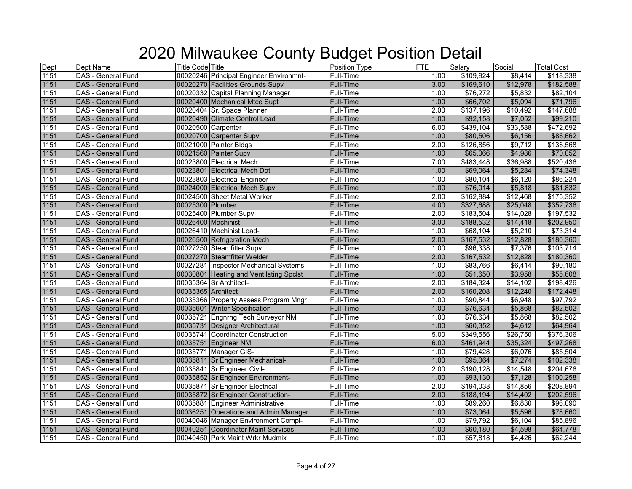| Dept | Dept Name                 | <b>Title Code Title</b>                 | <b>Position Type</b> | <b>FTE</b> | Salary     | Social          | <b>Total Cost</b> |
|------|---------------------------|-----------------------------------------|----------------------|------------|------------|-----------------|-------------------|
| 1151 | DAS - General Fund        | 00020246 Principal Engineer Environmnt- | Full-Time            | 1.00       | \$109,924  | \$8,414         | \$118,338         |
| 1151 | DAS - General Fund        | 00020270 Facilities Grounds Supv        | <b>Full-Time</b>     | 3.00       | \$169,610  | \$12,978        | \$182,588         |
| 1151 | DAS - General Fund        | 00020332 Capital Planning Manager       | Full-Time            | 1.00       | \$76,272   | \$5,832         | \$82,104          |
| 1151 | DAS - General Fund        | 00020400 Mechanical Mtce Supt           | Full-Time            | 1.00       | \$66,702   | \$5,094         | \$71,796          |
| 1151 | DAS - General Fund        | 00020404 Sr. Space Planner              | Full-Time            | 2.00       | \$137,196  | \$10,492        | \$147,688         |
| 1151 | DAS - General Fund        | 00020490 Climate Control Lead           | Full-Time            | 1.00       | \$92,158   | \$7,052         | \$99,210          |
| 1151 | DAS - General Fund        | 00020500 Carpenter                      | Full-Time            | 6.00       | \$439,104  | \$33,588        | \$472,692         |
| 1151 | DAS - General Fund        | 00020700 Carpenter Supv                 | <b>Full-Time</b>     | 1.00       | \$80,506   | \$6,156         | \$86,662          |
| 1151 | DAS - General Fund        | 00021000 Painter Bldgs                  | Full-Time            | 2.00       | \$126,856  | $\sqrt{$9,712}$ | \$136,568         |
| 1151 | <b>DAS</b> - General Fund | 00021560 Painter Supv                   | <b>Full-Time</b>     | 1.00       | \$65,066   | \$4,986         | \$70,052          |
| 1151 | DAS - General Fund        | 00023800 Electrical Mech                | Full-Time            | 7.00       | \$483,448  | \$36,988        | \$520,436         |
| 1151 | DAS - General Fund        | 00023801 Electrical Mech Dot            | <b>Full-Time</b>     | 1.00       | \$69,064   | \$5,284         | \$74,348          |
| 1151 | DAS - General Fund        | 00023803 Electrical Engineer            | Full-Time            | 1.00       | \$80,104   | \$6,120         | \$86,224          |
| 1151 | DAS - General Fund        | 00024000 Electrical Mech Supv           | <b>Full-Time</b>     | 1.00       | \$76,014   | \$5,818         | \$81,832          |
| 1151 | DAS - General Fund        | 00024500 Sheet Metal Worker             | Full-Time            | 2.00       | \$162,884  | \$12,468        | \$175,352         |
| 1151 | <b>DAS - General Fund</b> | 00025300 Plumber                        | <b>Full-Time</b>     | 4.00       | \$327,688  | \$25,048        | \$352,736         |
| 1151 | DAS - General Fund        | 00025400 Plumber Supv                   | Full-Time            | 2.00       | \$183,504  | \$14,028        | \$197,532         |
| 1151 | DAS - General Fund        | 00026400 Machinist-                     | <b>Full-Time</b>     | 3.00       | \$188,532  | \$14,418        | \$202,950         |
| 1151 | DAS - General Fund        | 00026410 Machinist Lead-                | Full-Time            | 1.00       | \$68,104   | \$5,210         | \$73,314          |
| 1151 | DAS - General Fund        | 00026500 Refrigeration Mech             | Full-Time            | 2.00       | \$167,532  | \$12,828        | \$180,360         |
| 1151 | DAS - General Fund        | 00027250 Steamfitter Supv               | Full-Time            | 1.00       | \$96,338   | \$7,376         | \$103,714         |
| 1151 | <b>DAS - General Fund</b> | 00027270 Steamfitter Welder             | <b>Full-Time</b>     | 2.00       | \$167,532  | \$12,828        | \$180,360         |
| 1151 | DAS - General Fund        | 00027281 Inspector Mechanical Systems   | Full-Time            | 1.00       | \$83,766   | \$6,414         | \$90,180          |
| 1151 | DAS - General Fund        | 00030801 Heating and Ventilating Spclst | <b>Full-Time</b>     | 1.00       | \$51,650   | \$3,958         | \$55,608          |
| 1151 | DAS - General Fund        | 00035364 Sr Architect-                  | Full-Time            | 2.00       | \$184,324  | \$14,102        | \$198,426         |
| 1151 | DAS - General Fund        | 00035365 Architect                      | Full-Time            | 2.00       | \$160,208  | \$12,240        | \$172,448         |
| 1151 | DAS - General Fund        | 00035366 Property Assess Program Mngr   | <b>Full-Time</b>     | 1.00       | \$90,844   | \$6,948         | \$97,792          |
| 1151 | DAS - General Fund        | 00035601 Writer Specification-          | <b>Full-Time</b>     | 1.00       | \$76,634   | \$5,868         | \$82,502          |
| 1151 | DAS - General Fund        | 00035721 Engnrng Tech Surveyor NM       | <b>Full-Time</b>     | 1.00       | \$76,634   | \$5,868         | \$82,502          |
| 1151 | DAS - General Fund        | 00035731 Designer Architectural         | <b>Full-Time</b>     | 1.00       | \$60,352   | \$4,612         | \$64,964          |
| 1151 | DAS - General Fund        | 00035741 Coordinator Construction       | Full-Time            | 5.00       | \$349,556  | \$26,750        | \$376,306         |
| 1151 | DAS - General Fund        | 00035751 Engineer NM                    | Full-Time            | 6.00       | \$461,944  | \$35,324        | \$497,268         |
| 1151 | DAS - General Fund        | 00035771 Manager GIS-                   | Full-Time            | 1.00       | \$79,428   | \$6,076         | \$85,504          |
| 1151 | DAS - General Fund        | 00035811 Sr Engineer Mechanical-        | <b>Full-Time</b>     | 1.00       | \$95,064   | \$7,274         | \$102,338         |
| 1151 | DAS - General Fund        | 00035841 Sr Engineer Civil-             | Full-Time            | 2.00       | \$190, 128 | \$14,548        | \$204,676         |
| 1151 | DAS - General Fund        | 00035852 Sr Engineer Environment-       | <b>Full-Time</b>     | 1.00       | \$93,130   | \$7,128         | \$100,258         |
| 1151 | DAS - General Fund        | 00035871 Sr Engineer Electrical-        | Full-Time            | 2.00       | \$194,038  | \$14,856        | \$208,894         |
| 1151 | DAS - General Fund        | 00035872 Sr Engineer Construction-      | Full-Time            | 2.00       | \$188,194  | \$14,402        | \$202,596         |
| 1151 | DAS - General Fund        | 00035881 Engineer Administrative        | Full-Time            | 1.00       | \$89,260   | \$6,830         | \$96,090          |
| 1151 | <b>DAS - General Fund</b> | 00036251 Operations and Admin Manager   | <b>Full-Time</b>     | 1.00       | \$73,064   | \$5,596         | \$78,660          |
| 1151 | DAS - General Fund        | 00040046 Manager Environment Compl-     | Full-Time            | 1.00       | \$79,792   | \$6,104         | \$85,896          |
| 1151 | DAS - General Fund        | 00040251 Coordinator Maint Services     | <b>Full-Time</b>     | 1.00       | \$60,180   | \$4,598         | \$64,778          |
| 1151 | DAS - General Fund        | 00040450 Park Maint Wrkr Mudmix         | <b>Full-Time</b>     | 1.00       | \$57,818   | \$4,426         | \$62,244          |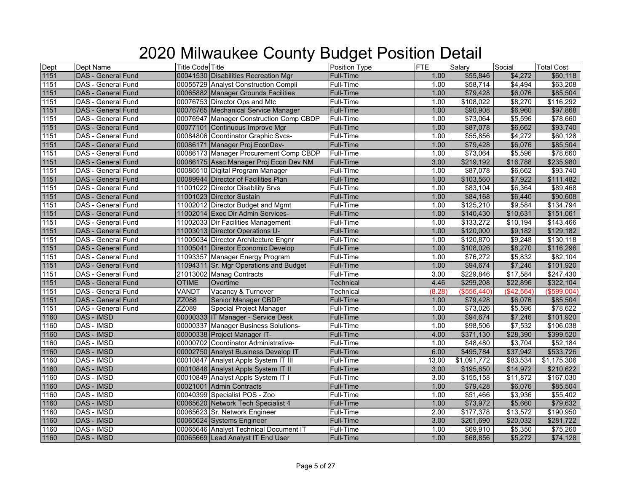| Dept | Dept Name                 | <b>Title Code Title</b>       |                                         | Position Type    | <b>FTE</b> | Salary        | Social        | <b>Total Cost</b> |
|------|---------------------------|-------------------------------|-----------------------------------------|------------------|------------|---------------|---------------|-------------------|
| 1151 | <b>DAS - General Fund</b> |                               | 00041530 Disabilities Recreation Mgr    | <b>Full-Time</b> | 1.00       | \$55,846      | \$4,272       | \$60,118          |
| 1151 | DAS - General Fund        |                               | 00055729 Analyst Construction Compli    | Full-Time        | 1.00       | \$58,714      | \$4,494       | \$63,208          |
| 1151 | DAS - General Fund        |                               | 00065882 Manager Grounds Facilities     | <b>Full-Time</b> | 1.00       | \$79,428      | \$6,076       | \$85,504          |
| 1151 | DAS - General Fund        |                               | 00076753 Director Ops and Mtc           | Full-Time        | 1.00       | \$108,022     | \$8,270       | \$116,292         |
| 1151 | <b>DAS - General Fund</b> |                               | 00076765 Mechanical Service Manager     | Full-Time        | 1.00       | \$90,908      | \$6,960       | \$97,868          |
| 1151 | DAS - General Fund        |                               | 00076947 Manager Construction Comp CBDP | <b>Full-Time</b> | 1.00       | \$73,064      | \$5,596       | \$78,660          |
| 1151 | DAS - General Fund        |                               | 00077101 Continuous Improve Mgr         | <b>Full-Time</b> | 1.00       | \$87,078      | \$6,662       | \$93,740          |
| 1151 | DAS - General Fund        |                               | 00084806 Coordinator Graphic Svcs-      | Full-Time        | 1.00       | \$55,856      | \$4,272       | \$60,128          |
| 1151 | DAS - General Fund        |                               | 00086171 Manager Proj EconDev-          | <b>Full-Time</b> | 1.00       | \$79,428      | \$6,076       | \$85,504          |
| 1151 | DAS - General Fund        |                               | 00086173 Manager Procurement Comp CBDP  | Full-Time        | 1.00       | \$73,064      | \$5,596       | \$78,660          |
| 1151 | DAS - General Fund        |                               | 00086175 Assc Manager Proj Econ Dev NM  | <b>Full-Time</b> | 3.00       | \$219,192     | \$16,788      | \$235,980         |
| 1151 | DAS - General Fund        |                               | 00086510 Digital Program Manager        | Full-Time        | 1.00       | \$87,078      | \$6,662       | \$93,740          |
| 1151 | <b>DAS - General Fund</b> |                               | 00089944 Director of Facilities Plan    | Full-Time        | 1.00       | \$103,560     | \$7,922       | \$111,482         |
| 1151 | DAS - General Fund        |                               | 11001022 Director Disability Srvs       | Full-Time        | 1.00       | \$83,104      | \$6,364       | \$89,468          |
| 1151 | DAS - General Fund        | 11001023 Director Sustain     |                                         | <b>Full-Time</b> | 1.00       | \$84,168      | \$6,440       | \$90,608          |
| 1151 | DAS - General Fund        |                               | 11002012 Director Budget and Mgmt       | <b>Full-Time</b> | 1.00       | \$125,210     | \$9,584       | \$134,794         |
| 1151 | DAS - General Fund        |                               | 11002014 Exec Dir Admin Services-       | <b>Full-Time</b> | 1.00       | \$140,430     | \$10,631      | \$151,061         |
| 1151 | DAS - General Fund        |                               | 11002033 Dir Facilities Management      | <b>Full-Time</b> | 1.00       | \$133,272     | \$10,194      | \$143,466         |
| 1151 | <b>DAS</b> - General Fund |                               | 11003013 Director Operations U-         | <b>Full-Time</b> | 1.00       | \$120,000     | \$9,182       | \$129,182         |
| 1151 | DAS - General Fund        |                               | 11005034 Director Architecture Engnr    | Full-Time        | 1.00       | \$120,870     | \$9,248       | \$130,118         |
| 1151 | <b>DAS</b> - General Fund |                               | 11005041 Director Economic Develop      | Full-Time        | 1.00       | \$108,026     | \$8,270       | \$116,296         |
| 1151 | DAS - General Fund        |                               | 11093357 Manager Energy Program         | <b>Full-Time</b> | 1.00       | \$76,272      | \$5,832       | \$82,104          |
| 1151 | DAS - General Fund        |                               | 11094311 Sr. Mgr Operations and Budget  | Full-Time        | 1.00       | \$94,674      | \$7,246       | \$101,920         |
| 1151 | DAS - General Fund        | 21013002 Manag Contracts      |                                         | Full-Time        | 3.00       | \$229,846     | \$17,584      | \$247,430         |
| 1151 | DAS - General Fund        | <b>OTIME</b><br>Overtime      |                                         | <b>Technical</b> | 4.46       | \$299,208     | \$22,896      | \$322,104         |
| 1151 | DAS - General Fund        | VANDT                         | Vacancy & Turnover                      | Technical        | (8.28)     | ( \$556, 440) | $($ \$42,564) | (\$599,004)       |
| 1151 | <b>DAS</b> - General Fund | ZZ088                         | <b>Senior Manager CBDP</b>              | Full-Time        | 1.00       | \$79,428      | \$6,076       | \$85,504          |
| 1151 | DAS - General Fund        | ZZ089                         | Special Project Manager                 | Full-Time        | 1.00       | \$73,026      | \$5,596       | \$78,622          |
| 1160 | DAS - IMSD                |                               | 00000333 IT Manager - Service Desk      | <b>Full-Time</b> | 1.00       | \$94,674      | \$7,246       | \$101,920         |
| 1160 | DAS - IMSD                |                               | 00000337 Manager Business Solutions-    | Full-Time        | 1.00       | \$98,506      | \$7,532       | \$106,038         |
| 1160 | DAS - IMSD                | 00000338 Project Manager IT-  |                                         | <b>Full-Time</b> | 4.00       | \$371,130     | \$28,390      | \$399,520         |
| 1160 | DAS - IMSD                |                               | 00000702 Coordinator Administrative-    | <b>Full-Time</b> | 1.00       | \$48,480      | \$3,704       | \$52,184          |
| 1160 | <b>DAS - IMSD</b>         |                               | 00002750 Analyst Business Develop IT    | <b>Full-Time</b> | 6.00       | \$495,784     | \$37,942      | \$533,726         |
| 1160 | DAS - IMSD                |                               | 00010847 Analyst Appls System IT III    | Full-Time        | 13.00      | \$1,091,772   | \$83,534      | \$1,175,306       |
| 1160 | DAS - IMSD                |                               | 00010848 Analyst Appls System IT II     | <b>Full-Time</b> | 3.00       | \$195,650     | \$14,972      | \$210,622         |
| 1160 | DAS - IMSD                |                               | 00010849 Analyst Appls System IT I      | <b>Full-Time</b> | 3.00       | \$155,158     | \$11,872      | \$167,030         |
| 1160 | DAS - IMSD                | 00021001 Admin Contracts      |                                         | <b>Full-Time</b> | 1.00       | \$79,428      | \$6,076       | \$85,504          |
| 1160 | DAS - IMSD                | 00040399 Specialist POS - Zoo |                                         | <b>Full-Time</b> | 1.00       | \$51,466      | \$3,936       | \$55,402          |
| 1160 | <b>DAS - IMSD</b>         |                               | 00065620 Network Tech Specialist 4      | <b>Full-Time</b> | 1.00       | \$73,972      | \$5,660       | \$79,632          |
| 1160 | DAS - IMSD                |                               | 00065623 Sr. Network Engineer           | Full-Time        | 2.00       | \$177,378     | \$13,572      | \$190,950         |
| 1160 | DAS - IMSD                | 00065624 Systems Engineer     |                                         | <b>Full-Time</b> | 3.00       | \$261,690     | \$20,032      | \$281,722         |
| 1160 | DAS - IMSD                |                               | 00065646 Analyst Technical Document IT  | Full-Time        | 1.00       | \$69,910      | \$5,350       | \$75,260          |
| 1160 | <b>DAS - IMSD</b>         |                               | 00065669 Lead Analyst IT End User       | <b>Full-Time</b> | 1.00       | \$68,856      | \$5,272       | \$74,128          |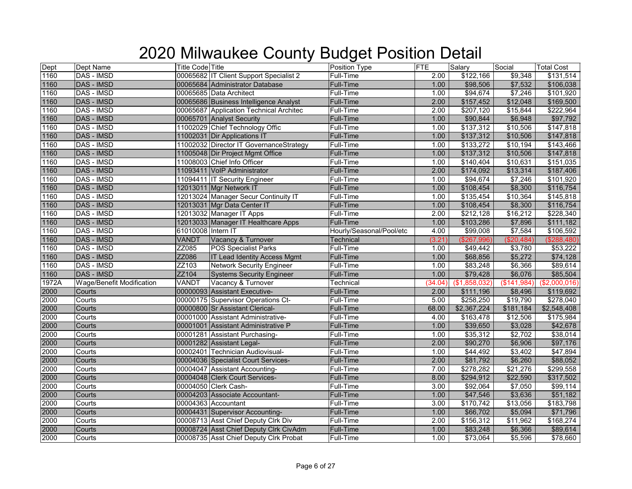| Dept  | Dept Name                        | <b>Title Code Title</b> |                                         | Position Type            | <b>FTE</b>        | Salary        | Social      | <b>Total Cost</b> |
|-------|----------------------------------|-------------------------|-----------------------------------------|--------------------------|-------------------|---------------|-------------|-------------------|
| 1160  | DAS - IMSD                       |                         | 00065682 IT Client Support Specialist 2 | <b>Full-Time</b>         | 2.00              | \$122,166     | \$9,348     | \$131,514         |
| 1160  | DAS - IMSD                       |                         | 00065684 Administrator Database         | Full-Time                | 1.00              | \$98,506      | \$7,532     | \$106,038         |
| 1160  | DAS - IMSD                       |                         | 00065685 <b>I</b> Data Architect        | Full-Time                | 1.00              | \$94,674      | \$7,246     | \$101,920         |
| 1160  | <b>DAS - IMSD</b>                |                         | 00065686 Business Intelligence Analyst  | <b>Full-Time</b>         | 2.00              | \$157,452     | \$12,048    | \$169,500         |
| 1160  | DAS - IMSD                       |                         | 00065687 Application Technical Architec | Full-Time                | 2.00              | \$207,120     | \$15,844    | \$222,964         |
| 1160  | <b>DAS - IMSD</b>                |                         | 00065701 Analyst Security               | Full-Time                | 1.00              | \$90,844      | \$6,948     | \$97,792          |
| 1160  | DAS - IMSD                       |                         | 11002029 Chief Technology Offic         | Full-Time                | 1.00              | \$137,312     | \$10,506    | \$147,818         |
| 1160  | DAS - IMSD                       |                         | 11002031 Dir Applications IT            | Full-Time                | 1.00              | \$137,312     | \$10,506    | \$147,818         |
| 1160  | DAS - IMSD                       |                         | 11002032 Director IT GovernanceStrategy | Full-Time                | 1.00              | \$133,272     | \$10,194    | \$143,466         |
| 1160  | <b>DAS - IMSD</b>                |                         | 11005048 Dir Project Mgmt Office        | <b>Full-Time</b>         | 1.00              | \$137,312     | \$10,506    | \$147,818         |
| 1160  | DAS - IMSD                       |                         | 11008003 Chief Info Officer             | Full-Time                | 1.00              | \$140,404     | \$10,631    | \$151,035         |
| 1160  | <b>DAS - IMSD</b>                |                         | 11093411 VoIP Administrator             | <b>Full-Time</b>         | 2.00              | \$174,092     | \$13,314    | \$187,406         |
| 1160  | DAS - IMSD                       |                         | 11094411 IT Security Engineer           | <b>Full-Time</b>         | 1.00              | \$94,674      | \$7,246     | \$101,920         |
| 1160  | <b>DAS - IMSD</b>                |                         | 12013011 Mgr Network IT                 | <b>Full-Time</b>         | 1.00              | \$108,454     | \$8,300     | \$116,754         |
| 1160  | DAS - IMSD                       |                         | 12013024 Manager Secur Continuity IT    | Full-Time                | 1.00              | \$135,454     | \$10,364    | \$145,818         |
| 1160  | <b>DAS - IMSD</b>                |                         | 12013031 Mgr Data Center IT             | <b>Full-Time</b>         | 1.00              | \$108,454     | \$8,300     | \$116,754         |
| 1160  | DAS - IMSD                       |                         | 12013032 Manager IT Apps                | Full-Time                | 2.00              | \$212,128     | \$16,212    | \$228,340         |
| 1160  | DAS - IMSD                       |                         | 12013033 Manager IT Healthcare Apps     | <b>Full-Time</b>         | 1.00              | \$103,286     | \$7,896     | \$111,182         |
| 1160  | DAS - IMSD                       | 61010008 Intern IT      |                                         | Hourly/Seasonal/Pool/etc | 4.00              | \$99,008      | \$7,584     | \$106,592         |
| 1160  | <b>DAS - IMSD</b>                | VANDT                   | Vacancy & Turnover                      | Technical                | (3.21)            | (\$267,996)   | (\$20,484)  | (\$288,480)       |
| 1160  | DAS - IMSD                       | ZZ085                   | <b>POS Specialist Parks</b>             | Full-Time                | 1.00              | \$49,442      | \$3,780     | \$53,222          |
| 1160  | <b>DAS - IMSD</b>                | ZZ086                   | <b>IT Lead Identity Access Mgmt</b>     | <b>Full-Time</b>         | 1.00              | \$68,856      | \$5,272     | \$74,128          |
| 1160  | DAS - IMSD                       | ZZ103                   | <b>Network Security Engineer</b>        | Full-Time                | 1.00              | \$83,248      | \$6,366     | \$89,614          |
| 1160  | <b>DAS - IMSD</b>                | ZZ104                   | <b>Systems Security Engineer</b>        | <b>Full-Time</b>         | 1.00              | \$79,428      | \$6,076     | \$85,504          |
| 1972A | <b>Wage/Benefit Modification</b> | VANDT                   | Vacancy & Turnover                      | Technical                | (34.04)           | (\$1,858,032) | (\$141,984) | (\$2,000,016)     |
| 2000  | Courts                           |                         | 00000093 Assistant Executive-           | <b>Full-Time</b>         | 2.00              | \$111,196     | \$8,496     | \$119,692         |
| 2000  | Courts                           |                         | 00000175 Supervisor Operations Ct-      | <b>Full-Time</b>         | 5.00              | \$258,250     | \$19,790    | \$278,040         |
| 2000  | Courts                           |                         | 00000800 Sr Assistant Clerical-         | <b>Full-Time</b>         | 68.00             | \$2,367,224   | \$181,184   | \$2,548,408       |
| 2000  | Courts                           |                         | 00001000 Assistant Administrative-      | Full-Time                | 4.00              | \$163,478     | \$12,506    | \$175,984         |
| 2000  | Courts                           |                         | 00001001 Assistant Administrative P     | <b>Full-Time</b>         | 1.00              | \$39,650      | \$3,028     | \$42,678          |
| 2000  | Courts                           |                         | 00001281 Assistant Purchasing-          | Full-Time                | 1.00              | \$35,312      | \$2,702     | \$38,014          |
| 2000  | Courts                           |                         | 00001282 Assistant Legal-               | Full-Time                | 2.00              | \$90,270      | \$6,906     | \$97,176          |
| 2000  | Courts                           |                         | 00002401 Technician Audiovisual-        | Full-Time                | 1.00              | \$44,492      | \$3,402     | \$47,894          |
| 2000  | Courts                           |                         | 00004036 Specialist Court Services-     | <b>Full-Time</b>         | 2.00              | \$81,792      | \$6,260     | \$88,052          |
| 2000  | Courts                           |                         | 00004047 Assistant Accounting-          | Full-Time                | 7.00              | \$278,282     | \$21,276    | \$299,558         |
| 2000  | Courts                           |                         | 00004048 Clerk Court Services-          | <b>Full-Time</b>         | 8.00              | \$294,912     | \$22,590    | \$317,502         |
| 2000  | Courts                           |                         | 00004050 Clerk Cash-                    | Full-Time                | 3.00              | \$92,064      | \$7,050     | \$99,114          |
| 2000  | Courts                           |                         | 00004203 Associate Accountant-          | Full-Time                | 1.00              | \$47,546      | \$3,636     | \$51,182          |
| 2000  | Courts                           |                         | 00004363 Accountant                     | Full-Time                | $\overline{3.00}$ | \$170,742     | \$13,056    | \$183,798         |
| 2000  | Courts                           |                         | 00004431 Supervisor Accounting-         | Full-Time                | 1.00              | \$66,702      | \$5,094     | \$71,796          |
| 2000  | Courts                           |                         | 00008713 Asst Chief Deputy Clrk Div     | Full-Time                | 2.00              | \$156,312     | \$11,962    | \$168,274         |
| 2000  | Courts                           |                         | 00008724 Asst Chief Deputy Clrk CivAdm  | <b>Full-Time</b>         | 1.00              | \$83,248      | \$6,366     | \$89,614          |
| 2000  | Courts                           |                         | 00008735 Asst Chief Deputy Clrk Probat  | <b>Full-Time</b>         | 1.00              | \$73,064      | \$5,596     | \$78,660          |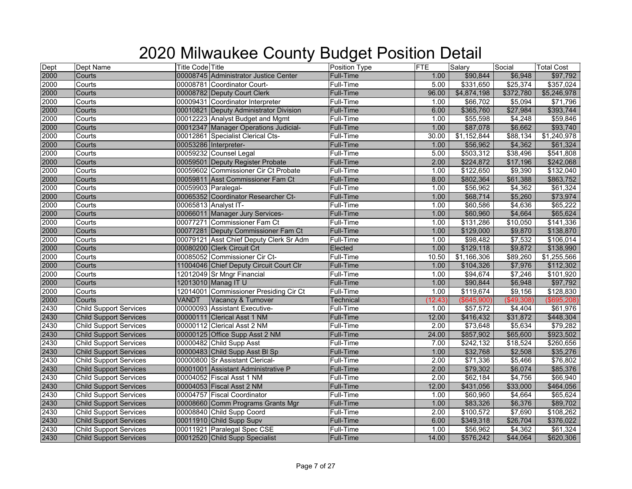| Dept | Dept Name                     | <b>Title Code Title</b> |                                         | Position Type    | FTE     | Salary      | Social        | <b>Total Cost</b> |
|------|-------------------------------|-------------------------|-----------------------------------------|------------------|---------|-------------|---------------|-------------------|
| 2000 | Courts                        |                         | 00008745 Administrator Justice Center   | Full-Time        | 1.00    | \$90,844    | \$6,948       | \$97,792          |
| 2000 | Courts                        |                         | 00008781 Coordinator Court-             | Full-Time        | 5.00    | \$331,650   | \$25,374      | \$357,024         |
| 2000 | Courts                        |                         | 00008782 Deputy Court Clerk             | <b>Full-Time</b> | 96.00   | \$4,874,198 | \$372,780     | \$5,246,978       |
| 2000 | Courts                        |                         | 00009431 Coordinator Interpreter        | Full-Time        | 1.00    | \$66,702    | \$5,094       | \$71,796          |
| 2000 | Courts                        |                         | 00010821 Deputy Administrator Division  | Full-Time        | 6.00    | \$365,760   | \$27,984      | \$393,744         |
| 2000 | Courts                        |                         | 00012223 Analyst Budget and Mgmt        | Full-Time        | 1.00    | \$55,598    | \$4,248       | \$59,846          |
| 2000 | Courts                        |                         | 00012347 Manager Operations Judicial-   | <b>Full-Time</b> | 1.00    | \$87,078    | \$6,662       | \$93,740          |
| 2000 | Courts                        |                         | 00012861 Specialist Clerical Cts-       | Full-Time        | 30.00   | \$1,152,844 | \$88,134      | \$1,240,978       |
| 2000 | Courts                        |                         | 00053286 Interpreter-                   | Full-Time        | 1.00    | \$56,962    | \$4,362       | \$61,324          |
| 2000 | Courts                        |                         | 00059232 Counsel Legal                  | Full-Time        | 5.00    | \$503,312   | \$38,496      | \$541,808         |
| 2000 | Courts                        |                         | 00059501 Deputy Register Probate        | Full-Time        | 2.00    | \$224,872   | \$17,196      | \$242,068         |
| 2000 | Courts                        |                         | 00059602 Commissioner Cir Ct Probate    | Full-Time        | 1.00    | \$122,650   | \$9,390       | \$132,040         |
| 2000 | Courts                        |                         | 00059811 Asst Commissioner Fam Ct       | Full-Time        | 8.00    | \$802,364   | \$61,388      | \$863,752         |
| 2000 | Courts                        |                         | 00059903 Paralegal-                     | Full-Time        | 1.00    | \$56,962    | \$4,362       | \$61,324          |
| 2000 | Courts                        |                         | 00065352 Coordinator Researcher Ct-     | <b>Full-Time</b> | 1.00    | \$68,714    | \$5,260       | \$73,974          |
| 2000 | Courts                        |                         | 00065813 Analyst IT-                    | Full-Time        | 1.00    | \$60,586    | \$4,636       | \$65,222          |
| 2000 | Courts                        |                         | 00066011 Manager Jury Services-         | <b>Full-Time</b> | 1.00    | \$60,960    | \$4,664       | \$65,624          |
| 2000 | Courts                        |                         | 00077271 Commissioner Fam Ct            | Full-Time        | 1.00    | \$131,286   | \$10,050      | \$141,336         |
| 2000 | Courts                        |                         | 00077281 Deputy Commissioner Fam Ct     | Full-Time        | 1.00    | \$129,000   | \$9,870       | \$138,870         |
| 2000 | Courts                        |                         | 00079121 Asst Chief Deputy Clerk Sr Adm | Full-Time        | 1.00    | \$98,482    | \$7,532       | \$106,014         |
| 2000 | Courts                        |                         | 00080200 Clerk Circuit Crt              | Elected          | 1.00    | \$129,118   | \$9,872       | \$138,990         |
| 2000 | Courts                        |                         | 00085052 Commissioner Cir Ct-           | Full-Time        | 10.50   | \$1,166,306 | \$89,260      | \$1,255,566       |
| 2000 | Courts                        |                         | 11004046 Chief Deputy Circuit Court Clr | <b>Full-Time</b> | 1.00    | \$104,326   | \$7,976       | \$112,302         |
| 2000 | Courts                        |                         | 12012049 Sr Mngr Financial              | Full-Time        | 1.00    | \$94,674    | \$7,246       | \$101,920         |
| 2000 | Courts                        |                         | 12013010 Manag IT U                     | <b>Full-Time</b> | 1.00    | \$90,844    | \$6,948       | \$97,792          |
| 2000 | Courts                        |                         | 12014001 Commissioner Presiding Cir Ct  | Full-Time        | 1.00    | \$119,674   | \$9,156       | \$128,830         |
| 2000 | Courts                        | <b>VANDT</b>            | Vacancy & Turnover                      | <b>Technical</b> | (12.43) | (\$645,900) | $($ \$49,308) | (\$695,208)       |
| 2430 | <b>Child Support Services</b> |                         | 00000093 Assistant Executive-           | Full-Time        | 1.00    | \$57,572    | \$4,404       | \$61,976          |
| 2430 | <b>Child Support Services</b> |                         | 00000111 Clerical Asst 1 NM             | Full-Time        | 12.00   | \$416,432   | \$31,872      | \$448,304         |
| 2430 | <b>Child Support Services</b> |                         | 00000112 Clerical Asst 2 NM             | Full-Time        | 2.00    | \$73,648    | \$5,634       | \$79,282          |
| 2430 | <b>Child Support Services</b> |                         | 00000125 Office Supp Asst 2 NM          | <b>Full-Time</b> | 24.00   | \$857,902   | \$65,600      | \$923,502         |
| 2430 | <b>Child Support Services</b> |                         | 00000482 Child Supp Asst                | Full-Time        | 7.00    | \$242,132   | \$18,524      | \$260,656         |
| 2430 | <b>Child Support Services</b> |                         | 00000483 Child Supp Asst BI Sp          | <b>Full-Time</b> | 1.00    | \$32,768    | \$2,508       | \$35,276          |
| 2430 | <b>Child Support Services</b> |                         | 00000800 Sr Assistant Clerical-         | Full-Time        | 2.00    | \$71,336    | \$5,466       | \$76,802          |
| 2430 | <b>Child Support Services</b> |                         | 00001001 Assistant Administrative P     | <b>Full-Time</b> | 2.00    | \$79,302    | \$6,074       | \$85,376          |
| 2430 | <b>Child Support Services</b> |                         | 00004052 Fiscal Asst 1 NM               | Full-Time        | 2.00    | \$62,184    | \$4,756       | \$66,940          |
| 2430 | <b>Child Support Services</b> |                         | 00004053 Fiscal Asst 2 NM               | <b>Full-Time</b> | 12.00   | \$431,056   | \$33,000      | \$464,056         |
| 2430 | <b>Child Support Services</b> |                         | 00004757 Fiscal Coordinator             | Full-Time        | 1.00    | \$60,960    | \$4,664       | \$65,624          |
| 2430 | <b>Child Support Services</b> |                         | 00008660 Comm Programs Grants Mgr       | Full-Time        | 1.00    | \$83,326    | \$6,376       | \$89,702          |
| 2430 | <b>Child Support Services</b> |                         | 00008840 Child Supp Coord               | Full-Time        | 2.00    | \$100,572   | \$7,690       | \$108,262         |
| 2430 | <b>Child Support Services</b> |                         | 00011910 Child Supp Supv                | <b>Full-Time</b> | 6.00    | \$349,318   | \$26,704      | \$376,022         |
| 2430 | <b>Child Support Services</b> |                         | 00011921 Paralegal Spec CSE             | Full-Time        | 1.00    | \$56,962    | \$4,362       | \$61,324          |
| 2430 | <b>Child Support Services</b> |                         | 00012520 Child Supp Specialist          | <b>Full-Time</b> | 14.00   | \$576,242   | \$44,064      | \$620,306         |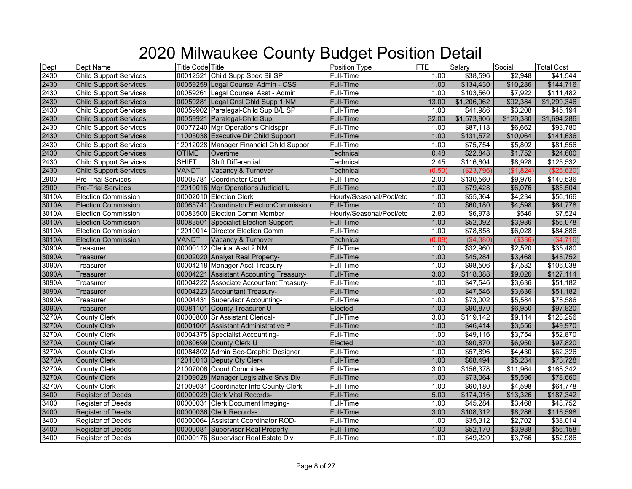| Dept  | Dept Name                     | <b>Title Code Title</b> |                                         | Position Type            | <b>FTE</b>        | Salary      | Social    | <b>Total Cost</b>    |
|-------|-------------------------------|-------------------------|-----------------------------------------|--------------------------|-------------------|-------------|-----------|----------------------|
| 2430  | <b>Child Support Services</b> |                         | 00012521 Child Supp Spec Bil SP         | Full-Time                | 1.00              | \$38,596    | \$2,948   | \$41,544             |
| 2430  | <b>Child Support Services</b> |                         | 00059259 Legal Counsel Admin - CSS      | <b>Full-Time</b>         | 1.00              | \$134,430   | \$10,286  | \$144,716            |
| 2430  | <b>Child Support Services</b> |                         | 00059261 Legal Counsel Asst - Admin     | Full-Time                | 1.00              | \$103,560   | \$7,922   | \$111,482            |
| 2430  | <b>Child Support Services</b> |                         | 00059281 Legal Cnsl Chld Supp 1 NM      | Full-Time                | 13.00             | \$1,206,962 | \$92,384  | \$1,299,346          |
| 2430  | <b>Child Support Services</b> |                         | 00059902 Paralegal-Child Sup B/L SP     | Full-Time                | 1.00              | \$41,986    | \$3,208   | \$45,194             |
| 2430  | <b>Child Support Services</b> |                         | 00059921 Paralegal-Child Sup            | Full-Time                | 32.00             | \$1,573,906 | \$120,380 | \$1,694,286          |
| 2430  | <b>Child Support Services</b> |                         | 00077240 Mgr Operations Chldsppr        | Full-Time                | 1.00              | \$87,118    | \$6,662   | \$93,780             |
| 2430  | <b>Child Support Services</b> |                         | 11005038 Executive Dir Child Support    | <b>Full-Time</b>         | 1.00              | \$131,572   | \$10,064  | \$141,636            |
| 2430  | <b>Child Support Services</b> |                         | 12012028 Manager Financial Child Suppor | Full-Time                | 1.00              | \$75,754    | \$5,802   | \$81,556             |
| 2430  | <b>Child Support Services</b> | <b>OTIME</b>            | Overtime                                | Technical                | 0.48              | \$22,848    | \$1,752   | \$24,600             |
| 2430  | <b>Child Support Services</b> | <b>SHIFT</b>            | <b>Shift Differential</b>               | Technical                | 2.45              | \$116,604   | \$8,928   | \$125,532            |
| 2430  | <b>Child Support Services</b> | VANDT                   | Vacancy & Turnover                      | Technical                | (0.50)            | (\$23,796)  | (\$1,824) | (\$25,620)           |
| 2900  | <b>Pre-Trial Services</b>     |                         | 00008781 Coordinator Court-             | <b>Full-Time</b>         | 2.00              | \$130,560   | \$9,976   | \$140,536            |
| 2900  | <b>Pre-Trial Services</b>     |                         | 12010016 Mgr Operations Judicial U      | <b>Full-Time</b>         | 1.00              | \$79,428    | \$6,076   | \$85,504             |
| 3010A | <b>Election Commission</b>    |                         | 00002010 Election Clerk                 | Hourly/Seasonal/Pool/etc | 1.00              | \$55,364    | \$4,234   | \$56,166             |
| 3010A | <b>Election Commission</b>    |                         | 00065741 Coordinator ElectionCommission | <b>Full-Time</b>         | 1.00              | \$60,180    | \$4,598   | \$64,778             |
| 3010A | <b>Election Commission</b>    |                         | 00083500 Election Comm Member           | Hourly/Seasonal/Pool/etc | 2.80              | \$6,978     | \$546     | \$7,524              |
| 3010A | <b>Election Commission</b>    |                         | 00083501 Specialist Election Support    | <b>Full-Time</b>         | 1.00              | \$52,092    | \$3,986   | \$56,078             |
| 3010A | <b>Election Commission</b>    |                         | 12010014 Director Election Comm         | <b>Full-Time</b>         | 1.00              | \$78,858    | \$6,028   | \$84,886             |
| 3010A | <b>Election Commission</b>    | <b>VANDT</b>            | Vacancy & Turnover                      | Technical                | (0.08)            | (\$4,380)   | ( \$336)  | ( \$4,716)           |
| 3090A | Treasurer                     |                         | 00000112 Clerical Asst 2 NM             | Full-Time                | 1.00              | \$32,960    | \$2,520   | \$35,480             |
| 3090A | Treasurer                     |                         | 00002020 Analyst Real Property-         | <b>Full-Time</b>         | 1.00              | \$45,284    | \$3,468   | \$48,752             |
| 3090A | Treasurer                     |                         | 00004218 Manager Acct Treasury          | <b>Full-Time</b>         | 1.00              | \$98,506    | \$7,532   | \$106,038            |
| 3090A | Treasurer                     |                         | 00004221 Assistant Accounting Treasury- | <b>Full-Time</b>         | 3.00              | \$118,088   | \$9,026   | \$127,114            |
| 3090A | Treasurer                     |                         | 00004222 Associate Accountant Treasury- | Full-Time                | 1.00              | \$47,546    | \$3,636   | $\overline{$}51,182$ |
| 3090A | Treasurer                     |                         | 00004223 Accountant Treasury-           | <b>Full-Time</b>         | 1.00              | \$47,546    | \$3,636   | \$51,182             |
| 3090A | Treasurer                     |                         | 00004431 Supervisor Accounting-         | Full-Time                | 1.00              | \$73,002    | \$5,584   | \$78,586             |
| 3090A | Treasurer                     |                         | 00081101 County Treasurer U             | Elected                  | 1.00              | \$90,870    | \$6,950   | \$97,820             |
| 3270A | <b>County Clerk</b>           |                         | 00000800 Sr Assistant Clerical-         | Full-Time                | 3.00              | \$119,142   | \$9,114   | \$128,256            |
| 3270A | <b>County Clerk</b>           |                         | 00001001 Assistant Administrative P     | <b>Full-Time</b>         | 1.00              | \$46,414    | \$3,556   | \$49,970             |
| 3270A | <b>County Clerk</b>           |                         | 00004375 Specialist Accounting-         | Full-Time                | 1.00              | \$49,116    | \$3,754   | \$52,870             |
| 3270A | <b>County Clerk</b>           |                         | 00080699 County Clerk U                 | Elected                  | 1.00              | \$90,870    | \$6,950   | \$97,820             |
| 3270A | <b>County Clerk</b>           |                         | 00084802 Admin Sec-Graphic Designer     | Full-Time                | 1.00              | \$57,896    | \$4,430   | \$62,326             |
| 3270A | <b>County Clerk</b>           |                         | 12010013 Deputy Cty Clerk               | <b>Full-Time</b>         | 1.00              | \$68,494    | \$5,234   | \$73,728             |
| 3270A | <b>County Clerk</b>           |                         | 21007006 Coord Committee                | Full-Time                | $\overline{3.00}$ | \$156,378   | \$11,964  | \$168,342            |
| 3270A | <b>County Clerk</b>           |                         | 21009028 Manager Legislative Srvs Div   | <b>Full-Time</b>         | 1.00              | \$73,064    | \$5,596   | \$78,660             |
| 3270A | <b>County Clerk</b>           |                         | 21009031 Coordinator Info County Clerk  | Full-Time                | 1.00              | \$60,180    | \$4,598   | \$64,778             |
| 3400  | <b>Register of Deeds</b>      |                         | 00000029 Clerk Vital Records-           | <b>Full-Time</b>         | 5.00              | \$174,016   | \$13,326  | \$187,342            |
| 3400  | <b>Register of Deeds</b>      |                         | 00000031 Clerk Document Imaging-        | Full-Time                | 1.00              | \$45,284    | \$3,468   | \$48,752             |
| 3400  | <b>Register of Deeds</b>      |                         | 00000036 Clerk Records-                 | <b>Full-Time</b>         | 3.00              | \$108,312   | \$8,286   | \$116,598            |
| 3400  | Register of Deeds             |                         | 00000064 Assistant Coordinator ROD-     | Full-Time                | 1.00              | \$35,312    | \$2,702   | \$38,014             |
| 3400  | <b>Register of Deeds</b>      |                         | 00000081 Supervisor Real Property-      | Full-Time                | 1.00              | \$52,170    | \$3,988   | \$56,158             |
| 3400  | <b>Register of Deeds</b>      |                         | 00000176 Supervisor Real Estate Div     | <b>Full-Time</b>         | 1.00              | \$49,220    | \$3,766   | \$52,986             |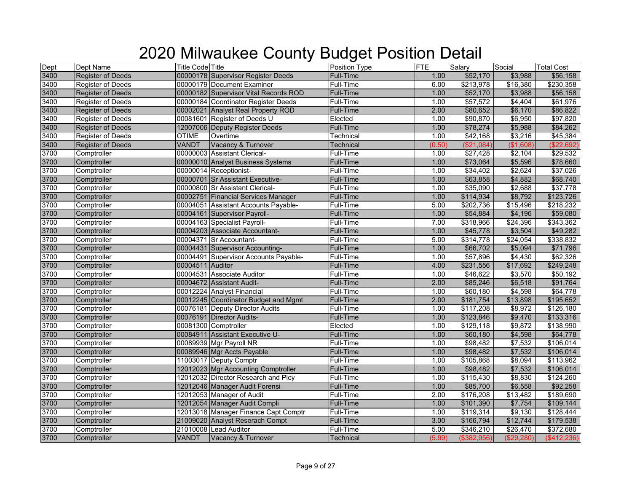| Dept | Dept Name                | <b>Title Code Title</b> |                                       | Position Type    | <b>FTE</b> | Salary      | Social     | <b>Total Cost</b> |
|------|--------------------------|-------------------------|---------------------------------------|------------------|------------|-------------|------------|-------------------|
| 3400 | <b>Register of Deeds</b> |                         | 00000178 Supervisor Register Deeds    | Full-Time        | 1.00       | \$52,170    | \$3,988    | \$56,158          |
| 3400 | <b>Register of Deeds</b> |                         | 00000179 Document Examiner            | Full-Time        | 6.00       | \$213,978   | \$16,380   | \$230,358         |
| 3400 | <b>Register of Deeds</b> |                         | 00000182 Supervisor Vital Records ROD | <b>Full-Time</b> | 1.00       | \$52,170    | \$3,988    | \$56,158          |
| 3400 | <b>Register of Deeds</b> |                         | 00000184 Coordinator Register Deeds   | Full-Time        | 1.00       | \$57,572    | \$4,404    | \$61,976          |
| 3400 | <b>Register of Deeds</b> |                         | 00002021 Analyst Real Property ROD    | Full-Time        | 2.00       | \$80,652    | \$6,170    | \$86,822          |
| 3400 | <b>Register of Deeds</b> |                         | 00081601 Register of Deeds U          | Elected          | 1.00       | \$90,870    | \$6,950    | \$97,820          |
| 3400 | <b>Register of Deeds</b> |                         | 12007006 Deputy Register Deeds        | <b>Full-Time</b> | 1.00       | \$78,274    | \$5,988    | \$84,262          |
| 3400 | <b>Register of Deeds</b> | <b>OTIME</b>            | Overtime                              | Technical        | 1.00       | \$42,168    | \$3,216    | \$45,384          |
| 3400 | <b>Register of Deeds</b> | <b>VANDT</b>            | Vacancy & Turnover                    | <b>Technical</b> | (0.50)     | (\$21,084)  | (\$1,608)  | (\$22,692)        |
| 3700 | Comptroller              |                         | 00000003 Assistant Clerical-          | Full-Time        | 1.00       | \$27,428    | \$2,104    | \$29,532          |
| 3700 | Comptroller              |                         | 00000010 Analyst Business Systems     | <b>Full-Time</b> | 1.00       | \$73,064    | \$5,596    | \$78,660          |
| 3700 | Comptroller              |                         | 00000014 Receptionist-                | Full-Time        | 1.00       | \$34,402    | \$2,624    | \$37,026          |
| 3700 | Comptroller              |                         | 00000701 Sr Assistant Executive-      | Full-Time        | 1.00       | \$63,858    | \$4,882    | \$68,740          |
| 3700 | Comptroller              |                         | 00000800 Sr Assistant Clerical-       | Full-Time        | 1.00       | \$35,090    | \$2,688    | \$37,778          |
| 3700 | Comptroller              |                         | 00002751 Financial Services Manager   | Full-Time        | 1.00       | \$114,934   | \$8,792    | \$123,726         |
| 3700 | Comptroller              |                         | 00004051 Assistant Accounts Payable-  | Full-Time        | 5.00       | \$202,736   | \$15,496   | \$218,232         |
| 3700 | Comptroller              |                         | 00004161 Supervisor Payroll-          | <b>Full-Time</b> | 1.00       | \$54,884    | \$4,196    | \$59,080          |
| 3700 | Comptroller              |                         | 00004163 Specialist Payroll-          | Full-Time        | 7.00       | \$318,966   | \$24,396   | \$343,362         |
| 3700 | Comptroller              |                         | 00004203 Associate Accountant-        | <b>Full-Time</b> | 1.00       | \$45,778    | \$3,504    | \$49,282          |
| 3700 | Comptroller              |                         | 00004371 Sr Accountant-               | Full-Time        | 5.00       | \$314,778   | \$24,054   | \$338,832         |
| 3700 | Comptroller              |                         | 00004431 Supervisor Accounting-       | Full-Time        | 1.00       | \$66,702    | \$5,094    | \$71,796          |
| 3700 | Comptroller              |                         | 00004491 Supervisor Accounts Payable- | Full-Time        | 1.00       | \$57,896    | \$4,430    | \$62,326          |
| 3700 | Comptroller              | 00004511 Auditor        |                                       | <b>Full-Time</b> | 4.00       | \$231,556   | \$17,692   | \$249,248         |
| 3700 | Comptroller              |                         | 00004531 Associate Auditor            | Full-Time        | 1.00       | \$46,622    | \$3,570    | \$50,192          |
| 3700 | Comptroller              |                         | 00004672 Assistant Audit-             | <b>Full-Time</b> | 2.00       | \$85,246    | \$6,518    | \$91,764          |
| 3700 | Comptroller              |                         | 00012224 Analyst Financial            | Full-Time        | 1.00       | \$60,180    | \$4,598    | \$64,778          |
| 3700 | Comptroller              |                         | 00012245 Coordinator Budget and Mgmt  | <b>Full-Time</b> | 2.00       | \$181,754   | \$13,898   | \$195,652         |
| 3700 | Comptroller              |                         | 00076181 Deputy Director Audits       | Full-Time        | 1.00       | \$117,208   | \$8,972    | \$126,180         |
| 3700 | Comptroller              |                         | 00076191 Director Audits-             | Full-Time        | 1.00       | \$123,846   | \$9,470    | \$133,316         |
| 3700 | Comptroller              |                         | 00081300 Comptroller                  | Elected          | 1.00       | \$129,118   | \$9,872    | \$138,990         |
| 3700 | Comptroller              |                         | 00084911 Assistant Executive U-       | <b>Full-Time</b> | 1.00       | \$60,180    | \$4,598    | \$64,778          |
| 3700 | Comptroller              |                         | 00089939 Mgr Payroll NR               | Full-Time        | 1.00       | \$98,482    | \$7,532    | \$106,014         |
| 3700 | Comptroller              |                         | 00089946 Mgr Accts Payable            | <b>Full-Time</b> | 1.00       | \$98,482    | \$7,532    | \$106,014         |
| 3700 | Comptroller              |                         | 11003017 Deputy Comptr                | Full-Time        | 1.00       | \$105,868   | \$8,094    | \$113,962         |
| 3700 | Comptroller              |                         | 12012023 Mgr Accounting Comptroller   | <b>Full-Time</b> | 1.00       | \$98,482    | \$7,532    | \$106,014         |
| 3700 | Comptroller              |                         | 12012032 Director Research and Plcy   | Full-Time        | 1.00       | \$115,430   | \$8,830    | \$124,260         |
| 3700 | Comptroller              |                         | 12012046 Manager Audit Forensi        | Full-Time        | 1.00       | \$85,700    | \$6,558    | \$92,258          |
| 3700 | Comptroller              |                         | 12012053 Manager of Audit             | Full-Time        | 2.00       | \$176,208   | \$13,482   | \$189,690         |
| 3700 | Comptroller              |                         | 12012054 Manager Audit Compli         | Full-Time        | 1.00       | \$101,390   | \$7,754    | \$109,144         |
| 3700 | Comptroller              |                         | 12013018 Manager Finance Capt Comptr  | Full-Time        | 1.00       | \$119,314   | \$9,130    | \$128,444         |
| 3700 | Comptroller              |                         | 21009020 Analyst Reserach Compt       | <b>Full-Time</b> | 3.00       | \$166,794   | \$12,744   | \$179,538         |
| 3700 | Comptroller              |                         | 21010008 Lead Auditor                 | Full-Time        | 5.00       | \$346,210   | \$26,470   | \$372,680         |
| 3700 | Comptroller              | VANDT                   | Vacancy & Turnover                    | Technical        | (5.99)     | (\$382,956) | (\$29,280) | (\$412,236)       |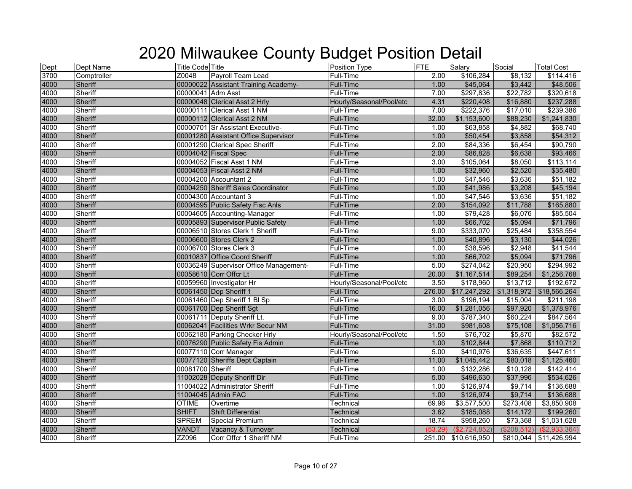| Dept | Dept Name      | <b>Title Code Title</b> |                                        | Position Type            | <b>FTE</b> | Salary                   | Social      | <b>Total Cost</b>        |
|------|----------------|-------------------------|----------------------------------------|--------------------------|------------|--------------------------|-------------|--------------------------|
| 3700 | Comptroller    | Z0048                   | Payroll Team Lead                      | Full-Time                | 2.00       | \$106,284                | \$8,132     | \$114,416                |
| 4000 | Sheriff        |                         | 00000022 Assistant Training Academy-   | <b>Full-Time</b>         | 1.00       | \$45,064                 | \$3,442     | \$48,506                 |
| 4000 | Sheriff        | 00000041 Adm Asst       |                                        | Full-Time                | 7.00       | \$297,836                | \$22,782    | \$320,618                |
| 4000 | Sheriff        |                         | 00000048 Clerical Asst 2 Hrly          | Hourly/Seasonal/Pool/etc | 4.31       | \$220,408                | \$16,880    | \$237,288                |
| 4000 | Sheriff        |                         | 00000111 Clerical Asst 1 NM            | Full-Time                | 7.00       | \$222,376                | \$17,010    | \$239,386                |
| 4000 | Sheriff        |                         | 00000112 Clerical Asst 2 NM            | <b>Full-Time</b>         | 32.00      | \$1,153,600              | \$88,230    | \$1,241,830              |
| 4000 | Sheriff        |                         | 00000701 Sr Assistant Executive-       | Full-Time                | 1.00       | \$63,858                 | \$4,882     | \$68,740                 |
| 4000 | Sheriff        |                         | 00001280 Assistant Office Supervisor   | <b>Full-Time</b>         | 1.00       | \$50,454                 | \$3,858     | \$54,312                 |
| 4000 | Sheriff        |                         | 00001290 Clerical Spec Sheriff         | Full-Time                | 2.00       | \$84,336                 | \$6,454     | \$90,790                 |
| 4000 | Sheriff        |                         | 00004042 Fiscal Spec                   | <b>Full-Time</b>         | 2.00       | \$86,828                 | \$6,638     | \$93,466                 |
| 4000 | Sheriff        |                         | 00004052 Fiscal Asst 1 NM              | Full-Time                | 3.00       | \$105,064                | \$8,050     | \$113,114                |
| 4000 | Sheriff        |                         | 00004053 Fiscal Asst 2 NM              | <b>Full-Time</b>         | 1.00       | \$32,960                 | \$2,520     | \$35,480                 |
| 4000 | Sheriff        |                         | 00004200 Accountant 2                  | Full-Time                | 1.00       | \$47,546                 | \$3,636     | \$51,182                 |
| 4000 | Sheriff        |                         | 00004250 Sheriff Sales Coordinator     | <b>Full-Time</b>         | 1.00       | \$41,986                 | \$3,208     | \$45,194                 |
| 4000 | Sheriff        |                         | 00004300 Accountant 3                  | Full-Time                | 1.00       | \$47,546                 | \$3,636     | \$51,182                 |
| 4000 | Sheriff        |                         | 00004595 Public Safety Fisc Anls       | <b>Full-Time</b>         | 2.00       | \$154,092                | \$11,788    | \$165,880                |
| 4000 | Sheriff        |                         | 00004605 Accounting-Manager            | Full-Time                | 1.00       | \$79,428                 | \$6,076     | \$85,504                 |
| 4000 | Sheriff        |                         | 00005893 Supervisor Public Safety      | Full-Time                | 1.00       | \$66,702                 | \$5,094     | \$71,796                 |
| 4000 | Sheriff        |                         | 00006510 Stores Clerk 1 Sheriff        | Full-Time                | 9.00       | \$333,070                | \$25,484    | \$358,554                |
| 4000 | Sheriff        |                         | 00006600 Stores Clerk 2                | <b>Full-Time</b>         | 1.00       | \$40,896                 | \$3,130     | \$44,026                 |
| 4000 | Sheriff        |                         | 00006700 Stores Clerk 3                | Full-Time                | 1.00       | \$38,596                 | \$2,948     | \$41,544                 |
| 4000 | <b>Sheriff</b> |                         | 00010837 Office Coord Sheriff          | <b>Full-Time</b>         | 1.00       | \$66,702                 | \$5,094     | \$71,796                 |
| 4000 | Sheriff        |                         | 00036249 Supervisor Office Management- | Full-Time                | 5.00       | \$274,042                | \$20,950    | \$294,992                |
| 4000 | Sheriff        |                         | 00058610 Corr Offcr Lt                 | Full-Time                | 20.00      | \$1,167,514              | \$89,254    | \$1,256,768              |
| 4000 | Sheriff        |                         | 00059960 Investigator Hr               | Hourly/Seasonal/Pool/etc | 3.50       | \$178,960                | \$13,712    | \$192,672                |
| 4000 | Sheriff        |                         | 00061450 Dep Sheriff 1                 | <b>Full-Time</b>         | 276.00     | \$17,247,292             |             | \$1,318,972 \$18,566,264 |
| 4000 | Sheriff        |                         | 00061460 Dep Sheriff 1 BI Sp           | Full-Time                | 3.00       | \$196,194                | \$15,004    | \$211,198                |
| 4000 | Sheriff        |                         | 00061700 Dep Sheriff Sgt               | Full-Time                | 16.00      | \$1,281,056              | \$97,920    | \$1,378,976              |
| 4000 | Sheriff        |                         | 00061711 Deputy Sheriff Lt.            | Full-Time                | 9.00       | \$787,340                | \$60,224    | \$847,564                |
| 4000 | <b>Sheriff</b> |                         | 00062041 Facilities Wrkr Secur NM      | <b>Full-Time</b>         | 31.00      | \$981,608                | \$75,108    | \$1,056,716              |
| 4000 | Sheriff        |                         | 00062180 Parking Checker Hrly          | Hourly/Seasonal/Pool/etc | 1.50       | \$76,702                 | \$5,870     | \$82,572                 |
| 4000 | Sheriff        |                         | 00076290 Public Safety Fis Admin       | <b>Full-Time</b>         | 1.00       | \$102,844                | \$7,868     | \$110,712                |
| 4000 | Sheriff        |                         | 00077110 Corr Manager                  | Full-Time                | 5.00       | \$410,976                | \$36,635    | \$447,611                |
| 4000 | Sheriff        |                         | 00077120 Sheriffs Dept Captain         | <b>Full-Time</b>         | 11.00      | \$1,045,442              | \$80,018    | \$1,125,460              |
| 4000 | Sheriff        | 00081700 Sheriff        |                                        | Full-Time                | 1.00       | \$132,286                | \$10,128    | \$142,414                |
| 4000 | Sheriff        |                         | 11002028 Deputy Sheriff Dir            | <b>Full-Time</b>         | 5.00       | \$496,630                | \$37,996    | \$534,626                |
| 4000 | Sheriff        |                         | 11004022 Administrator Sheriff         | Full-Time                | 1.00       | \$126,974                | \$9,714     | \$136,688                |
| 4000 | Sheriff        |                         | 11004045 Admin FAC                     | <b>Full-Time</b>         | 1.00       | \$126,974                | \$9,714     | \$136,688                |
| 4000 | Sheriff        | <b>OTIME</b>            | Overtime                               | Technical                | 69.96      | \$3,577,500              | \$273,408   | \$3,850,908              |
| 4000 | Sheriff        | <b>SHIFT</b>            | <b>Shift Differential</b>              | Technical                | 3.62       | \$185,088                | \$14,172    | \$199,260                |
| 4000 | Sheriff        | <b>SPREM</b>            | <b>Special Premium</b>                 | Technical                | 18.74      | \$958,260                | \$73,368    | \$1,031,628              |
| 4000 | Sheriff        | VANDT                   | Vacancy & Turnover                     | Technical                |            | $(53.29)$ $($2,724,852)$ | (\$208,512) | (\$2,933,364)            |
| 4000 | Sheriff        | ZZ096                   | Corr Offcr 1 Sheriff NM                | Full-Time                |            | 251.00 \$10,616,950      |             | \$810,044 \$11,426,994   |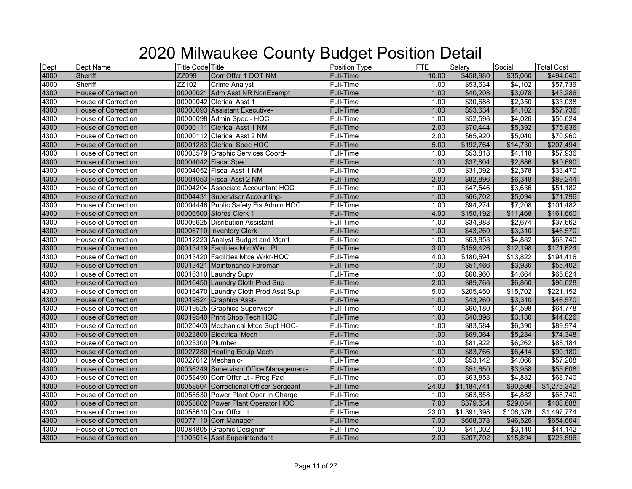| Dept | Dept Name                  | <b>Title Code Title</b> |                                        | Position Type    | FTE   | Salary      | Social    | <b>Total Cost</b> |
|------|----------------------------|-------------------------|----------------------------------------|------------------|-------|-------------|-----------|-------------------|
| 4000 | <b>Sheriff</b>             | ZZ099                   | Corr Offcr 1 DOT NM                    | Full-Time        | 10.00 | \$458,980   | \$35,060  | \$494,040         |
| 4000 | Sheriff                    | ZZ102                   | <b>Crime Analyst</b>                   | <b>Full-Time</b> | 1.00  | \$53,634    | \$4,102   | \$57,736          |
| 4300 | <b>House of Correction</b> |                         | 00000021 Adm Asst NR NonExempt         | <b>Full-Time</b> | 1.00  | \$40,208    | \$3,078   | \$43,286          |
| 4300 | House of Correction        |                         | 00000042 Clerical Asst 1               | Full-Time        | 1.00  | \$30,688    | \$2,350   | \$33,038          |
| 4300 | House of Correction        |                         | 00000093 Assistant Executive-          | Full-Time        | 1.00  | \$53,634    | \$4,102   | \$57,736          |
| 4300 | <b>House of Correction</b> |                         | 00000098 Admin Spec - HOC              | Full-Time        | 1.00  | \$52,598    | \$4,026   | \$56,624          |
| 4300 | <b>House of Correction</b> |                         | 00000111 Clerical Asst 1 NM            | <b>Full-Time</b> | 2.00  | \$70,444    | \$5,392   | \$75,836          |
| 4300 | House of Correction        |                         | 00000112 Clerical Asst 2 NM            | Full-Time        | 2.00  | \$65,920    | \$5,040   | \$70,960          |
| 4300 | <b>House of Correction</b> |                         | 00001283 Clerical Spec HOC             | Full-Time        | 5.00  | \$192,764   | \$14,730  | \$207,494         |
| 4300 | House of Correction        |                         | 00003579 Graphic Services Coord-       | Full-Time        | 1.00  | \$53,818    | \$4,118   | \$57,936          |
| 4300 | House of Correction        |                         | 00004042 Fiscal Spec                   | <b>Full-Time</b> | 1.00  | \$37,804    | \$2,886   | \$40,690          |
| 4300 | House of Correction        |                         | 00004052 Fiscal Asst 1 NM              | Full-Time        | 1.00  | \$31,092    | \$2,378   | \$33,470          |
| 4300 | <b>House of Correction</b> |                         | 00004053 Fiscal Asst 2 NM              | <b>Full-Time</b> | 2.00  | \$82,896    | \$6,348   | \$89,244          |
| 4300 | House of Correction        |                         | 00004204 Associate Accountant HOC      | Full-Time        | 1.00  | \$47,546    | \$3,636   | \$51,182          |
| 4300 | <b>House of Correction</b> |                         | 00004431 Supervisor Accounting-        | <b>Full-Time</b> | 1.00  | \$66,702    | \$5,094   | \$71,796          |
| 4300 | House of Correction        |                         | 00004446 Public Safety Fis Admin HOC   | Full-Time        | 1.00  | \$94,274    | \$7,208   | \$101,482         |
| 4300 | <b>House of Correction</b> |                         | 00006500 Stores Clerk 1                | <b>Full-Time</b> | 4.00  | \$150,192   | \$11,468  | \$161,660         |
| 4300 | House of Correction        |                         | 00006625 Disribution Assistant-        | <b>Full-Time</b> | 1.00  | \$34,988    | \$2,674   | \$37,662          |
| 4300 | <b>House of Correction</b> |                         | 00006710 Inventory Clerk               | Full-Time        | 1.00  | \$43,260    | \$3,310   | \$46,570          |
| 4300 | House of Correction        |                         | 00012223 Analyst Budget and Mgmt       | Full-Time        | 1.00  | \$63,858    | \$4,882   | \$68,740          |
| 4300 | House of Correction        |                         | 00013419 Facilities Mtc Wkr LPL        | Full-Time        | 3.00  | \$159,426   | \$12,198  | \$171,624         |
| 4300 | House of Correction        |                         | 00013420 Facilities Mtce Wrkr-HOC      | Full-Time        | 4.00  | \$180,594   | \$13,822  | \$194,416         |
| 4300 | <b>House of Correction</b> |                         | 00013421 Maintenance Foreman           | Full-Time        | 1.00  | \$51,466    | \$3,936   | \$55,402          |
| 4300 | House of Correction        |                         | 00016310 Laundry Supv                  | Full-Time        | 1.00  | \$60,960    | \$4,664   | \$65,624          |
| 4300 | House of Correction        |                         | 00016450 Laundry Cloth Prod Sup        | Full-Time        | 2.00  | \$89,768    | \$6,860   | \$96,628          |
| 4300 | House of Correction        |                         | 00016470 Laundry Cloth Prod Asst Sup   | Full-Time        | 5.00  | \$205,450   | \$15,702  | \$221,152         |
| 4300 | <b>House of Correction</b> |                         | 00019524 Graphics Asst-                | Full-Time        | 1.00  | \$43,260    | \$3,310   | \$46,570          |
| 4300 | House of Correction        |                         | 00019525 Graphics Supervisor           | Full-Time        | 1.00  | \$60,180    | \$4,598   | \$64,778          |
| 4300 | House of Correction        |                         | 00019540 Print Shop Tech HOC           | <b>Full-Time</b> | 1.00  | \$40,896    | \$3,130   | \$44,026          |
| 4300 | <b>House of Correction</b> |                         | 00020403 Mechanical Mtce Supt HOC-     | Full-Time        | 1.00  | \$83,584    | \$6,390   | \$89,974          |
| 4300 | House of Correction        |                         | 00023800 Electrical Mech               | <b>Full-Time</b> | 1.00  | \$69,064    | \$5,284   | \$74,348          |
| 4300 | <b>House of Correction</b> | 00025300 Plumber        |                                        | Full-Time        | 1.00  | \$81,922    | \$6,262   | \$88,184          |
| 4300 | <b>House of Correction</b> |                         | 00027280 Heating Equip Mech            | <b>Full-Time</b> | 1.00  | \$83,766    | \$6,414   | \$90,180          |
| 4300 | House of Correction        |                         | 00027612 Mechanic-                     | Full-Time        | 1.00  | \$53,142    | \$4,066   | \$57,208          |
| 4300 | <b>House of Correction</b> |                         | 00036249 Supervisor Office Management- | Full-Time        | 1.00  | \$51,650    | \$3,958   | \$55,608          |
| 4300 | House of Correction        |                         | 00058490 Corr Offcr Lt - Prog Facl     | Full-Time        | 1.00  | \$63,858    | \$4,882   | \$68,740          |
| 4300 | House of Correction        |                         | 00058504 Correctional Officer Sergeant | <b>Full-Time</b> | 24.00 | \$1,184,744 | \$90,598  | \$1,275,342       |
| 4300 | House of Correction        |                         | 00058530 Power Plant Oper In Charge    | Full-Time        | 1.00  | \$63,858    | \$4,882   | \$68,740          |
| 4300 | <b>House of Correction</b> |                         | 00058602 Power Plant Operator HOC      | Full-Time        | 7.00  | \$379,634   | \$29,054  | \$408,688         |
| 4300 | <b>House of Correction</b> |                         | 00058610 Corr Offcr Lt                 | Full-Time        | 23.00 | \$1,391,398 | \$106,376 | \$1,497,774       |
| 4300 | <b>House of Correction</b> |                         | 00077110 Corr Manager                  | Full-Time        | 7.00  | \$608,078   | \$46,526  | \$654,604         |
| 4300 | <b>House of Correction</b> |                         | 00084805 Graphic Designer-             | Full-Time        | 1.00  | \$41,002    | \$3,140   | \$44,142          |
| 4300 | <b>House of Correction</b> |                         | 11003014 Asst Superintendant           | <b>Full-Time</b> | 2.00  | \$207,702   | \$15,894  | \$223,596         |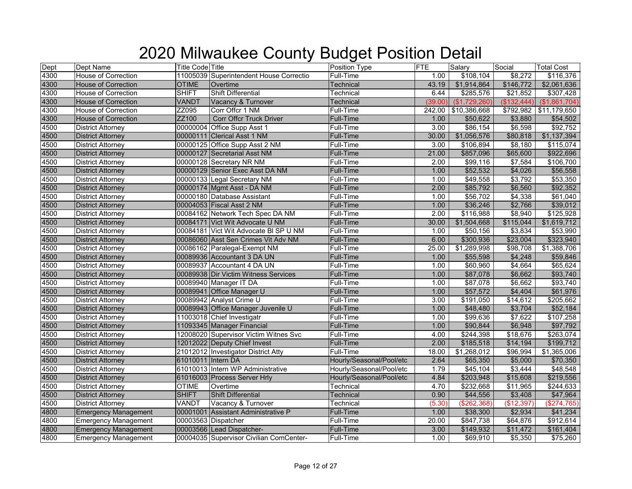| Dept | Dept Name                   | <b>Title Code Title</b> |                                         | Position Type            | <b>FTE</b> | Salary              | Social      | <b>Total Cost</b> |
|------|-----------------------------|-------------------------|-----------------------------------------|--------------------------|------------|---------------------|-------------|-------------------|
| 4300 | House of Correction         |                         | 11005039 Superintendent House Correctio | Full-Time                | 1.00       | \$108,104           | \$8,272     | \$116,376         |
| 4300 | <b>House of Correction</b>  | <b>OTIME</b>            | Overtime                                | <b>Technical</b>         | 43.19      | \$1,914,864         | \$146,772   | \$2,061,636       |
| 4300 | <b>House of Correction</b>  | <b>SHIFT</b>            | Shift Differential                      | Technical                | 6.44       | \$285,576           | \$21,852    | \$307,428         |
| 4300 | House of Correction         | VANDT                   | Vacancy & Turnover                      | Technical                | (39.00)    | (\$1,729,260)       | (\$132,444) | (\$1,861,704)     |
| 4300 | <b>House of Correction</b>  | ZZ095                   | Corr Offcr 1 NM                         | Full-Time                |            | 242.00 \$10,386,668 | \$792,982   | \$11,179,650      |
| 4300 | <b>House of Correction</b>  | ZZ100                   | <b>Corr Offer Truck Driver</b>          | Full-Time                | 1.00       | \$50,622            | \$3,880     | \$54,502          |
| 4500 | <b>District Attorney</b>    |                         | 00000004 Office Supp Asst 1             | Full-Time                | 3.00       | \$86,154            | \$6,598     | \$92,752          |
| 4500 | <b>District Attorney</b>    |                         | 00000111 Clerical Asst 1 NM             | <b>Full-Time</b>         | 30.00      | \$1,056,576         | \$80,818    | \$1,137,394       |
| 4500 | <b>District Attorney</b>    |                         | 00000125 Office Supp Asst 2 NM          | Full-Time                | 3.00       | \$106,894           | \$8,180     | \$115,074         |
| 4500 | <b>District Attorney</b>    |                         | 00000127 Secretarial Asst NM            | <b>Full-Time</b>         | 21.00      | \$857,096           | \$65,600    | \$922,696         |
| 4500 | <b>District Attorney</b>    |                         | 00000128 Secretary NR NM                | <b>Full-Time</b>         | 2.00       | \$99,116            | \$7,584     | \$106,700         |
| 4500 | <b>District Attorney</b>    |                         | 00000129 Senior Exec Asst DA NM         | <b>Full-Time</b>         | 1.00       | \$52,532            | \$4,026     | \$56,558          |
| 4500 | <b>District Attorney</b>    |                         | 00000133 Legal Secretary NM             | Full-Time                | 1.00       | \$49,558            | \$3,792     | \$53,350          |
| 4500 | <b>District Attorney</b>    |                         | 00000174 Mgmt Asst - DA NM              | <b>Full-Time</b>         | 2.00       | \$85,792            | \$6,560     | \$92,352          |
| 4500 | <b>District Attorney</b>    |                         | 00000180 Database Assistant             | Full-Time                | 1.00       | \$56,702            | \$4,338     | \$61,040          |
| 4500 | <b>District Attorney</b>    |                         | 00004053 Fiscal Asst 2 NM               | <b>Full-Time</b>         | 1.00       | \$36,246            | \$2,766     | \$39,012          |
| 4500 | <b>District Attorney</b>    |                         | 00084162 Network Tech Spec DA NM        | <b>Full-Time</b>         | 2.00       | \$116,988           | \$8,940     | \$125,928         |
| 4500 | <b>District Attorney</b>    |                         | 00084171 Vict Wit Advocate U NM         | <b>Full-Time</b>         | 30.00      | \$1,504,668         | \$115,044   | \$1,619,712       |
| 4500 | <b>District Attorney</b>    |                         | 00084181 Vict Wit Advocate BI SP U NM   | Full-Time                | 1.00       | \$50,156            | \$3,834     | \$53,990          |
| 4500 | <b>District Attorney</b>    |                         | 00086060 Asst Sen Crimes Vit Adv NM     | <b>Full-Time</b>         | 6.00       | \$300,936           | \$23,004    | \$323,940         |
| 4500 | <b>District Attorney</b>    |                         | 00086162 Paralegal-Exempt NM            | Full-Time                | 25.00      | \$1,289,998         | \$98,708    | \$1,388,706       |
| 4500 | <b>District Attorney</b>    |                         | 00089936 Accountant 3 DA UN             | <b>Full-Time</b>         | 1.00       | \$55,598            | \$4,248     | \$59,846          |
| 4500 | <b>District Attorney</b>    |                         | 00089937 Accountant 4 DA UN             | Full-Time                | 1.00       | \$60,960            | \$4,664     | \$65,624          |
| 4500 | <b>District Attorney</b>    |                         | 00089938 Dir Victim Witness Services    | Full-Time                | 1.00       | \$87,078            | \$6,662     | \$93,740          |
| 4500 | <b>District Attorney</b>    |                         | 00089940 Manager IT DA                  | Full-Time                | 1.00       | \$87,078            | \$6,662     | \$93,740          |
| 4500 | <b>District Attorney</b>    |                         | 00089941 Office Manager U               | Full-Time                | 1.00       | \$57,572            | \$4,404     | \$61,976          |
| 4500 | <b>District Attorney</b>    |                         | 00089942 Analyst Crime U                | <b>Full-Time</b>         | 3.00       | \$191,050           | \$14,612    | \$205,662         |
| 4500 | <b>District Attorney</b>    |                         | 00089943 Office Manager Juvenile U      | <b>Full-Time</b>         | 1.00       | \$48,480            | \$3,704     | \$52,184          |
| 4500 | <b>District Attorney</b>    |                         | 11003018 Chief Investigatr              | Full-Time                | 1.00       | \$99,636            | \$7,622     | \$107,258         |
| 4500 | <b>District Attorney</b>    |                         | 11093345 Manager Financial              | <b>Full-Time</b>         | 1.00       | \$90,844            | \$6,948     | \$97,792          |
| 4500 | <b>District Attorney</b>    |                         | 12008020 Supervisor Victim Witnes Svc   | Full-Time                | 4.00       | \$244,398           | \$18,676    | \$263,074         |
| 4500 | <b>District Attorney</b>    |                         | 12012022 Deputy Chief Invest            | <b>Full-Time</b>         | 2.00       | \$185,518           | \$14,194    | \$199,712         |
| 4500 | <b>District Attorney</b>    |                         | 21012012 Investigator District Atty     | <b>Full-Time</b>         | 18.00      | \$1,268,012         | \$96,994    | \$1,365,006       |
| 4500 | <b>District Attorney</b>    | 61010011 Intern DA      |                                         | Hourly/Seasonal/Pool/etc | 2.64       | \$65,350            | \$5,000     | \$70,350          |
| 4500 | <b>District Attorney</b>    |                         | 61010013 Intern WP Administrative       | Hourly/Seasonal/Pool/etc | 1.79       | \$45,104            | \$3,444     | \$48,548          |
| 4500 | <b>District Attorney</b>    |                         | 61016003 Process Server Hrly            | Hourly/Seasonal/Pool/etc | 4.84       | \$203,948           | \$15,608    | \$219,556         |
| 4500 | <b>District Attorney</b>    | <b>OTIME</b>            | Overtime                                | Technical                | 4.70       | \$232,668           | \$11,965    | \$244,633         |
| 4500 | <b>District Attorney</b>    | <b>SHIFT</b>            | <b>Shift Differential</b>               | Technical                | 0.90       | \$44,556            | \$3,408     | \$47,964          |
| 4500 | <b>District Attorney</b>    | VANDT                   | Vacancy & Turnover                      | Technical                | (5.30)     | (\$262,368)         | (\$12,397   | (\$274,765)       |
| 4800 | <b>Emergency Management</b> |                         | 00001001 Assistant Administrative P     | <b>Full-Time</b>         | 1.00       | \$38,300            | \$2,934     | \$41,234          |
| 4800 | <b>Emergency Management</b> |                         | 00003563 Dispatcher                     | Full-Time                | 20.00      | \$847,738           | \$64,876    | \$912,614         |
| 4800 | <b>Emergency Management</b> |                         | 00003566 Lead Dispatcher-               | <b>Full-Time</b>         | 3.00       | \$149,932           | \$11,472    | \$161,404         |
| 4800 | <b>Emergency Management</b> |                         | 00004035 Supervisor Civilian ComCenter- | Full-Time                | 1.00       | \$69,910            | \$5,350     | \$75,260          |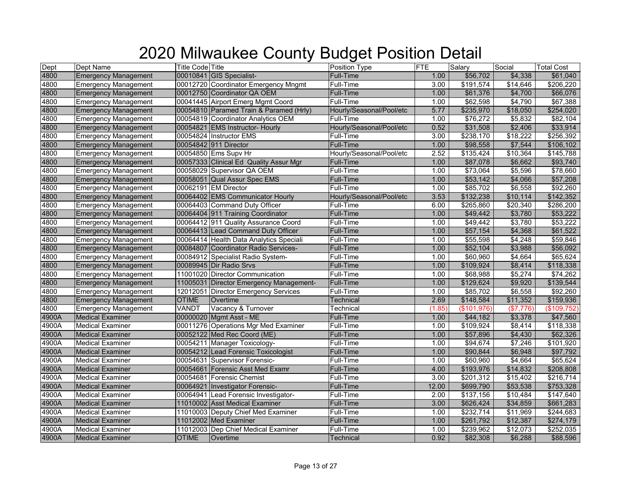| Dept  | Dept Name                   | <b>Title Code</b> Title |                                         | Position Type            | <b>FTE</b> | Salary      | Social    | <b>Total Cost</b> |
|-------|-----------------------------|-------------------------|-----------------------------------------|--------------------------|------------|-------------|-----------|-------------------|
| 4800  | <b>Emergency Management</b> |                         | 00010841 GIS Specialist-                | Full-Time                | 1.00       | \$56,702    | \$4,338   | \$61,040          |
| 4800  | <b>Emergency Management</b> |                         | 00012720 Coordinator Emergency Mngmt    | <b>Full-Time</b>         | 3.00       | \$191,574   | \$14,646  | \$206,220         |
| 4800  | <b>Emergency Management</b> |                         | 00012750 Coordinator QA OEM             | <b>Full-Time</b>         | 1.00       | \$61,376    | \$4,700   | \$66,076          |
| 4800  | <b>Emergency Management</b> |                         | 00041445 Airport Emerg Mgmt Coord       | Full-Time                | 1.00       | \$62,598    | \$4,790   | \$67,388          |
| 4800  | <b>Emergency Management</b> |                         | 00054810 Paramed Train & Paramed (Hrly) | Hourly/Seasonal/Pool/etc | 5.77       | \$235,970   | \$18,050  | \$254,020         |
| 4800  | <b>Emergency Management</b> |                         | 00054819 Coordinator Analytics OEM      | Full-Time                | 1.00       | \$76,272    | \$5,832   | \$82,104          |
| 4800  | <b>Emergency Management</b> |                         | 00054821 EMS Instructor- Hourly         | Hourly/Seasonal/Pool/etc | 0.52       | \$31,508    | \$2,406   | \$33,914          |
| 4800  | <b>Emergency Management</b> |                         | 00054824 Instructor EMS                 | <b>Full-Time</b>         | 3.00       | \$238,170   | \$18,222  | \$256,392         |
| 4800  | <b>Emergency Management</b> |                         | 00054842 911 Director                   | Full-Time                | 1.00       | \$98,558    | \$7,544   | \$106,102         |
| 4800  | <b>Emergency Management</b> |                         | 00054850 Ems Supv Hr                    | Hourly/Seasonal/Pool/etc | 2.52       | \$135,424   | \$10,364  | \$145,788         |
| 4800  | <b>Emergency Management</b> |                         | 00057333 Clinical Ed Quality Assur Mgr  | <b>Full-Time</b>         | 1.00       | \$87,078    | \$6,662   | \$93,740          |
| 4800  | <b>Emergency Management</b> |                         | 00058029 Supervisor QA OEM              | Full-Time                | 1.00       | \$73,064    | \$5,596   | \$78,660          |
| 4800  | <b>Emergency Management</b> |                         | 00058051 Qual Assur Spec EMS            | <b>Full-Time</b>         | 1.00       | \$53,142    | \$4,066   | \$57,208          |
| 4800  | <b>Emergency Management</b> |                         | 00062191 EM Director                    | Full-Time                | 1.00       | \$85,702    | \$6,558   | \$92,260          |
| 4800  | <b>Emergency Management</b> |                         | 00064402 EMS Communicator Hourly        | Hourly/Seasonal/Pool/etc | 3.53       | \$132,238   | \$10,114  | \$142,352         |
| 4800  | <b>Emergency Management</b> |                         | 00064403 Command Duty Officer           | Full-Time                | 6.00       | \$265,860   | \$20,340  | \$286,200         |
| 4800  | <b>Emergency Management</b> |                         | 00064404 911 Training Coordinator       | <b>Full-Time</b>         | 1.00       | \$49,442    | \$3,780   | \$53,222          |
| 4800  | <b>Emergency Management</b> |                         | 00064412 911 Quality Assurance Coord    | Full-Time                | 1.00       | \$49,442    | \$3,780   | \$53,222          |
| 4800  | <b>Emergency Management</b> |                         | 00064413 Lead Command Duty Officer      | Full-Time                | 1.00       | \$57,154    | \$4,368   | \$61,522          |
| 4800  | <b>Emergency Management</b> |                         | 00064414 Health Data Analytics Speciali | Full-Time                | 1.00       | \$55,598    | \$4,248   | \$59,846          |
| 4800  | <b>Emergency Management</b> |                         | 00084807 Coordinator Radio Services-    | <b>Full-Time</b>         | 1.00       | \$52,104    | \$3,988   | \$56,092          |
| 4800  | <b>Emergency Management</b> |                         | 00084912 Specialist Radio System-       | Full-Time                | 1.00       | \$60,960    | \$4,664   | \$65,624          |
| 4800  | <b>Emergency Management</b> |                         | 00089945 Dir Radio Srvs                 | Full-Time                | 1.00       | \$109,924   | \$8,414   | \$118,338         |
| 4800  | <b>Emergency Management</b> |                         | 11001020 Director Communication         | Full-Time                | 1.00       | \$68,988    | \$5,274   | \$74,262          |
| 4800  | <b>Emergency Management</b> |                         | 11005031 Director Emergency Management- | Full-Time                | 1.00       | \$129,624   | \$9,920   | \$139,544         |
| 4800  | <b>Emergency Management</b> |                         | 12012051 Director Emergency Services    | Full-Time                | 1.00       | \$85,702    | \$6,558   | \$92,260          |
| 4800  | <b>Emergency Management</b> | <b>OTIME</b>            | Overtime                                | Technical                | 2.69       | \$148,584   | \$11,352  | \$159,936         |
| 4800  | <b>Emergency Management</b> | VANDT                   | Vacancy & Turnover                      | Technical                | (1.85)     | (\$101,976) | (\$7,776) | (\$109,752)       |
| 4900A | <b>Medical Examiner</b>     |                         | 00000020 Mgmt Asst - ME                 | Full-Time                | 1.00       | \$44,182    | \$3,378   | \$47,560          |
| 4900A | <b>Medical Examiner</b>     |                         | 00011276 Operations Mgr Med Examiner    | Full-Time                | 1.00       | \$109,924   | \$8,414   | \$118,338         |
| 4900A | <b>Medical Examiner</b>     |                         | 00052122 Med Rec Coord (ME)             | <b>Full-Time</b>         | 1.00       | \$57,896    | \$4,430   | \$62,326          |
| 4900A | <b>Medical Examiner</b>     |                         | 00054211 Manager Toxicology-            | <b>Full-Time</b>         | 1.00       | \$94,674    | \$7,246   | \$101,920         |
| 4900A | <b>Medical Examiner</b>     |                         | 00054212 Lead Forensic Toxicologist     | <b>Full-Time</b>         | 1.00       | \$90,844    | \$6,948   | \$97,792          |
| 4900A | <b>Medical Examiner</b>     |                         | 00054631 Supervisor Forensic-           | Full-Time                | 1.00       | \$60,960    | \$4,664   | \$65,624          |
| 4900A | <b>Medical Examiner</b>     |                         | 00054661  Forensic Asst Med Examr       | Full-Time                | 4.00       | \$193,976   | \$14,832  | \$208,808         |
| 4900A | <b>Medical Examiner</b>     |                         | 00054681 Forensic Chemist               | Full-Time                | 3.00       | \$201,312   | \$15,402  | \$216,714         |
| 4900A | <b>Medical Examiner</b>     |                         | 00064921 Investigator Forensic-         | <b>Full-Time</b>         | 12.00      | \$699,790   | \$53,538  | \$753,328         |
| 4900A | <b>Medical Examiner</b>     |                         | 00064941 Lead Forensic Investigator-    | Full-Time                | 2.00       | \$137,156   | \$10,484  | \$147,640         |
| 4900A | <b>Medical Examiner</b>     |                         | 11010002 Asst Medical Examiner          | Full-Time                | 3.00       | \$626,424   | \$34,859  | \$661,283         |
| 4900A | <b>Medical Examiner</b>     |                         | 11010003 Deputy Chief Med Examiner      | Full-Time                | 1.00       | \$232,714   | \$11,969  | \$244,683         |
| 4900A | <b>Medical Examiner</b>     |                         | 11012002 Med Examiner                   | <b>Full-Time</b>         | 1.00       | \$261,792   | \$12,387  | \$274,179         |
| 4900A | <b>Medical Examiner</b>     |                         | 11012003 Dep Chief Medical Examiner     | Full-Time                | 1.00       | \$239,962   | \$12,073  | \$252,035         |
| 4900A | <b>Medical Examiner</b>     | <b>OTIME</b>            | Overtime                                | Technical                | 0.92       | \$82,308    | \$6,288   | \$88,596          |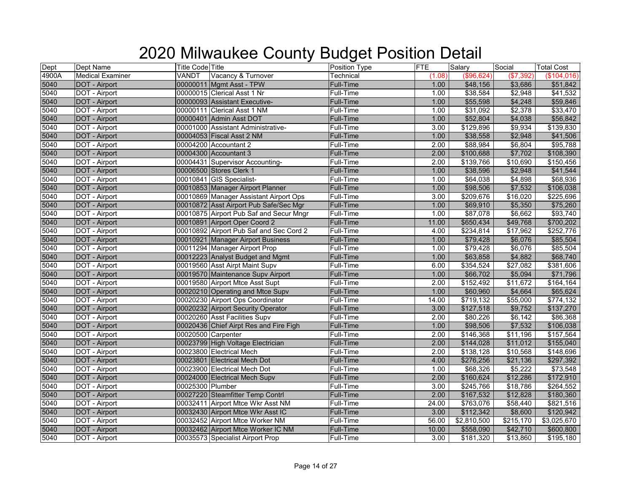| Dept              | Dept Name               | <b>Title Code Title</b>                 | Position Type    | <b>FTE</b> | Salary                | Social    | <b>Total Cost</b> |
|-------------------|-------------------------|-----------------------------------------|------------------|------------|-----------------------|-----------|-------------------|
| 4900A             | <b>Medical Examiner</b> | Vacancy & Turnover<br>VANDT             | Technical        | (1.08)     | (\$96,624)            | (\$7,392  | (\$104,016)       |
| 5040              | <b>DOT</b> - Airport    | 00000011 Mgmt Asst - TPW                | <b>Full-Time</b> | 1.00       | \$48,156              | \$3,686   | \$51,842          |
| 5040              | DOT - Airport           | 00000015 Clerical Asst 1 Nr             | Full-Time        | 1.00       | \$38,584              | \$2,948   | \$41,532          |
| 5040              | DOT - Airport           | 00000093 Assistant Executive-           | Full-Time        | 1.00       | \$55,598              | \$4,248   | \$59,846          |
| 5040              | DOT - Airport           | 00000111 Clerical Asst 1 NM             | Full-Time        | 1.00       | \$31,092              | \$2,378   | \$33,470          |
| 5040              | <b>DOT - Airport</b>    | 00000401 Admin Asst DOT                 | <b>Full-Time</b> | 1.00       | \$52,804              | \$4,038   | \$56,842          |
| 5040              | DOT - Airport           | 00001000 Assistant Administrative-      | Full-Time        | 3.00       | \$129,896             | \$9,934   | \$139,830         |
| 5040              | <b>DOT</b> - Airport    | 00004053 Fiscal Asst 2 NM               | <b>Full-Time</b> | 1.00       | \$38,558              | \$2,948   | \$41,506          |
| 5040              | DOT - Airport           | 00004200 Accountant 2                   | Full-Time        | 2.00       | \$88,984              | \$6,804   | \$95,788          |
| 5040              | DOT - Airport           | 00004300 Accountant 3                   | <b>Full-Time</b> | 2.00       | \$100,688             | \$7,702   | \$108,390         |
| 5040              | DOT - Airport           | 00004431 Supervisor Accounting-         | Full-Time        | 2.00       | \$139,766             | \$10,690  | \$150,456         |
| 5040              | <b>DOT - Airport</b>    | 00006500 Stores Clerk 1                 | Full-Time        | 1.00       | \$38,596              | \$2,948   | \$41,544          |
| 5040              | DOT - Airport           | 00010841 GIS Specialist-                | Full-Time        | 1.00       | \$64,038              | \$4,898   | \$68,936          |
| 5040              | <b>DOT</b> - Airport    | 00010853 Manager Airport Planner        | <b>Full-Time</b> | 1.00       | \$98,506              | \$7,532   | \$106,038         |
| $\overline{5040}$ | DOT - Airport           | 00010869 Manager Assistant Airport Ops  | Full-Time        | 3.00       | $\overline{$209,676}$ | \$16,020  | \$225,696         |
| 5040              | <b>DOT - Airport</b>    | 00010872 Asst Airport Pub Safe/Sec Mgr  | Full-Time        | 1.00       | \$69,910              | \$5,350   | \$75,260          |
| 5040              | DOT - Airport           | 00010875 Airport Pub Saf and Secur Mngr | Full-Time        | 1.00       | \$87,078              | \$6,662   | \$93,740          |
| 5040              | DOT - Airport           | 00010891 Airport Oper Coord 2           | Full-Time        | 11.00      | \$650,434             | \$49,768  | \$700,202         |
| 5040              | DOT - Airport           | 00010892 Airport Pub Saf and Sec Cord 2 | Full-Time        | 4.00       | $\overline{$}234,814$ | \$17,962  | \$252,776         |
| 5040              | DOT - Airport           | 00010921 Manager Airport Business       | <b>Full-Time</b> | 1.00       | \$79,428              | \$6,076   | \$85,504          |
| 5040              | DOT - Airport           | 00011294 Manager Airport Prop           | Full-Time        | 1.00       | \$79,428              | \$6,076   | \$85,504          |
| 5040              | DOT - Airport           | 00012223 Analyst Budget and Mgmt        | Full-Time        | 1.00       | \$63,858              | \$4,882   | \$68,740          |
| 5040              | DOT - Airport           | 00019560 Asst Airpt Maint Supv          | Full-Time        | 6.00       | \$354,524             | \$27,082  | \$381,606         |
| 5040              | <b>DOT - Airport</b>    | 00019570 Maintenance Supv Airport       | Full-Time        | 1.00       | \$66,702              | \$5,094   | \$71,796          |
| 5040              | DOT - Airport           | 00019580 Airport Mtce Asst Supt         | Full-Time        | 2.00       | \$152,492             | \$11,672  | \$164,164         |
| 5040              | <b>DOT - Airport</b>    | 00020210 Operating and Mtce Supv        | Full-Time        | 1.00       | \$60,960              | \$4,664   | \$65,624          |
| 5040              | DOT - Airport           | 00020230 Airport Ops Coordinator        | Full-Time        | 14.00      | \$719,132             | \$55,000  | \$774,132         |
| 5040              | <b>DOT</b> - Airport    | 00020232 Airport Security Operator      | <b>Full-Time</b> | 3.00       | \$127,518             | \$9,752   | \$137,270         |
| 5040              | DOT - Airport           | 00020260 Asst Facilities Supv           | Full-Time        | 2.00       | \$80,226              | \$6,142   | \$86,368          |
| 5040              | DOT - Airport           | 00020436 Chief Airpt Res and Fire Figh  | <b>Full-Time</b> | 1.00       | \$98,506              | \$7,532   | \$106,038         |
| 5040              | DOT - Airport           | 00020500 Carpenter                      | Full-Time        | 2.00       | \$146,368             | \$11,196  | \$157,564         |
| 5040              | <b>DOT - Airport</b>    | 00023799 High Voltage Electrician       | Full-Time        | 2.00       | \$144,028             | \$11,012  | \$155,040         |
| 5040              | DOT - Airport           | 00023800 Electrical Mech                | Full-Time        | 2.00       | \$138,128             | \$10,568  | \$148,696         |
| 5040              | DOT - Airport           | 00023801 Electrical Mech Dot            | <b>Full-Time</b> | 4.00       | \$276,256             | \$21,136  | \$297,392         |
| 5040              | DOT - Airport           | 00023900 Electrical Mech Dot            | Full-Time        | 1.00       | \$68,326              | \$5,222   | \$73,548          |
| 5040              | DOT - Airport           | 00024000 Electrical Mech Supv           | <b>Full-Time</b> | 2.00       | \$160,624             | \$12,286  | \$172,910         |
| 5040              | DOT - Airport           | 00025300 Plumber                        | Full-Time        | 3.00       | \$245,766             | \$18,786  | \$264,552         |
| 5040              | <b>DOT - Airport</b>    | 00027220 Steamfitter Temp Contrl        | <b>Full-Time</b> | 2.00       | \$167,532             | \$12,828  | \$180,360         |
| 5040              | DOT - Airport           | 00032411 Airport Mtce Wkr Asst NM       | Full-Time        | 24.00      | \$763,076             | \$58,440  | \$821,516         |
| 5040              | <b>DOT - Airport</b>    | 00032430 Airport Mtce Wkr Asst IC       | Full-Time        | 3.00       | \$112,342             | \$8,600   | \$120,942         |
| 5040              | DOT - Airport           | 00032452 Airport Mtce Worker NM         | Full-Time        | 56.00      | \$2,810,500           | \$215,170 | \$3,025,670       |
| 5040              | DOT - Airport           | 00032462 Airport Mtce Worker IC NM      | Full-Time        | 10.00      | \$558,090             | \$42,710  | \$600,800         |
| 5040              | DOT - Airport           | 00035573 Specialist Airport Prop        | <b>Full-Time</b> | 3.00       | \$181,320             | \$13,860  | \$195,180         |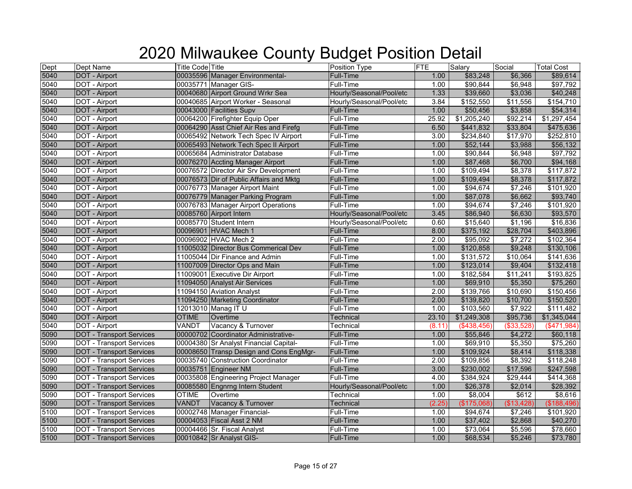| Dept | Dept Name                       | <b>Title Code Title</b>                 | Position Type            | <b>FTE</b> | Salary      | Social     | <b>Total Cost</b> |
|------|---------------------------------|-----------------------------------------|--------------------------|------------|-------------|------------|-------------------|
| 5040 | DOT - Airport                   | 00035596 Manager Environmental-         | Full-Time                | 1.00       | \$83,248    | \$6,366    | \$89,614          |
| 5040 | DOT - Airport                   | 00035771 Manager GIS-                   | <b>Full-Time</b>         | 1.00       | \$90,844    | \$6,948    | \$97,792          |
| 5040 | DOT - Airport                   | 00040680 Airport Ground Wrkr Sea        | Hourly/Seasonal/Pool/etc | 1.33       | \$39,660    | \$3,036    | \$40,248          |
| 5040 | DOT - Airport                   | 00040685 Airport Worker - Seasonal      | Hourly/Seasonal/Pool/etc | 3.84       | \$152,550   | \$11,556   | \$154,710         |
| 5040 | DOT - Airport                   | 00043000 Facilities Supv                | <b>Full-Time</b>         | 1.00       | \$50,456    | \$3,858    | \$54,314          |
| 5040 | DOT - Airport                   | 00064200 Firefighter Equip Oper         | Full-Time                | 25.92      | \$1,205,240 | \$92,214   | \$1,297,454       |
| 5040 | <b>DOT - Airport</b>            | 00064290 Asst Chief Air Res and Firefg  | Full-Time                | 6.50       | \$441,832   | \$33,804   | \$475,636         |
| 5040 | DOT - Airport                   | 00065492 Network Tech Spec IV Airport   | Full-Time                | 3.00       | \$234,840   | \$17,970   | \$252,810         |
| 5040 | <b>DOT</b> - Airport            | 00065493 Network Tech Spec II Airport   | Full-Time                | 1.00       | \$52,144    | \$3,988    | \$56,132          |
| 5040 | DOT - Airport                   | 00065684 Administrator Database         | Full-Time                | 1.00       | \$90,844    | \$6,948    | \$97,792          |
| 5040 | DOT - Airport                   | 00076270 Accting Manager Airport        | <b>Full-Time</b>         | 1.00       | \$87,468    | \$6,700    | \$94,168          |
| 5040 | DOT - Airport                   | 00076572 Director Air Srv Development   | Full-Time                | 1.00       | \$109,494   | \$8,378    | \$117,872         |
| 5040 | <b>DOT - Airport</b>            | 00076573 Dir of Public Affairs and Mktg | Full-Time                | 1.00       | \$109,494   | \$8,378    | \$117,872         |
| 5040 | DOT - Airport                   | 00076773 Manager Airport Maint          | Full-Time                | 1.00       | \$94,674    | \$7,246    | \$101,920         |
| 5040 | DOT - Airport                   | 00076779 Manager Parking Program        | <b>Full-Time</b>         | 1.00       | \$87,078    | \$6,662    | \$93,740          |
| 5040 | DOT - Airport                   | 00076783 Manager Airport Operations     | <b>Full-Time</b>         | 1.00       | \$94,674    | \$7,246    | \$101,920         |
| 5040 | DOT - Airport                   | 00085760 Airport Intern                 | Hourly/Seasonal/Pool/etc | 3.45       | \$86,940    | \$6,630    | \$93,570          |
| 5040 | DOT - Airport                   | 00085770 Student Intern                 | Hourly/Seasonal/Pool/etc | 0.60       | \$15,640    | \$1,196    | \$16,836          |
| 5040 | DOT - Airport                   | 00096901 HVAC Mech 1                    | <b>Full-Time</b>         | 8.00       | \$375,192   | \$28,704   | \$403,896         |
| 5040 | DOT - Airport                   | 00096902 HVAC Mech 2                    | Full-Time                | 2.00       | \$95,092    | \$7,272    | \$102,364         |
| 5040 | DOT - Airport                   | 11005032 Director Bus Commerical Dev    | <b>Full-Time</b>         | 1.00       | \$120,858   | \$9,248    | \$130,106         |
| 5040 | DOT - Airport                   | 11005044 Dir Finance and Admin          | Full-Time                | 1.00       | \$131,572   | \$10,064   | \$141,636         |
| 5040 | DOT - Airport                   | 11007009 Director Ops and Main          | <b>Full-Time</b>         | 1.00       | \$123,014   | \$9,404    | \$132,418         |
| 5040 | DOT - Airport                   | 11009001 Executive Dir Airport          | Full-Time                | 1.00       | \$182,584   | \$11,241   | \$193,825         |
| 5040 | DOT - Airport                   | 11094050 Analyst Air Services           | Full-Time                | 1.00       | \$69,910    | \$5,350    | \$75,260          |
| 5040 | DOT - Airport                   | 11094150 Aviation Analyst               | Full-Time                | 2.00       | \$139,766   | \$10,690   | \$150,456         |
| 5040 | <b>DOT - Airport</b>            | 11094250 Marketing Coordinator          | <b>Full-Time</b>         | 2.00       | \$139,820   | \$10,700   | \$150,520         |
| 5040 | DOT - Airport                   | 12013010 Manag IT U                     | Full-Time                | 1.00       | \$103,560   | \$7,922    | \$111,482         |
| 5040 | DOT - Airport                   | <b>OTIME</b><br>Overtime                | <b>Technical</b>         | 23.10      | \$1,249,308 | \$95,736   | \$1,345,044       |
| 5040 | DOT - Airport                   | VANDT<br>Vacancy & Turnover             | Technical                | (8.11)     | (\$438,456) | (\$33,528) | $(*471,984)$      |
| 5090 | <b>DOT - Transport Services</b> | 00000702 Coordinator Administrative-    | Full-Time                | 1.00       | \$55,846    | \$4,272    | \$60,118          |
| 5090 | <b>DOT</b> - Transport Services | 00004380 Sr Analyst Financial Capital-  | <b>Full-Time</b>         | 1.00       | \$69,910    | \$5,350    | \$75,260          |
| 5090 | <b>DOT - Transport Services</b> | 00008650 Transp Design and Cons EngMgr- | <b>Full-Time</b>         | 1.00       | \$109,924   | \$8,414    | \$118,338         |
| 5090 | <b>DOT - Transport Services</b> | 00035740 Construction Coordinator       | Full-Time                | 2.00       | \$109,856   | \$8,392    | \$118,248         |
| 5090 | <b>DOT - Transport Services</b> | 00035751 Engineer NM                    | <b>Full-Time</b>         | 3.00       | \$230,002   | \$17,596   | \$247,598         |
| 5090 | <b>DOT - Transport Services</b> | 00035808 Engineering Project Manager    | Full-Time                | 4.00       | \$384,924   | \$29,444   | \$414,368         |
| 5090 | <b>DOT - Transport Services</b> | 00085580 Engnrng Intern Student         | Hourly/Seasonal/Pool/etc | 1.00       | \$26,378    | \$2,014    | \$28,392          |
| 5090 | <b>DOT</b> - Transport Services | <b>OTIME</b><br>Overtime                | Technical                | 1.00       | \$8,004     | \$612      | \$8,616           |
| 5090 | <b>DOT - Transport Services</b> | <b>VANDT</b><br>Vacancy & Turnover      | <b>Technical</b>         | (2.25)     | (\$175,068) | (\$13,428) | (\$188,496)       |
| 5100 | <b>DOT - Transport Services</b> | 00002748 Manager Financial-             | Full-Time                | 1.00       | \$94,674    | \$7,246    | \$101,920         |
| 5100 | <b>DOT - Transport Services</b> | 00004053 Fiscal Asst 2 NM               | Full-Time                | 1.00       | \$37,402    | \$2,868    | \$40,270          |
| 5100 | <b>DOT - Transport Services</b> | 00004466 Sr. Fiscal Analyst             | <b>Full-Time</b>         | 1.00       | \$73,064    | \$5,596    | \$78,660          |
| 5100 | <b>DOT - Transport Services</b> | 00010842 Sr Analyst GIS-                | <b>Full-Time</b>         | 1.00       | \$68,534    | \$5,246    | \$73,780          |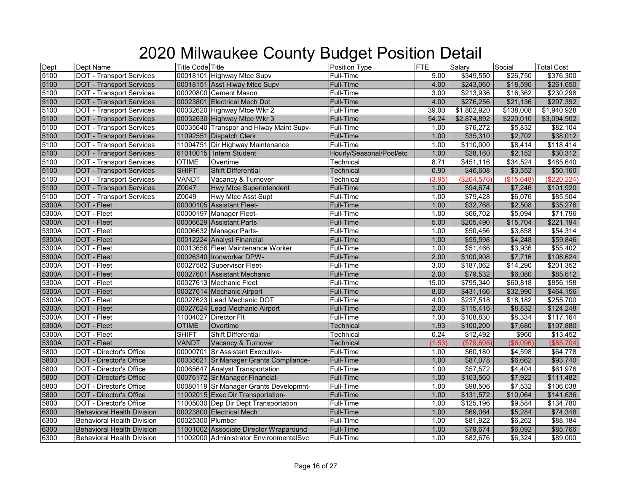| Dept  | Dept Name                         | <b>Title Code Title</b> |                                         | Position Type            | <b>FTE</b> | Salary      | Social     | <b>Total Cost</b> |
|-------|-----------------------------------|-------------------------|-----------------------------------------|--------------------------|------------|-------------|------------|-------------------|
| 5100  | <b>DOT - Transport Services</b>   |                         | 00018101 Highway Mtce Supv              | Full-Time                | 5.00       | \$349,550   | \$26,750   | \$376,300         |
| 5100  | <b>DOT - Transport Services</b>   |                         | 00018151 Asst Hiway Mtce Supv           | <b>Full-Time</b>         | 4.00       | \$243,060   | \$18,590   | \$261,650         |
| 5100  | <b>DOT - Transport Services</b>   |                         | 00020800 Cement Mason                   | Full-Time                | 3.00       | \$213,936   | \$16,362   | \$230,298         |
| 5100  | <b>DOT - Transport Services</b>   |                         | 00023801 Electrical Mech Dot            | <b>Full-Time</b>         | 4.00       | \$276,256   | \$21,136   | \$297,392         |
| 5100  | <b>DOT - Transport Services</b>   |                         | 00032620 Highway Mtce Wkr 2             | Full-Time                | 39.00      | \$1,802,920 | \$138,008  | \$1,940,928       |
| 5100  | <b>DOT - Transport Services</b>   |                         | 00032630 Highway Mtce Wkr 3             | Full-Time                | 54.24      | \$2,874,892 | \$220,010  | \$3,094,902       |
| 5100  | <b>DOT - Transport Services</b>   |                         | 00035640 Transpor and Hiway Maint Supv- | Full-Time                | 1.00       | \$76,272    | \$5,832    | \$82,104          |
| 5100  | <b>DOT - Transport Services</b>   |                         | 11092551 Dispatch Clerk                 | <b>Full-Time</b>         | 1.00       | \$35,310    | \$2,702    | \$38,012          |
| 5100  | <b>DOT - Transport Services</b>   |                         | 11094751 Dir Highway Maintenance        | Full-Time                | 1.00       | \$110,000   | \$8,414    | \$118,414         |
| 5100  | <b>DOT - Transport Services</b>   |                         | 61010015 Intern Student                 | Hourly/Seasonal/Pool/etc | 1.00       | \$28,160    | \$2,152    | \$30,312          |
| 5100  | <b>DOT</b> - Transport Services   | <b>OTIME</b>            | Overtime                                | Technical                | 8.71       | \$451,116   | \$34,524   | \$485,640         |
| 5100  | <b>DOT - Transport Services</b>   | <b>SHIFT</b>            | <b>Shift Differential</b>               | Technical                | 0.90       | \$46,608    | \$3,552    | \$50,160          |
| 5100  | <b>DOT - Transport Services</b>   | VANDT                   | Vacancy & Turnover                      | Technical                | (3.95)     | (\$204,576) | (\$15,648) | (\$220, 224)      |
| 5100  | <b>DOT - Transport Services</b>   | Z0047                   | <b>Hwy Mtce Superintendent</b>          | <b>Full-Time</b>         | 1.00       | \$94,674    | \$7,246    | \$101,920         |
| 5100  | <b>DOT - Transport Services</b>   | Z0049                   | Hwy Mtce Asst Supt                      | Full-Time                | 1.00       | \$79,428    | \$6,076    | \$85,504          |
| 5300A | <b>DOT - Fleet</b>                |                         | 00000105 Assistant Fleet-               | <b>Full-Time</b>         | 1.00       | \$32,768    | \$2,508    | \$35,276          |
| 5300A | DOT - Fleet                       |                         | 00000197 Manager Fleet-                 | Full-Time                | 1.00       | \$66,702    | \$5,094    | \$71,796          |
| 5300A | <b>DOT - Fleet</b>                |                         | 00006629 Assistant Parts                | <b>Full-Time</b>         | 5.00       | \$205,490   | \$15,704   | \$221,194         |
| 5300A | DOT - Fleet                       |                         | 00006632 Manager Parts-                 | Full-Time                | 1.00       | \$50,456    | \$3,858    | \$54,314          |
| 5300A | DOT - Fleet                       |                         | 00012224 Analyst Financial              | Full-Time                | 1.00       | \$55,598    | \$4,248    | \$59,846          |
| 5300A | DOT - Fleet                       |                         | 00013656 Fleet Maintenance Worker       | Full-Time                | 1.00       | \$51,466    | \$3,936    | \$55,402          |
| 5300A | <b>DOT - Fleet</b>                |                         | 00026340 Ironworker DPW-                | <b>Full-Time</b>         | 2.00       | \$100,908   | \$7,716    | \$108,624         |
| 5300A | DOT - Fleet                       |                         | 00027582 Supervisor Fleet-              | Full-Time                | 3.00       | \$187,062   | \$14,290   | \$201,352         |
| 5300A | DOT - Fleet                       |                         | 00027601 Assistant Mechanic             | <b>Full-Time</b>         | 2.00       | \$79,532    | \$6,080    | \$85,612          |
| 5300A | DOT - Fleet                       |                         | 00027613 Mechanic Fleet                 | Full-Time                | 15.00      | \$795,340   | \$60,818   | \$856,158         |
| 5300A | <b>DOT - Fleet</b>                |                         | 00027614 Mechanic Airport               | <b>Full-Time</b>         | 8.00       | \$431,166   | \$32,990   | \$464,156         |
| 5300A | DOT - Fleet                       |                         | 00027623 Lead Mechanic DOT              | Full-Time                | 4.00       | \$237,518   | \$18,182   | \$255,700         |
| 5300A | <b>DOT</b> - Fleet                |                         | 00027624 Lead Mechanic Airport          | <b>Full-Time</b>         | 2.00       | \$115,416   | \$8,832    | \$124,248         |
| 5300A | DOT - Fleet                       |                         | 11004027 Director Flt                   | Full-Time                | 1.00       | \$108,830   | \$8,334    | \$117,164         |
| 5300A | DOT - Fleet                       | <b>OTIME</b>            | Overtime                                | Technical                | 1.93       | \$100,200   | \$7,680    | \$107,880         |
| 5300A | DOT - Fleet                       | <b>SHIFT</b>            | <b>Shift Differential</b>               | Technical                | 0.24       | \$12,492    | \$960      | \$13,452          |
| 5300A | <b>DOT - Fleet</b>                | VANDT                   | Vacancy & Turnover                      | Technical                | (1.53)     | (\$79,608)  | (\$6,096)  | (\$85,704)        |
| 5800  | <b>DOT</b> - Director's Office    |                         | 00000701 Sr Assistant Executive-        | Full-Time                | 1.00       | \$60,180    | \$4,598    | \$64,778          |
| 5800  | DOT - Director's Office           |                         | 00035621 Sr Manager Grants Compliance-  | Full-Time                | 1.00       | \$87,078    | \$6,662    | \$93,740          |
| 5800  | DOT - Director's Office           |                         | 00065647 Analyst Transportation         | Full-Time                | 1.00       | \$57,572    | \$4,404    | \$61,976          |
| 5800  | DOT - Director's Office           |                         | 00076172 Sr Manager Financial-          | <b>Full-Time</b>         | 1.00       | \$103,560   | \$7,922    | \$111,482         |
| 5800  | DOT - Director's Office           |                         | 00080119 Sr Manager Grants Developmnt-  | Full-Time                | 1.00       | \$98,506    | \$7,532    | \$106,038         |
| 5800  | DOT - Director's Office           |                         | 11002015 Exec Dir Transportation-       | <b>Full-Time</b>         | 1.00       | \$131,572   | \$10,064   | \$141,636         |
| 5800  | DOT - Director's Office           |                         | 11005030 Dep Dir Dept Transportation    | Full-Time                | 1.00       | \$125,196   | \$9,584    | \$134,780         |
| 6300  | <b>Behavioral Health Division</b> |                         | 00023800 Electrical Mech                | Full-Time                | 1.00       | \$69,064    | \$5,284    | \$74,348          |
| 6300  | <b>Behavioral Health Division</b> | 00025300 Plumber        |                                         | Full-Time                | 1.00       | \$81,922    | \$6,262    | \$88,184          |
| 6300  | <b>Behavioral Health Division</b> |                         | 11001002 Associate Director Wraparound  | <b>Full-Time</b>         | 1.00       | \$79,674    | \$6,092    | \$85,766          |
| 6300  | <b>Behavioral Health Division</b> |                         | 11002000 Administrator EnvironmentalSvc | <b>Full-Time</b>         | 1.00       | \$82,676    | \$6,324    | \$89,000          |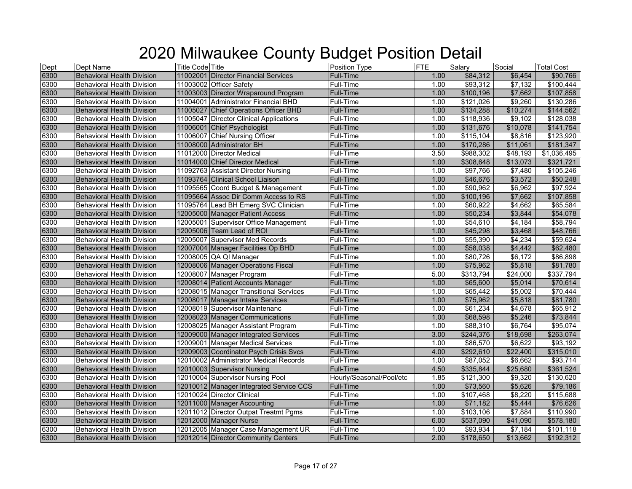| Dept | <b>Dept Name</b>                  | <b>Title Code</b> Title                 | Position Type            | FTE  | Salary    | Social          | <b>Total Cost</b> |
|------|-----------------------------------|-----------------------------------------|--------------------------|------|-----------|-----------------|-------------------|
| 6300 | <b>Behavioral Health Division</b> | 11002001 Director Financial Services    | <b>Full-Time</b>         | 1.00 | \$84,312  | \$6,454         | \$90,766          |
| 6300 | <b>Behavioral Health Division</b> | 11003002 Officer Safety                 | <b>Full-Time</b>         | 1.00 | \$93,312  | \$7,132         | \$100,444         |
| 6300 | <b>Behavioral Health Division</b> | 11003003 Director Wraparound Program    | <b>Full-Time</b>         | 1.00 | \$100,196 | \$7,662         | \$107,858         |
| 6300 | <b>Behavioral Health Division</b> | 11004001 Administrator Financial BHD    | Full-Time                | 1.00 | \$121,026 | \$9,260         | \$130,286         |
| 6300 | <b>Behavioral Health Division</b> | 11005027 Chief Operations Officer BHD   | <b>Full-Time</b>         | 1.00 | \$134,288 | \$10,274        | \$144,562         |
| 6300 | <b>Behavioral Health Division</b> | 11005047 Director Clinical Applications | Full-Time                | 1.00 | \$118,936 | \$9,102         | \$128,038         |
| 6300 | <b>Behavioral Health Division</b> | 11006001 Chief Psychologist             | Full-Time                | 1.00 | \$131,676 | \$10,078        | \$141,754         |
| 6300 | <b>Behavioral Health Division</b> | 11006007 Chief Nursing Officer          | <b>Full-Time</b>         | 1.00 | \$115,104 | \$8,816         | \$123,920         |
| 6300 | <b>Behavioral Health Division</b> | 11008000 Administrator BH               | Full-Time                | 1.00 | \$170,286 | \$11,061        | \$181,347         |
| 6300 | <b>Behavioral Health Division</b> | 11012000 Director Medical               | Full-Time                | 3.50 | \$988,302 | \$48,193        | \$1,036,495       |
| 6300 | <b>Behavioral Health Division</b> | 11014000 Chief Director Medical         | Full-Time                | 1.00 | \$308,648 | \$13,073        | \$321,721         |
| 6300 | <b>Behavioral Health Division</b> | 11092763 Assistant Director Nursing     | Full-Time                | 1.00 | \$97,766  | \$7,480         | \$105,246         |
| 6300 | <b>Behavioral Health Division</b> | 11093764 Clinical School Liaison        | Full-Time                | 1.00 | \$46,676  | \$3,572         | \$50,248          |
| 6300 | <b>Behavioral Health Division</b> | 11095565 Coord Budget & Management      | Full-Time                | 1.00 | \$90,962  | \$6,962         | \$97,924          |
| 6300 | <b>Behavioral Health Division</b> | 11095664 Assoc Dir Comm Access to RS    | Full-Time                | 1.00 | \$100,196 | \$7,662         | \$107,858         |
| 6300 | <b>Behavioral Health Division</b> | 11095764 Lead BH Emerg SVC Clinician    | <b>Full-Time</b>         | 1.00 | \$60,922  | \$4,662         | \$65,584          |
| 6300 | <b>Behavioral Health Division</b> | 12005000 Manager Patient Access         | <b>Full-Time</b>         | 1.00 | \$50,234  | \$3,844         | \$54,078          |
| 6300 | Behavioral Health Division        | 12005001 Supervisor Office Management   | <b>Full-Time</b>         | 1.00 | \$54,610  | \$4,184         | \$58,794          |
| 6300 | <b>Behavioral Health Division</b> | 12005006 Team Lead of ROI               | <b>Full-Time</b>         | 1.00 | \$45,298  | \$3,468         | \$48,766          |
| 6300 | <b>Behavioral Health Division</b> | 12005007 Supervisor Med Records         | Full-Time                | 1.00 | \$55,390  | \$4,234         | \$59,624          |
| 6300 | <b>Behavioral Health Division</b> | 12007004 Manager Facilities Op BHD      | <b>Full-Time</b>         | 1.00 | \$58,038  | \$4,442         | \$62,480          |
| 6300 | <b>Behavioral Health Division</b> | 12008005 QA QI Manager                  | Full-Time                | 1.00 | \$80,726  | $\sqrt{$6,172}$ | \$86,898          |
| 6300 | <b>Behavioral Health Division</b> | 12008006 Manager Operations Fiscal      | <b>Full-Time</b>         | 1.00 | \$75,962  | \$5,818         | \$81,780          |
| 6300 | <b>Behavioral Health Division</b> | 12008007 Manager Program                | Full-Time                | 5.00 | \$313,794 | \$24,000        | \$337,794         |
| 6300 | <b>Behavioral Health Division</b> | 12008014 Patient Accounts Manager       | <b>Full-Time</b>         | 1.00 | \$65,600  | \$5,014         | \$70,614          |
| 6300 | <b>Behavioral Health Division</b> | 12008015 Manager Transitional Services  | Full-Time                | 1.00 | \$65,442  | \$5,002         | \$70,444          |
| 6300 | <b>Behavioral Health Division</b> | 12008017 Manager Intake Services        | <b>Full-Time</b>         | 1.00 | \$75,962  | \$5,818         | \$81,780          |
| 6300 | <b>Behavioral Health Division</b> | 12008019 Supervisor Maintenanc          | Full-Time                | 1.00 | \$61,234  | \$4,678         | \$65,912          |
| 6300 | <b>Behavioral Health Division</b> | 12008023 Manager Communications         | <b>Full-Time</b>         | 1.00 | \$68,598  | \$5,246         | \$73,844          |
| 6300 | <b>Behavioral Health Division</b> | 12008025 Manager Assistant Program      | Full-Time                | 1.00 | \$88,310  | \$6,764         | \$95,074          |
| 6300 | <b>Behavioral Health Division</b> | 12009000 Manager Integrated Services    | <b>Full-Time</b>         | 3.00 | \$244,376 | \$18,698        | \$263,074         |
| 6300 | <b>Behavioral Health Division</b> | 12009001 Manager Medical Services       | Full-Time                | 1.00 | \$86,570  | \$6,622         | \$93,192          |
| 6300 | <b>Behavioral Health Division</b> | 12009003 Coordinator Psych Crisis Svcs  | <b>Full-Time</b>         | 4.00 | \$292,610 | \$22,400        | \$315,010         |
| 6300 | <b>Behavioral Health Division</b> | 12010002 Administrator Medical Records  | Full-Time                | 1.00 | \$87,052  | \$6,662         | \$93,714          |
| 6300 | <b>Behavioral Health Division</b> | 12010003 Supervisor Nursing             | Full-Time                | 4.50 | \$335,844 | \$25,680        | \$361,524         |
| 6300 | <b>Behavioral Health Division</b> | 12010004 Supervisor Nursing Pool        | Hourly/Seasonal/Pool/etc | 1.85 | \$121,300 | \$9,320         | \$130,620         |
| 6300 | <b>Behavioral Health Division</b> | 12010012 Manager Integrated Service CCS | <b>Full-Time</b>         | 1.00 | \$73,560  | \$5,626         | \$79,186          |
| 6300 | <b>Behavioral Health Division</b> | 12010024 Director Clinical              | <b>Full-Time</b>         | 1.00 | \$107,468 | \$8,220         | \$115,688         |
| 6300 | <b>Behavioral Health Division</b> | 12011000 Manager Accounting             | Full-Time                | 1.00 | \$71,182  | \$5,444         | \$76,626          |
| 6300 | <b>Behavioral Health Division</b> | 12011012 Director Outpat Treatmt Pgms   | Full-Time                | 1.00 | \$103,106 | \$7,884         | \$110,990         |
| 6300 | <b>Behavioral Health Division</b> | 12012000 Manager Nurse                  | <b>Full-Time</b>         | 6.00 | \$537,090 | \$41,090        | \$578,180         |
| 6300 | <b>Behavioral Health Division</b> | 12012005 Manager Case Management UR     | <b>Full-Time</b>         | 1.00 | \$93,934  | \$7,184         | \$101,118         |
| 6300 | <b>Behavioral Health Division</b> | 12012014 Director Community Centers     | <b>Full-Time</b>         | 2.00 | \$178,650 | \$13,662        | \$192,312         |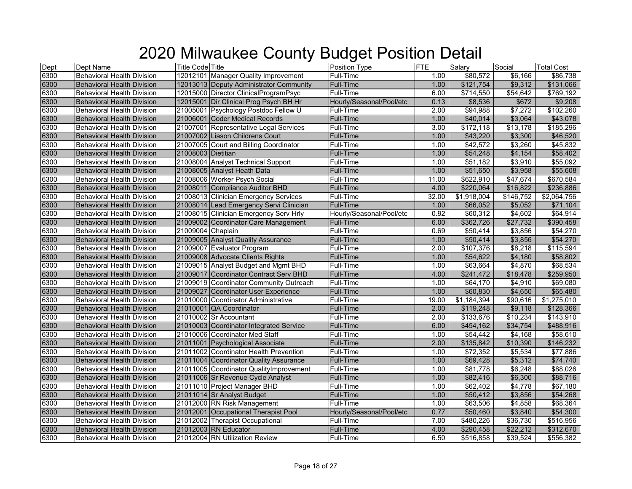| Dept | Dept Name                         | <b>Title Code Title</b> |                                         | Position Type            | FTE   | Salary               | Social    | <b>Total Cost</b> |
|------|-----------------------------------|-------------------------|-----------------------------------------|--------------------------|-------|----------------------|-----------|-------------------|
| 6300 | <b>Behavioral Health Division</b> |                         | 12012101 Manager Quality Improvement    | Full-Time                | 1.00  | \$80,572             | \$6,166   | \$86,738          |
| 6300 | <b>Behavioral Health Division</b> |                         | 12013013 Deputy Administrator Community | <b>Full-Time</b>         | 1.00  | \$121,754            | \$9,312   | \$131,066         |
| 6300 | <b>Behavioral Health Division</b> |                         | 12015000 Director ClinicalProgramPsyc   | Full-Time                | 6.00  | \$714,550            | \$54,642  | \$769,192         |
| 6300 | <b>Behavioral Health Division</b> |                         | 12015001 Dir Clinical Prog Psych BH Hr  | Hourly/Seasonal/Pool/etc | 0.13  | \$8,536              | \$672     | \$9,208           |
| 6300 | <b>Behavioral Health Division</b> |                         | 21005001 Psychology Postdoc Fellow U    | Full-Time                | 2.00  | $\frac{1}{1}994,988$ | \$7,272   | \$102,260         |
| 6300 | <b>Behavioral Health Division</b> |                         | 21006001 Coder Medical Records          | <b>Full-Time</b>         | 1.00  | \$40,014             | \$3,064   | \$43,078          |
| 6300 | <b>Behavioral Health Division</b> |                         | 21007001 Representative Legal Services  | <b>Full-Time</b>         | 3.00  | \$172,118            | \$13,178  | \$185,296         |
| 6300 | <b>Behavioral Health Division</b> |                         | 21007002 Liason Childrens Court         | <b>Full-Time</b>         | 1.00  | \$43,220             | \$3,300   | \$46,520          |
| 6300 | <b>Behavioral Health Division</b> |                         | 21007005 Court and Billing Coordinator  | Full-Time                | 1.00  | \$42,572             | \$3,260   | \$45,832          |
| 6300 | <b>Behavioral Health Division</b> | 21008003 Dietitian      |                                         | <b>Full-Time</b>         | 1.00  | \$54,248             | \$4,154   | \$58,402          |
| 6300 | <b>Behavioral Health Division</b> |                         | 21008004 Analyst Technical Support      | <b>Full-Time</b>         | 1.00  | \$51,182             | \$3,910   | \$55,092          |
| 6300 | <b>Behavioral Health Division</b> |                         | 21008005 Analyst Heath Data             | <b>Full-Time</b>         | 1.00  | \$51,650             | \$3,958   | \$55,608          |
| 6300 | <b>Behavioral Health Division</b> |                         | 21008006 Worker Psych Social            | Full-Time                | 11.00 | \$622,910            | \$47,674  | \$670,584         |
| 6300 | <b>Behavioral Health Division</b> |                         | 21008011 Compliance Auditor BHD         | <b>Full-Time</b>         | 4.00  | \$220,064            | \$16,822  | \$236,886         |
| 6300 | <b>Behavioral Health Division</b> |                         | 21008013 Clinician Emergency Services   | Full-Time                | 32.00 | \$1,918,004          | \$146,752 | \$2,064,756       |
| 6300 | <b>Behavioral Health Division</b> |                         | 21008014 Lead Emergency Servi Clinician | Full-Time                | 1.00  | \$66,052             | \$5,052   | \$71,104          |
| 6300 | <b>Behavioral Health Division</b> |                         | 21008015 Clinician Emergency Serv Hrly  | Hourly/Seasonal/Pool/etc | 0.92  | \$60,312             | \$4,602   | \$64,914          |
| 6300 | <b>Behavioral Health Division</b> |                         | 21009002 Coordinator Care Management    | <b>Full-Time</b>         | 6.00  | \$362,726            | \$27,732  | \$390,458         |
| 6300 | <b>Behavioral Health Division</b> | 21009004 Chaplain       |                                         | <b>Full-Time</b>         | 0.69  | \$50,414             | \$3,856   | \$54,270          |
| 6300 | <b>Behavioral Health Division</b> |                         | 21009005 Analyst Quality Assurance      | Full-Time                | 1.00  | \$50,414             | \$3,856   | \$54,270          |
| 6300 | <b>Behavioral Health Division</b> |                         | 21009007 Evaluator Program              | <b>Full-Time</b>         | 2.00  | \$107,376            | \$8,218   | \$115,594         |
| 6300 | <b>Behavioral Health Division</b> |                         | 21009008 Advocate Clients Rights        | <b>Full-Time</b>         | 1.00  | \$54,622             | \$4,180   | \$58,802          |
| 6300 | <b>Behavioral Health Division</b> |                         | 21009015 Analyst Budget and Mgmt BHD    | <b>Full-Time</b>         | 1.00  | \$63,664             | \$4,870   | \$68,534          |
| 6300 | <b>Behavioral Health Division</b> |                         | 21009017 Coordinator Contract Serv BHD  | <b>Full-Time</b>         | 4.00  | \$241,472            | \$18,478  | \$259,950         |
| 6300 | <b>Behavioral Health Division</b> |                         | 21009019 Coordinator Community Outreach | Full-Time                | 1.00  | \$64,170             | \$4,910   | \$69,080          |
| 6300 | <b>Behavioral Health Division</b> |                         | 21009027 Coordinator User Experience    | <b>Full-Time</b>         | 1.00  | \$60,830             | \$4,650   | \$65,480          |
| 6300 | <b>Behavioral Health Division</b> |                         | 21010000 Coordinator Administrative     | <b>Full-Time</b>         | 19.00 | \$1,184,394          | \$90,616  | \$1,275,010       |
| 6300 | <b>Behavioral Health Division</b> |                         | 21010001 QA Coordinator                 | Full-Time                | 2.00  | \$119,248            | \$9,118   | \$128,366         |
| 6300 | <b>Behavioral Health Division</b> |                         | 21010002 Sr Accountant                  | Full-Time                | 2.00  | \$133,676            | \$10,234  | \$143,910         |
| 6300 | <b>Behavioral Health Division</b> |                         | 21010003 Coordinator Integrated Service | <b>Full-Time</b>         | 6.00  | \$454,162            | \$34,754  | \$488,916         |
| 6300 | <b>Behavioral Health Division</b> |                         | 21010006 Coordinator Med Staff          | Full-Time                | 1.00  | \$54,442             | \$4,168   | \$58,610          |
| 6300 | <b>Behavioral Health Division</b> |                         | 21011001 Psychological Associate        | Full-Time                | 2.00  | \$135,842            | \$10,390  | \$146,232         |
| 6300 | <b>Behavioral Health Division</b> |                         | 21011002 Coordinator Health Prevention  | Full-Time                | 1.00  | \$72,352             | \$5,534   | \$77,886          |
| 6300 | <b>Behavioral Health Division</b> |                         | 21011004 Coordinator Quality Assurance  | Full-Time                | 1.00  | \$69,428             | \$5,312   | \$74,740          |
| 6300 | <b>Behavioral Health Division</b> |                         | 21011005 Coordinator QualityImprovement | Full-Time                | 1.00  | \$81,778             | \$6,248   | \$88,026          |
| 6300 | <b>Behavioral Health Division</b> |                         | 21011006 Sr Revenue Cycle Analyst       | <b>Full-Time</b>         | 1.00  | \$82,416             | \$6,300   | \$88,716          |
| 6300 | Behavioral Health Division        |                         | 21011010 Project Manager BHD            | Full-Time                | 1.00  | \$62,402             | \$4,778   | \$67,180          |
| 6300 | <b>Behavioral Health Division</b> |                         | 21011014 Sr Analyst Budget              | <b>Full-Time</b>         | 1.00  | \$50,412             | \$3,856   | \$54,268          |
| 6300 | <b>Behavioral Health Division</b> |                         | 21012000 RN Risk Management             | Full-Time                | 1.00  | \$63,506             | \$4,858   | \$68,364          |
| 6300 | <b>Behavioral Health Division</b> |                         | 21012001 Occupational Therapist Pool    | Hourly/Seasonal/Pool/etc | 0.77  | \$50,460             | \$3,840   | \$54,300          |
| 6300 | <b>Behavioral Health Division</b> |                         | 21012002 Therapist Occupational         | Full-Time                | 7.00  | \$480,226            | \$36,730  | \$516,956         |
| 6300 | <b>Behavioral Health Division</b> |                         | 21012003 RN Educator                    | Full-Time                | 4.00  | \$290,458            | \$22,212  | \$312,670         |
| 6300 | <b>Behavioral Health Division</b> |                         | 21012004 RN Utilization Review          | <b>Full-Time</b>         | 6.50  | \$516,858            | \$39,524  | \$556,382         |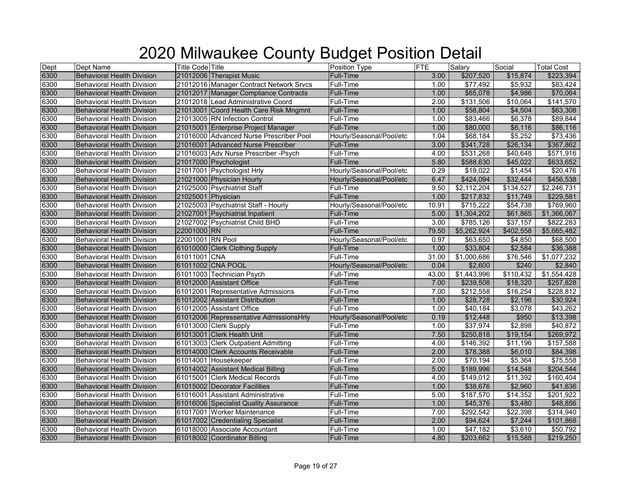| Dept | <b>Dept Name</b>                  | <b>Title Code Title</b> |                                         | Position Type            | FTE   | Salary      | Social    | <b>Total Cost</b> |
|------|-----------------------------------|-------------------------|-----------------------------------------|--------------------------|-------|-------------|-----------|-------------------|
| 6300 | <b>Behavioral Health Division</b> |                         | 21012006 Therapist Music                | Full-Time                | 3.00  | \$207,520   | \$15,874  | \$223,394         |
| 6300 | <b>Behavioral Health Division</b> |                         | 21012016 Manager Contract Network Srvcs | <b>Full-Time</b>         | 1.00  | \$77,492    | \$5,932   | \$83,424          |
| 6300 | <b>Behavioral Health Division</b> |                         | 21012017 Manager Compliance Contracts   | <b>Full-Time</b>         | 1.00  | \$65,078    | \$4,986   | \$70,064          |
| 6300 | <b>Behavioral Health Division</b> |                         | 21012018 Lead Administrative Coord      | Full-Time                | 2.00  | \$131,506   | \$10,064  | \$141,570         |
| 6300 | <b>Behavioral Health Division</b> |                         | 21013001 Coord Health Care Risk Mngmnt  | <b>Full-Time</b>         | 1.00  | \$58,804    | \$4,504   | \$63,308          |
| 6300 | <b>Behavioral Health Division</b> |                         | 21013005 RN Infection Control           | Full-Time                | 1.00  | \$83,466    | \$6,378   | \$89,844          |
| 6300 | <b>Behavioral Health Division</b> |                         | 21015001 Enterprise Project Manager     | Full-Time                | 1.00  | \$80,000    | \$6,116   | \$86,116          |
| 6300 | <b>Behavioral Health Division</b> |                         | 21016000 Advanced Nurse Prescriber Pool | Hourly/Seasonal/Pool/etc | 1.04  | \$68,184    | \$5,252   | \$73,436          |
| 6300 | <b>Behavioral Health Division</b> |                         | 21016001 Advanced Nurse Prescriber      | Full-Time                | 3.00  | \$341,728   | \$26,134  | \$367,862         |
| 6300 | <b>Behavioral Health Division</b> |                         | 21016003 Adv Nurse Prescriber - Psych   | Full-Time                | 4.00  | \$531,268   | \$40,648  | \$571,916         |
| 6300 | Behavioral Health Division        |                         | 21017000 Psychologist                   | <b>Full-Time</b>         | 5.80  | \$588,630   | \$45,022  | \$633,652         |
| 6300 | <b>Behavioral Health Division</b> |                         | 21017001 Psychologist Hrly              | Hourly/Seasonal/Pool/etc | 0.29  | \$19,022    | \$1,454   | \$20,476          |
| 6300 | <b>Behavioral Health Division</b> |                         | 21021000 Physician Hourly               | Hourly/Seasonal/Pool/etc | 6.47  | \$424,094   | \$32,444  | \$456,538         |
| 6300 | <b>Behavioral Health Division</b> |                         | 21025000 Psychiatrist Staff             | Full-Time                | 9.50  | \$2,112,204 | \$134,527 | \$2,246,731       |
| 6300 | <b>Behavioral Health Division</b> | 21025001 Physician      |                                         | <b>Full-Time</b>         | 1.00  | \$217,832   | \$11,749  | \$229,581         |
| 6300 | <b>Behavioral Health Division</b> |                         | 21025003 Psychiatrist Staff - Hourly    | Hourly/Seasonal/Pool/etc | 10.91 | \$715,222   | \$54,738  | \$769,960         |
| 6300 | <b>Behavioral Health Division</b> |                         | 21027001 Psychiatrist Inpatient         | <b>Full-Time</b>         | 5.00  | \$1,304,202 | \$61,865  | \$1,366,067       |
| 6300 | <b>Behavioral Health Division</b> |                         | 21027002 Psychiatrist Child BHD         | <b>Full-Time</b>         | 3.00  | \$785,126   | \$37,157  | \$822,283         |
| 6300 | <b>Behavioral Health Division</b> | 22001000 RN             |                                         | Full-Time                | 79.50 | \$5,262,924 | \$402,558 | \$5,665,482       |
| 6300 | <b>Behavioral Health Division</b> | 22001001 RN Pool        |                                         | Hourly/Seasonal/Pool/etc | 0.97  | \$63,650    | \$4,850   | \$68,500          |
| 6300 | <b>Behavioral Health Division</b> |                         | 61010000 Clerk Clothing Supply          | <b>Full-Time</b>         | 1.00  | \$33,804    | \$2,584   | \$36,388          |
| 6300 | <b>Behavioral Health Division</b> | 61011001 CNA            |                                         | Full-Time                | 31.00 | \$1,000,686 | \$76,546  | \$1,077,232       |
| 6300 | <b>Behavioral Health Division</b> | 61011002 CNA POOL       |                                         | Hourly/Seasonal/Pool/etc | 0.04  | \$2,600     | \$240     | \$2,840           |
| 6300 | <b>Behavioral Health Division</b> |                         | 61011003 Technician Psych               | Full-Time                | 43.00 | \$1,443,996 | \$110,432 | \$1,554,428       |
| 6300 | <b>Behavioral Health Division</b> |                         | 61012000 Assistant Office               | <b>Full-Time</b>         | 7.00  | \$239,508   | \$18,320  | \$257,828         |
| 6300 | <b>Behavioral Health Division</b> |                         | 61012001 Representative Admissions      | Full-Time                | 7.00  | \$212,558   | \$16,254  | \$228,812         |
| 6300 | <b>Behavioral Health Division</b> |                         | 61012002 Assistant Distribution         | <b>Full-Time</b>         | 1.00  | \$28,728    | \$2,196   | \$30,924          |
| 6300 | <b>Behavioral Health Division</b> |                         | 61012005 Assistant Office               | Full-Time                | 1.00  | \$40,184    | \$3,078   | \$43,262          |
| 6300 | <b>Behavioral Health Division</b> |                         | 61012006 Repressentative AdmissionsHrly | Hourly/Seasonal/Pool/etc | 0.19  | \$12,448    | \$950     | \$13,398          |
| 6300 | <b>Behavioral Health Division</b> |                         | 61013000 Clerk Supply                   | Full-Time                | 1.00  | \$37,974    | \$2,898   | \$40,872          |
| 6300 | <b>Behavioral Health Division</b> |                         | 61013001 Clerk Health Unit              | <b>Full-Time</b>         | 7.50  | \$250,818   | \$19,154  | \$269,972         |
| 6300 | <b>Behavioral Health Division</b> |                         | 61013003 Clerk Outpatient Admitting     | Full-Time                | 4.00  | \$146,392   | \$11,196  | \$157,588         |
| 6300 | <b>Behavioral Health Division</b> |                         | 61014000 Clerk Accounts Receivable      | <b>Full-Time</b>         | 2.00  | \$78,388    | \$6,010   | \$84,398          |
| 6300 | <b>Behavioral Health Division</b> |                         | 61014001 Housekeeper                    | Full-Time                | 2.00  | \$70,194    | \$5,364   | \$75,558          |
| 6300 | <b>Behavioral Health Division</b> |                         | 61014002 Assistant Medical Billing      | <b>Full-Time</b>         | 5.00  | \$189,996   | \$14,548  | \$204,544         |
| 6300 | <b>Behavioral Health Division</b> |                         | 61015001 Clerk Medical Records          | <b>Full-Time</b>         | 4.00  | \$149,012   | \$11,392  | \$160,404         |
| 6300 | <b>Behavioral Health Division</b> |                         | 61015002 Decorator Facilities           | <b>Full-Time</b>         | 1.00  | \$38,676    | \$2,960   | \$41,636          |
| 6300 | <b>Behavioral Health Division</b> |                         | 61016001 Assistant Administrative       | <b>Full-Time</b>         | 5.00  | \$187,570   | \$14,352  | \$201,922         |
| 6300 | <b>Behavioral Health Division</b> |                         | 61016006 Specialist Quality Assurance   | Full-Time                | 1.00  | \$45,376    | \$3,480   | \$48,856          |
| 6300 | <b>Behavioral Health Division</b> |                         | 61017001 Worker Maintenance             | Full-Time                | 7.00  | \$292,542   | \$22,398  | \$314,940         |
| 6300 | <b>Behavioral Health Division</b> |                         | 61017002 Credentialing Specialist       | <b>Full-Time</b>         | 2.00  | \$94,624    | \$7,244   | \$101,868         |
| 6300 | <b>Behavioral Health Division</b> |                         | 61018000 Associate Accountant           | Full-Time                | 1.00  | \$47,182    | \$3,610   | \$50,792          |
| 6300 | <b>Behavioral Health Division</b> |                         | 61018002 Coordinator Billing            | <b>Full-Time</b>         | 4.80  | \$203,662   | \$15,588  | \$219,250         |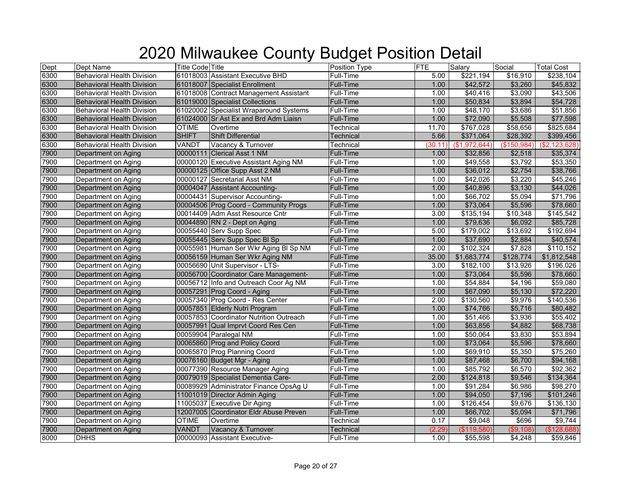| Dept | Dept Name                         | <b>Title Code Title</b> |                                         | Position Type    | <b>FTE</b> | Salary       | Social      | <b>Total Cost</b> |
|------|-----------------------------------|-------------------------|-----------------------------------------|------------------|------------|--------------|-------------|-------------------|
| 6300 | <b>Behavioral Health Division</b> |                         | 61018003 Assistant Executive BHD        | Full-Time        | 5.00       | \$221,194    | \$16,910    | \$238,104         |
| 6300 | <b>Behavioral Health Division</b> |                         | 61018007 Specialist Enrollment          | <b>Full-Time</b> | 1.00       | \$42,572     | \$3,260     | \$45,832          |
| 6300 | <b>Behavioral Health Division</b> |                         | 61018008 Contract Management Assistant  | Full-Time        | 1.00       | \$40,416     | \$3,090     | \$43,506          |
| 6300 | <b>Behavioral Health Division</b> |                         | 61019000 Specialist Collections         | Full-Time        | 1.00       | \$50,834     | \$3,894     | \$54,728          |
| 6300 | <b>Behavioral Health Division</b> |                         | 61020002 Specialist Wraparound Systems  | Full-Time        | 1.00       | \$48,170     | \$3,686     | \$51,856          |
| 6300 | <b>Behavioral Health Division</b> |                         | 61024000 Sr Ast Ex and Brd Adm Liaisn   | Full-Time        | 1.00       | \$72,090     | \$5,508     | \$77,598          |
| 6300 | <b>Behavioral Health Division</b> | <b>OTIME</b>            | Overtime                                | Technical        | 11.70      | \$767,028    | \$58,656    | \$825,684         |
| 6300 | <b>Behavioral Health Division</b> | <b>SHIFT</b>            | <b>Shift Differential</b>               | Technical        | 5.66       | \$371,064    | \$28,392    | \$399,456         |
| 6300 | <b>Behavioral Health Division</b> | VANDT                   | Vacancy & Turnover                      | Technical        | (30.11)    | (\$1,972,644 | (\$150,984) | (\$2,123,628)     |
| 7900 | Department on Aging               |                         | 00000111 Clerical Asst 1 NM             | Full-Time        | 1.00       | \$32,856     | \$2,518     | \$35,374          |
| 7900 | Department on Aging               |                         | 00000120 Executive Assistant Aging NM   | <b>Full-Time</b> | 1.00       | \$49,558     | \$3,792     | \$53,350          |
| 7900 | Department on Aging               |                         | 00000125 Office Supp Asst 2 NM          | Full-Time        | 1.00       | \$36,012     | \$2,754     | \$38,766          |
| 7900 | Department on Aging               |                         | 00000127 Secretarial Asst NM            | Full-Time        | 1.00       | \$42,026     | \$3,220     | \$45,246          |
| 7900 | Department on Aging               |                         | 00004047 Assistant Accounting-          | <b>Full-Time</b> | 1.00       | \$40,896     | \$3,130     | \$44,026          |
| 7900 | Department on Aging               |                         | 00004431 Supervisor Accounting-         | Full-Time        | 1.00       | \$66,702     | \$5,094     | \$71,796          |
| 7900 | Department on Aging               |                         | 00004506 Prog Coord - Community Progs   | <b>Full-Time</b> | 1.00       | \$73,064     | \$5,596     | \$78,660          |
| 7900 | Department on Aging               |                         | 00014409 Adm Asst Resource Cntr         | Full-Time        | 3.00       | \$135,194    | \$10,348    | \$145,542         |
| 7900 | Department on Aging               |                         | 00044890 RN 2 - Dept on Aging           | <b>Full-Time</b> | 1.00       | \$79,636     | \$6,092     | \$85,728          |
| 7900 | Department on Aging               |                         | 00055440 Serv Supp Spec                 | Full-Time        | 5.00       | \$179,002    | \$13,692    | \$192,694         |
| 7900 | Department on Aging               |                         | 00055445 Serv Supp Spec BI Sp           | Full-Time        | 1.00       | \$37,690     | \$2,884     | \$40,574          |
| 7900 | Department on Aging               |                         | 00055981 Human Ser Wkr Aging BI Sp NM   | Full-Time        | 2.00       | \$102,324    | \$7,828     | \$110,152         |
| 7900 | Department on Aging               |                         | 00056159 Human Ser Wkr Aging NM         | <b>Full-Time</b> | 35.00      | \$1,683,774  | \$128,774   | \$1,812,548       |
| 7900 | Department on Aging               |                         | 00056690 Unit Supervisor - LTS-         | <b>Full-Time</b> | 3.00       | \$182,100    | \$13,926    | \$196,026         |
| 7900 | Department on Aging               |                         | 00056700 Coordinator Care Management-   | <b>Full-Time</b> | 1.00       | \$73,064     | \$5,596     | \$78,660          |
| 7900 | Department on Aging               |                         | 00056712 Info and Outreach Coor Ag NM   | Full-Time        | 1.00       | \$54,884     | \$4,196     | \$59,080          |
| 7900 | Department on Aging               |                         | 00057291 Prog Coord - Aging             | <b>Full-Time</b> | 1.00       | \$67,090     | \$5,130     | \$72,220          |
| 7900 | Department on Aging               |                         | 00057340 Prog Coord - Res Center        | Full-Time        | 2.00       | \$130,560    | \$9,976     | \$140,536         |
| 7900 | Department on Aging               |                         | 00057851 Elderly Nutri Program          | Full-Time        | 1.00       | \$74,766     | \$5,716     | \$80,482          |
| 7900 | Department on Aging               |                         | 00057853 Coordinator Nutrition Outreach | Full-Time        | 1.00       | \$51,466     | \$3,936     | \$55,402          |
| 7900 | Department on Aging               |                         | 00057991 Qual Imprvt Coord Res Cen      | <b>Full-Time</b> | 1.00       | \$63,856     | \$4,882     | \$68,738          |
| 7900 | Department on Aging               |                         | 00059904 Paralegal NM                   | Full-Time        | 1.00       | \$50,064     | \$3,830     | \$53,894          |
| 7900 | Department on Aging               |                         | 00065860 Prog and Policy Coord          | <b>Full-Time</b> | 1.00       | \$73,064     | \$5,596     | \$78,660          |
| 7900 | Department on Aging               |                         | 00065870 Prog Planning Coord            | Full-Time        | 1.00       | \$69,910     | \$5,350     | \$75,260          |
| 7900 | Department on Aging               |                         | 00076160 Budget Mgr - Aging             | Full-Time        | 1.00       | \$87,468     | \$6,700     | \$94,168          |
| 7900 | Department on Aging               |                         | 00077390 Resource Manager Aging         | Full-Time        | 1.00       | \$85,792     | \$6,570     | \$92,362          |
| 7900 | Department on Aging               |                         | 00079019 Specialist Dementia Care-      | <b>Full-Time</b> | 2.00       | \$124,818    | \$9,546     | \$134,364         |
| 7900 | Department on Aging               |                         | 00089929 Administrator Finance OpsAg U  | Full-Time        | 1.00       | \$91,284     | \$6,986     | \$98,270          |
| 7900 | Department on Aging               |                         | 11001019 Director Admin Aging           | <b>Full-Time</b> | 1.00       | \$94,050     | \$7,196     | \$101,246         |
| 7900 | Department on Aging               |                         | 11005037 Executive Dir Aging            | Full-Time        | 1.00       | \$126,454    | \$9,676     | \$136,130         |
| 7900 | Department on Aging               |                         | 12007005 Coordinator Eldr Abuse Preven  | Full-Time        | 1.00       | \$66,702     | \$5,094     | \$71,796          |
| 7900 | Department on Aging               | <b>OTIME</b>            | Overtime                                | Technical        | 0.17       | \$9,048      | \$696       | \$9,744           |
| 7900 | Department on Aging               | VANDT                   | Vacancy & Turnover                      | Technical        | (2.29)     | (\$119,580)  | (\$9,108)   | (\$128,688)       |
| 8000 | <b>DHHS</b>                       |                         | 00000093 Assistant Executive-           | Full-Time        | 1.00       | \$55,598     | \$4,248     | \$59,846          |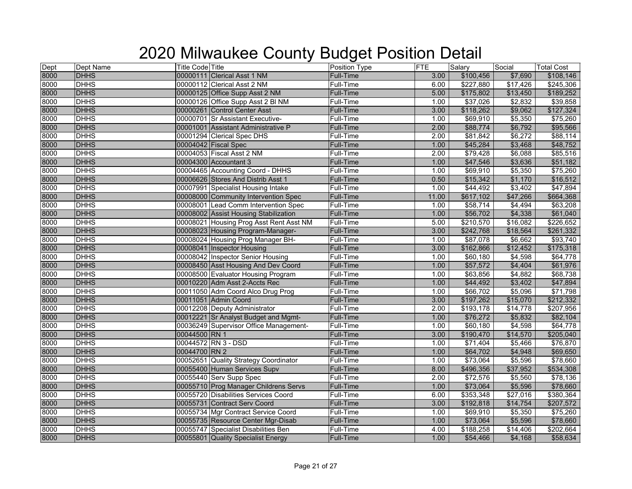| Dept<br>8000 | Dept Name   | <b>Title Code Title</b>                 | Position Type    | <b>FTE</b> | Salary    | Social   | <b>Total Cost</b> |
|--------------|-------------|-----------------------------------------|------------------|------------|-----------|----------|-------------------|
|              | <b>DHHS</b> | 00000111 Clerical Asst 1 NM             | Full-Time        | 3.00       | \$100,456 | \$7,690  | \$108,146         |
| 8000         | <b>DHHS</b> | 00000112 Clerical Asst 2 NM             | Full-Time        | 6.00       | \$227,880 | \$17,426 | \$245,306         |
| 8000<br>8000 | <b>DHHS</b> | 00000125 Office Supp Asst 2 NM          | <b>Full-Time</b> | 5.00       | \$175,802 | \$13,450 | \$189,252         |
|              | <b>DHHS</b> | 00000126 Office Supp Asst 2 BI NM       | Full-Time        | 1.00       | \$37,026  | \$2,832  | \$39,858          |
| 8000         | <b>DHHS</b> | 00000261 Control Center Asst            | Full-Time        | 3.00       | \$118,262 | \$9,062  | \$127,324         |
| 8000         | <b>DHHS</b> | 00000701 Sr Assistant Executive-        | Full-Time        | 1.00       | \$69,910  | \$5,350  | \$75,260          |
| 8000         | <b>DHHS</b> | 00001001 Assistant Administrative P     | <b>Full-Time</b> | 2.00       | \$88,774  | \$6,792  | \$95,566          |
| 8000         | <b>DHHS</b> | 00001294 Clerical Spec DHS              | Full-Time        | 2.00       | \$81,842  | \$6,272  | \$88,114          |
| 8000         | <b>DHHS</b> | 00004042 Fiscal Spec                    | Full-Time        | 1.00       | \$45,284  | \$3,468  | \$48,752          |
| 8000         | <b>DHHS</b> | 00004053 Fiscal Asst 2 NM               | Full-Time        | 2.00       | \$79,428  | \$6,088  | \$85,516          |
| 8000         | <b>DHHS</b> | 00004300 Accountant 3                   | Full-Time        | 1.00       | \$47,546  | \$3,636  | \$51,182          |
| 8000         | <b>DHHS</b> | 00004465 Accounting Coord - DHHS        | Full-Time        | 1.00       | \$69,910  | \$5,350  | \$75,260          |
| 8000         | <b>DHHS</b> | 00006626 Stores And Distrib Asst 1      | Full-Time        | 0.50       | \$15,342  | \$1,170  | \$16,512          |
| 8000         | <b>DHHS</b> | 00007991 Specialist Housing Intake      | Full-Time        | 1.00       | \$44,492  | \$3,402  | \$47,894          |
| 8000         | <b>DHHS</b> | 00008000 Community Intervention Spec    | Full-Time        | 11.00      | \$617,102 | \$47,266 | \$664,368         |
| 8000         | <b>DHHS</b> | 00008001 Lead Comm Intervention Spec    | Full-Time        | 1.00       | \$58,714  | \$4,494  | \$63,208          |
| 8000         | <b>DHHS</b> | 00008002 Assist Housing Stabilization   | <b>Full-Time</b> | 1.00       | \$56,702  | \$4,338  | \$61,040          |
| 8000         | <b>DHHS</b> | 00008021 Housing Prog Asst Rent Asst NM | Full-Time        | 5.00       | \$210,570 | \$16,082 | \$226,652         |
| 8000<br>8000 | <b>DHHS</b> | 00008023 Housing Program-Manager-       | <b>Full-Time</b> | 3.00       | \$242,768 | \$18,564 | \$261,332         |
|              | <b>DHHS</b> | 00008024 Housing Prog Manager BH-       | Full-Time        | 1.00       | \$87,078  | \$6,662  | \$93,740          |
| 8000         | <b>DHHS</b> | 00008041 Inspector Housing              | Full-Time        | 3.00       | \$162,866 | \$12,452 | \$175,318         |
| 8000         | <b>DHHS</b> | 00008042 Inspector Senior Housing       | Full-Time        | 1.00       | \$60,180  | \$4,598  | \$64,778          |
| 8000         | <b>DHHS</b> | 00008450 Asst Housing And Dev Coord     | <b>Full-Time</b> | 1.00       | \$57,572  | \$4,404  | \$61,976          |
| 8000         | <b>DHHS</b> | 00008500 Evaluator Housing Program      | Full-Time        | 1.00       | \$63,856  | \$4,882  | \$68,738          |
| 8000         | <b>DHHS</b> | 00010220 Adm Asst 2-Accts Rec           | Full-Time        | 1.00       | \$44,492  | \$3,402  | \$47,894          |
| 8000         | <b>DHHS</b> | 00011050 Adm Coord Alco Drug Prog       | Full-Time        | 1.00       | \$66,702  | \$5,096  | \$71,798          |
| 8000         | <b>DHHS</b> | 00011051 Admin Coord                    | Full-Time        | 3.00       | \$197,262 | \$15,070 | \$212,332         |
| 8000         | <b>DHHS</b> | 00012208 Deputy Administrator           | Full-Time        | 2.00       | \$193,178 | \$14,778 | \$207,956         |
| 8000         | <b>DHHS</b> | 00012221 Sr Analyst Budget and Mgmt-    | Full-Time        | 1.00       | \$76,272  | \$5,832  | \$82,104          |
| 8000         | <b>DHHS</b> | 00036249 Supervisor Office Management-  | Full-Time        | 1.00       | \$60,180  | \$4,598  | \$64,778          |
| 8000         | <b>DHHS</b> | 00044500 RN 1                           | <b>Full-Time</b> | 3.00       | \$190,470 | \$14,570 | \$205,040         |
| 8000         | <b>DHHS</b> | 00044572 RN 3 - DSD                     | Full-Time        | 1.00       | \$71,404  | \$5,466  | \$76,870          |
| 8000         | <b>DHHS</b> | 00044700 RN 2                           | <b>Full-Time</b> | 1.00       | \$64,702  | \$4,948  | \$69,650          |
| 8000         | <b>DHHS</b> | 00052651 Quality Strategy Coordinator   | Full-Time        | 1.00       | \$73,064  | \$5,596  | \$78,660          |
| 8000         | <b>DHHS</b> | 00055400 Human Services Supv            | Full-Time        | 8.00       | \$496,356 | \$37,952 | \$534,308         |
| 8000         | <b>DHHS</b> | 00055440 Serv Supp Spec                 | Full-Time        | 2.00       | \$72,576  | \$5,560  | \$78,136          |
| 8000         | <b>DHHS</b> | 00055710 Prog Manager Childrens Servs   | Full-Time        | 1.00       | \$73,064  | \$5,596  | \$78,660          |
| 8000         | <b>DHHS</b> | 00055720 Disabilities Services Coord    | Full-Time        | 6.00       | \$353,348 | \$27,016 | \$380,364         |
| 8000         | <b>DHHS</b> | 00055731 Contract Serv Coord            | Full-Time        | 3.00       | \$192,818 | \$14,754 | \$207,572         |
| 8000         | <b>DHHS</b> | 00055734 Mgr Contract Service Coord     | Full-Time        | 1.00       | \$69,910  | \$5,350  | \$75,260          |
| 8000         | <b>DHHS</b> | 00055735 Resource Center Mgr-Disab      | <b>Full-Time</b> | 1.00       | \$73,064  | \$5,596  | \$78,660          |
| 8000         | <b>DHHS</b> | 00055747 Specialist Disabilities Ben    | Full-Time        | 4.00       | \$188,258 | \$14,406 | \$202,664         |
| 8000         | <b>DHHS</b> | 00055801 Quality Specialist Energy      | Full-Time        | 1.00       | \$54,466  | \$4,168  | \$58,634          |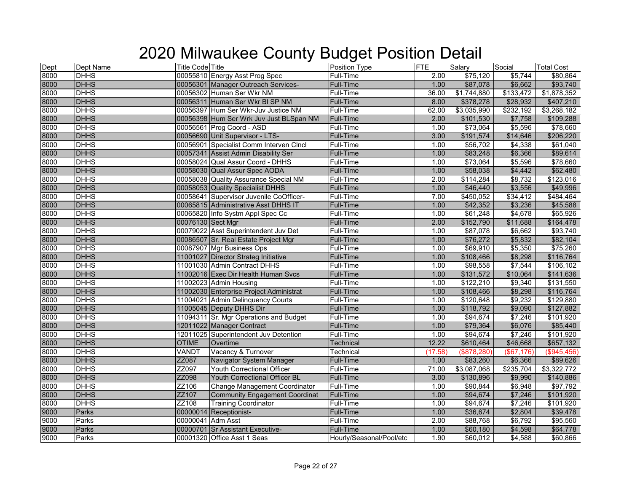| Dept | Dept Name    | <b>Title Code Title</b> |                                         | Position Type            | <b>FTE</b> | Salary           | Social       | <b>Total Cost</b> |
|------|--------------|-------------------------|-----------------------------------------|--------------------------|------------|------------------|--------------|-------------------|
| 8000 | <b>DHHS</b>  |                         | 00055810 Energy Asst Prog Spec          | Full-Time                | 2.00       | \$75,120         | \$5,744      | \$80,864          |
| 8000 | <b>DHHS</b>  |                         | 00056301 Manager Outreach Services-     | <b>Full-Time</b>         | 1.00       | \$87,078         | \$6,662      | \$93,740          |
| 8000 | <b>DHHS</b>  |                         | 00056302 Human Ser Wkr NM               | Full-Time                | 36.00      | \$1,744,880      | \$133,472    | \$1,878,352       |
| 8000 | <b>DHHS</b>  |                         | 00056311 Human Ser Wkr BI SP NM         | Full-Time                | 8.00       | \$378,278        | \$28,932     | \$407,210         |
| 8000 | <b>DHHS</b>  |                         | 00056397 Hum Ser Wkr-Juv Justice NM     | Full-Time                | 62.00      | \$3,035,990      | \$232,192    | \$3,268,182       |
| 8000 | <b>DHHS</b>  |                         | 00056398 Hum Ser Wrk Juv Just BLSpan NM | <b>Full-Time</b>         | 2.00       | \$101,530        | \$7,758      | \$109,288         |
| 8000 | <b>DHHS</b>  |                         | 00056561 Prog Coord - ASD               | Full-Time                | 1.00       | \$73,064         | \$5,596      | \$78,660          |
| 8000 | <b>DHHS</b>  |                         | 00056690 Unit Supervisor - LTS-         | <b>Full-Time</b>         | 3.00       | \$191,574        | \$14,646     | \$206,220         |
| 8000 | <b>DHHS</b>  |                         | 00056901 Specialist Comm Interven CIncl | Full-Time                | 1.00       | \$56,702         | \$4,338      | \$61,040          |
| 8000 | <b>DHHS</b>  |                         | 00057341 Assist Admin Disability Ser    | Full-Time                | 1.00       | \$83,248         | \$6,366      | \$89,614          |
| 8000 | <b>DHHS</b>  |                         | 00058024 Qual Assur Coord - DHHS        | Full-Time                | 1.00       | \$73,064         | \$5,596      | \$78,660          |
| 8000 | <b>DHHS</b>  |                         | 00058030 Qual Assur Spec AODA           | <b>Full-Time</b>         | 1.00       | \$58,038         | \$4,442      | \$62,480          |
| 8000 | <b>DHHS</b>  |                         | 00058038 Quality Assurance Special NM   | Full-Time                | 2.00       | \$114,284        | \$8,732      | \$123,016         |
| 8000 | <b>DHHS</b>  |                         | 00058053 Quality Specialist DHHS        | <b>Full-Time</b>         | 1.00       | \$46,440         | \$3,556      | \$49,996          |
| 8000 | <b>DHHS</b>  |                         | 00058641 Supervisor Juvenile CoOfficer- | Full-Time                | 7.00       | \$450,052        | \$34,412     | \$484,464         |
| 8000 | <b>DHHS</b>  |                         | 00065815 Administrative Asst DHHS IT    | Full-Time                | 1.00       | \$42,352         | \$3,236      | \$45,588          |
| 8000 | <b>DHHS</b>  |                         | 00065820 Info Systm Appl Spec Cc        | Full-Time                | 1.00       | \$61,248         | \$4,678      | \$65,926          |
| 8000 | <b>DHHS</b>  | 00076130 Sect Mgr       |                                         | <b>Full-Time</b>         | 2.00       | \$152,790        | \$11,688     | \$164,478         |
| 8000 | <b>DHHS</b>  |                         | 00079022 Asst Superintendent Juv Det    | Full-Time                | 1.00       | \$87,078         | \$6,662      | \$93,740          |
| 8000 | <b>DHHS</b>  |                         | 00086507 Sr. Real Estate Project Mgr    | <b>Full-Time</b>         | 1.00       | \$76,272         | \$5,832      | \$82,104          |
| 8000 | <b>DHHS</b>  |                         | 00087907 Mgr Business Ops               | Full-Time                | 1.00       | \$69,910         | \$5,350      | \$75,260          |
| 8000 | <b>DHHS</b>  |                         | 11001027 Director Strateg Initiative    | <b>Full-Time</b>         | 1.00       | \$108,466        | \$8,298      | \$116,764         |
| 8000 | <b>DHHS</b>  |                         | 11001030 Admin Contract DHHS            | Full-Time                | 1.00       | \$98,558         | \$7,544      | \$106,102         |
| 8000 | <b>DHHS</b>  |                         | 11002016 Exec Dir Health Human Svcs     | Full-Time                | 1.00       | \$131,572        | \$10,064     | \$141,636         |
| 8000 | <b>DHHS</b>  |                         | 11002023 Admin Housing                  | Full-Time                | 1.00       | \$122,210        | \$9,340      | \$131,550         |
| 8000 | <b>DHHS</b>  |                         | 11002030 Enterprise Project Administrat | <b>Full-Time</b>         | 1.00       | \$108,466        | \$8,298      | \$116,764         |
| 8000 | <b>DHHS</b>  |                         | 11004021 Admin Delinquency Courts       | Full-Time                | 1.00       | \$120,648        | \$9,232      | \$129,880         |
| 8000 | <b>DHHS</b>  |                         | 11005045 Deputy DHHS Dir                | Full-Time                | 1.00       | \$118,792        | \$9,090      | \$127,882         |
| 8000 | <b>DHHS</b>  |                         | 11094311 Sr. Mgr Operations and Budget  | Full-Time                | 1.00       | \$94,674         | \$7,246      | \$101,920         |
| 8000 | <b>DHHS</b>  |                         | 12011022 Manager Contract               | <b>Full-Time</b>         | 1.00       | \$79,364         | \$6,076      | \$85,440          |
| 8000 | <b>DHHS</b>  |                         | 12011025 Superintendent Juv Detention   | Full-Time                | 1.00       | \$94,674         | \$7,246      | \$101,920         |
| 8000 | <b>DHHS</b>  | <b>OTIME</b>            | Overtime                                | <b>Technical</b>         | 12.22      | \$610,464        | \$46,668     | \$657,132         |
| 8000 | <b>DHHS</b>  | VANDT                   | Vacancy & Turnover                      | Technical                | (17.58)    | (\$878,280)      | ( \$67, 176) | (\$945,456)       |
| 8000 | <b>DHHS</b>  | ZZ087                   | Navigator System Manager                | <b>Full-Time</b>         | 1.00       | \$83,260         | \$6,366      | \$89,626          |
| 8000 | <b>DHHS</b>  | ZZ097                   | Youth Correctional Officer              | Full-Time                | 71.00      | \$3,087,068      | \$235,704    | \$3,322,772       |
| 8000 | <b>DHHS</b>  | ZZ098                   | Youth Correctional Officer BL           | <b>Full-Time</b>         | 3.00       | \$130,896        | \$9,990      | \$140,886         |
| 8000 | <b>DHHS</b>  | ZZ106                   | Change Management Coordinator           | Full-Time                | 1.00       | \$90,844         | \$6,948      | \$97,792          |
| 8000 | <b>DHHS</b>  | ZZ107                   | <b>Community Engagement Coordinat</b>   | Full-Time                | 1.00       | \$94,674         | \$7,246      | \$101,920         |
| 8000 | <b>DHHS</b>  | ZZ108                   | <b>Training Coordinator</b>             | Full-Time                | 1.00       | $\sqrt{$94,674}$ | \$7,246      | \$101,920         |
| 9000 | Parks        |                         | 00000014 Receptionist-                  | Full-Time                | 1.00       | \$36,674         | \$2,804      | \$39,478          |
| 9000 | Parks        | 00000041 Adm Asst       |                                         | Full-Time                | 2.00       | \$88,768         | \$6,792      | \$95,560          |
| 9000 | <b>Parks</b> |                         | 00000701 Sr Assistant Executive-        | Full-Time                | 1.00       | \$60,180         | \$4,598      | \$64,778          |
| 9000 | Parks        |                         | 00001320 Office Asst 1 Seas             | Hourly/Seasonal/Pool/etc | 1.90       | \$60,012         | \$4,588      | \$60,866          |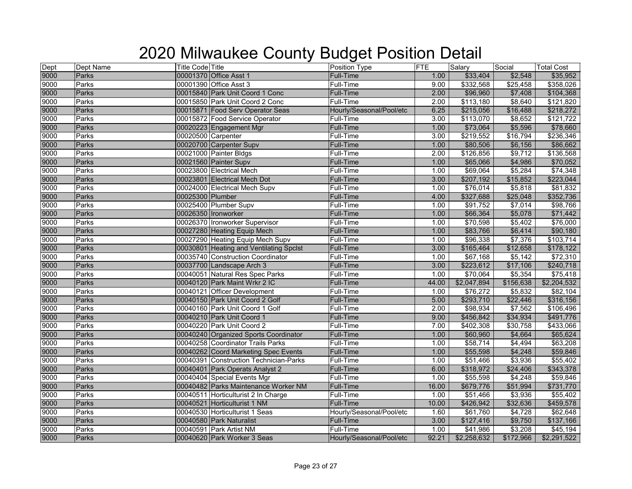| Dept<br>9000 | Dept Name | <b>Title Code Title</b>         |                                         | <b>Position Type</b>     | <b>FTE</b> | Salary      | Social    | <b>Total Cost</b> |
|--------------|-----------|---------------------------------|-----------------------------------------|--------------------------|------------|-------------|-----------|-------------------|
|              | Parks     | 00001370 Office Asst 1          |                                         | Full-Time                | 1.00       | \$33,404    | \$2,548   | \$35,952          |
| 9000         | Parks     | 00001390 Office Asst 3          |                                         | Full-Time                | 9.00       | \$332,568   | \$25,458  | \$358,026         |
|              | Parks     |                                 | 00015840 Park Unit Coord 1 Conc         | <b>Full-Time</b>         | 2.00       | \$96,960    | \$7,408   | \$104,368         |
| 9000<br>9000 | Parks     |                                 | 00015850 Park Unit Coord 2 Conc         | Full-Time                | 2.00       | \$113,180   | \$8,640   | \$121,820         |
| 9000         | Parks     |                                 | 00015871 Food Serv Operator Seas        | Hourly/Seasonal/Pool/etc | 6.25       | \$215,056   | \$16,488  | \$218,272         |
| 9000         | Parks     | 00015872 Food Service Operator  |                                         | Full-Time                | 3.00       | \$113,070   | \$8,652   | \$121,722         |
| 9000         | Parks     | 00020223 Engagement Mgr         |                                         | <b>Full-Time</b>         | 1.00       | \$73,064    | \$5,596   | \$78,660          |
| 9000         | Parks     | 00020500 Carpenter              |                                         | Full-Time                | 3.00       | \$219,552   | \$16,794  | \$236,346         |
| 9000         | Parks     | 00020700 Carpenter Supv         |                                         | <b>Full-Time</b>         | 1.00       | \$80,506    | \$6,156   | \$86,662          |
| 9000         | Parks     | 00021000 Painter Bldgs          |                                         | Full-Time                | 2.00       | \$126,856   | \$9,712   | \$136,568         |
| 9000         | Parks     | 00021560 Painter Supv           |                                         | <b>Full-Time</b>         | 1.00       | \$65,066    | \$4,986   | \$70,052          |
| 9000         | Parks     | 00023800 Electrical Mech        |                                         | Full-Time                | 1.00       | \$69,064    | \$5,284   | \$74,348          |
| 9000<br>9000 | Parks     | 00023801 Electrical Mech Dot    |                                         | <b>Full-Time</b>         | 3.00       | \$207,192   | \$15,852  | \$223,044         |
|              | Parks     | 00024000 Electrical Mech Supv   |                                         | Full-Time                | 1.00       | \$76,014    | \$5,818   | \$81,832          |
| 9000         | Parks     | 00025300 Plumber                |                                         | Full-Time                | 4.00       | \$327,688   | \$25,048  | \$352,736         |
| 9000         | Parks     | 00025400 Plumber Supv           |                                         | Full-Time                | 1.00       | \$91,752    | \$7,014   | \$98,766          |
| 9000         | Parks     | 00026350 Ironworker             |                                         | <b>Full-Time</b>         | 1.00       | \$66,364    | \$5,078   | \$71,442          |
| 9000         | Parks     | 00026370 Ironworker Supervisor  |                                         | Full-Time                | 1.00       | \$70,598    | \$5,402   | \$76,000          |
| 9000         | Parks     | 00027280 Heating Equip Mech     |                                         | Full-Time                | 1.00       | \$83,766    | \$6,414   | \$90,180          |
| 9000         | Parks     |                                 | 00027290 Heating Equip Mech Supv        | Full-Time                | 1.00       | \$96,338    | \$7,376   | \$103,714         |
| 9000         | Parks     |                                 | 00030801 Heating and Ventilating Spclst | Full-Time                | 3.00       | \$165,464   | \$12,658  | \$178,122         |
| 9000         | Parks     |                                 | 00035740 Construction Coordinator       | Full-Time                | 1.00       | \$67,168    | \$5,142   | \$72,310          |
| 9000         | Parks     | 00037700 Landscape Arch 3       |                                         | <b>Full-Time</b>         | 3.00       | \$223,612   | \$17,106  | \$240,718         |
| 9000         | Parks     |                                 | 00040051 Natural Res Spec Parks         | Full-Time                | 1.00       | \$70,064    | \$5,354   | \$75,418          |
| 9000         | Parks     | 00040120 Park Maint Wrkr 2 IC   |                                         | <b>Full-Time</b>         | 44.00      | \$2,047,894 | \$156,638 | \$2,204,532       |
| 9000         | Parks     | 00040121 Officer Development    |                                         | Full-Time                | 1.00       | \$76,272    | \$5,832   | \$82,104          |
| 9000         | Parks     | 00040150 Park Unit Coord 2 Golf |                                         | Full-Time                | 5.00       | \$293,710   | \$22,446  | \$316,156         |
| 9000         | Parks     | 00040160 Park Unit Coord 1 Golf |                                         | Full-Time                | 2.00       | \$98,934    | \$7,562   | \$106,496         |
| 9000<br>9000 | Parks     | 00040210 Park Unit Coord 1      |                                         | <b>Full-Time</b>         | 9.00       | \$456,842   | \$34,934  | \$491,776         |
|              | Parks     | 00040220 Park Unit Coord 2      |                                         | Full-Time                | 7.00       | \$402,308   | \$30,758  | \$433,066         |
| 9000         | Parks     |                                 | 00040240 Organized Sports Coordinator   | Full-Time                | 1.00       | \$60,960    | \$4,664   | \$65,624          |
| 9000         | Parks     |                                 | 00040258 Coordinator Trails Parks       | Full-Time                | 1.00       | \$58,714    | \$4,494   | \$63,208          |
| 9000         | Parks     |                                 | 00040262 Coord Marketing Spec Events    | <b>Full-Time</b>         | 1.00       | \$55,598    | \$4,248   | \$59,846          |
| 9000         | Parks     |                                 | 00040391 Construction Technician-Parks  | Full-Time                | 1.00       | \$51,466    | \$3,936   | \$55,402          |
| 9000         | Parks     |                                 | 00040401 Park Operats Analyst 2         | Full-Time                | 6.00       | \$318,972   | \$24,406  | \$343,378         |
| 9000         | Parks     | 00040404 Special Events Mgr     |                                         | Full-Time                | 1.00       | \$55,598    | \$4,248   | \$59,846          |
| 9000         | Parks     |                                 | 00040482 Parks Maintenance Worker NM    | Full-Time                | 16.00      | \$679,776   | \$51,994  | \$731,770         |
| 9000         | Parks     |                                 | 00040511 Horticulturist 2 In Charge     | Full-Time                | 1.00       | \$51,466    | \$3,936   | \$55,402          |
| 9000         | Parks     | 00040521 Horticulturist 1 NM    |                                         | Full-Time                | 10.00      | \$426,942   | \$32,636  | \$459,578         |
| 9000         | Parks     | 00040530 Horticulturist 1 Seas  |                                         | Hourly/Seasonal/Pool/etc | 1.60       | \$61,760    | \$4,728   | \$62,648          |
| 9000         | Parks     | 00040580 Park Naturalist        |                                         | Full-Time                | 3.00       | \$127,416   | \$9,750   | \$137,166         |
| 9000         | Parks     | 00040591 Park Artist NM         |                                         | Full-Time                | 1.00       | \$41,986    | \$3,208   | \$45,194          |
| 9000         | Parks     | 00040620 Park Worker 3 Seas     |                                         | Hourly/Seasonal/Pool/etc | 92.21      | \$2,258,632 | \$172,966 | \$2,291,522       |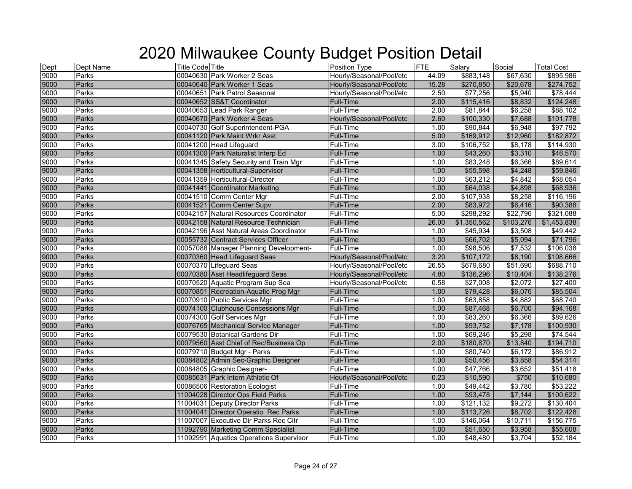| Dept<br>9000 | Dept Name    | <b>Title Code Title</b> |                                         | Position Type            | <b>FTE</b>        | Salary      | Social    | <b>Total Cost</b> |
|--------------|--------------|-------------------------|-----------------------------------------|--------------------------|-------------------|-------------|-----------|-------------------|
|              | Parks        |                         | 00040630 Park Worker 2 Seas             | Hourly/Seasonal/Pool/etc | 44.09             | \$883,148   | \$67,630  | \$895,986         |
| 9000         | Parks        |                         | 00040640 Park Worker 1 Seas             | Hourly/Seasonal/Pool/etc | 15.28             | \$270,850   | \$20,678  | \$274,752         |
| 9000         | Parks        |                         | 00040651 Park Patrol Seasonal           | Hourly/Seasonal/Pool/etc | 2.50              | \$77,256    | \$5,940   | \$78,444          |
| 9000         | <b>Parks</b> |                         | 00040652 SS&T Coordinator               | Full-Time                | 2.00              | \$115,416   | \$8,832   | \$124,248         |
| 9000         | Parks        |                         | 00040653 Lead Park Ranger               | Full-Time                | 2.00              | \$81,844    | \$6,258   | \$88,102          |
| 9000         | Parks        |                         | 00040670 Park Worker 4 Seas             | Hourly/Seasonal/Pool/etc | 2.60              | \$100,330   | \$7,688   | \$101,778         |
| 9000         | Parks        |                         | 00040730 Golf Superintendent-PGA        | Full-Time                | 1.00              | \$90,844    | \$6,948   | \$97,792          |
| 9000         | Parks        |                         | 00041120 Park Maint Wrkr Asst           | Full-Time                | 5.00              | \$169,912   | \$12,960  | \$182,872         |
| 9000         | Parks        |                         | 00041200 Head Lifeguard                 | Full-Time                | $\overline{3.00}$ | \$106,752   | \$8,178   | \$114,930         |
| 9000<br>9000 | Parks        |                         | 00041300 Park Naturalist Interp Ed      | <b>Full-Time</b>         | 1.00              | \$43,260    | \$3,310   | \$46,570          |
|              | Parks        |                         | 00041345 Safety Security and Train Mgr  | Full-Time                | 1.00              | \$83,248    | \$6,366   | \$89,614          |
| 9000         | <b>Parks</b> |                         | 00041358 Horticultural-Supervisor       | <b>Full-Time</b>         | 1.00              | \$55,598    | \$4,248   | \$59,846          |
|              | Parks        |                         | 00041359 Horticultural-Director         | Full-Time                | 1.00              | \$63,212    | \$4,842   | \$68,054          |
| 9000<br>9000 | Parks        |                         | 00041441 Coordinator Marketing          | <b>Full-Time</b>         | 1.00              | \$64,038    | \$4,898   | \$68,936          |
| 9000         | Parks        |                         | 00041510 Comm Center Mgr                | Full-Time                | 2.00              | \$107,938   | \$8,258   | \$116,196         |
| 9000<br>9000 | Parks        |                         | 00041521 Comm Center Supv               | <b>Full-Time</b>         | 2.00              | \$83,972    | \$6,416   | \$90,388          |
|              | Parks        |                         | 00042157 Natural Resources Coordinator  | Full-Time                | 5.00              | \$298,292   | \$22,796  | \$321,088         |
| 9000         | Parks        |                         | 00042158 Natural Resource Technician    | Full-Time                | 26.00             | \$1,350,562 | \$103,276 | \$1,453,838       |
| 9000         | Parks        |                         | 00042196 Asst Natural Areas Coordinator | Full-Time                | 1.00              | \$45,934    | \$3,508   | \$49,442          |
| 9000         | Parks        |                         | 00055732 Contract Services Officer      | <b>Full-Time</b>         | 1.00              | \$66,702    | \$5,094   | \$71,796          |
| 9000         | Parks        |                         | 00057088 Manager Planning Development-  | Full-Time                | 1.00              | \$98,506    | \$7,532   | \$106,038         |
| 9000         | <b>Parks</b> |                         | 00070360 Head Lifeguard Seas            | Hourly/Seasonal/Pool/etc | 3.20              | \$107,172   | \$8,190   | \$108,666         |
| 9000         | Parks        |                         | 00070370 Lifeguard Seas                 | Hourly/Seasonal/Pool/etc | 26.55             | \$679,680   | \$51,690  | \$688,710         |
| 9000         | Parks        |                         | 00070380 Asst Headlifeguard Seas        | Hourly/Seasonal/Pool/etc | 4.80              | \$136,296   | \$10,404  | \$138,276         |
| 9000         | Parks        |                         | 00070520 Aquatic Program Sup Sea        | Hourly/Seasonal/Pool/etc | 0.58              | \$27,008    | \$2,072   | \$27,400          |
| 9000         | Parks        |                         | 00070851 Recreation-Aquatic Prog Mgr    | <b>Full-Time</b>         | 1.00              | \$79,428    | \$6,076   | \$85,504          |
| 9000         | Parks        |                         | 00070910 Public Services Mgr            | Full-Time                | 1.00              | \$63,858    | \$4,882   | \$68,740          |
| 9000         | Parks        |                         | 00074100 Clubhouse Concessions Mgr      | <b>Full-Time</b>         | 1.00              | \$87,468    | \$6,700   | \$94,168          |
| 9000         | Parks        |                         | 00074300 Golf Services Mgr              | Full-Time                | 1.00              | \$83,260    | \$6,366   | \$89,626          |
| 9000         | Parks        |                         | 00076765 Mechanical Service Manager     | <b>Full-Time</b>         | 1.00              | \$93,752    | \$7,178   | \$100,930         |
| 9000         | Parks        |                         | 00079530 Botanical Gardens Dir          | Full-Time                | 1.00              | \$69,246    | \$5,298   | \$74,544          |
| 9000         | Parks        |                         | 00079560 Asst Chief of Rec/Business Op  | Full-Time                | 2.00              | \$180,870   | \$13,840  | \$194,710         |
| 9000         | Parks        |                         | 00079710 Budget Mgr - Parks             | Full-Time                | 1.00              | \$80,740    | \$6,172   | \$86,912          |
| 9000         | Parks        |                         | 00084802 Admin Sec-Graphic Designer     | <b>Full-Time</b>         | 1.00              | \$50,456    | \$3,858   | \$54,314          |
| 9000<br>9000 | Parks        |                         | 00084805 Graphic Designer-              | Full-Time                | 1.00              | \$47,766    | \$3,652   | \$51,418          |
|              | Parks        |                         | 00085631 Park Intern Athletic Of        | Hourly/Seasonal/Pool/etc | 0.23              | \$10,590    | \$750     | \$10,680          |
| 9000         | Parks        |                         | 00086506 Restoration Ecologist          | Full-Time                | 1.00              | \$49,442    | \$3,780   | \$53,222          |
|              | Parks        |                         | 11004028 Director Ops Field Parks       | <b>Full-Time</b>         | 1.00              | \$93,478    | \$7,144   | \$100,622         |
| 9000<br>9000 | Parks        |                         | 11004031 Deputy Director Parks          | Full-Time                | 1.00              | \$121,132   | \$9,272   | \$130,404         |
| 9000         | Parks        |                         | 11004041 Director Operatio Rec Parks    | Full-Time                | 1.00              | \$113,726   | \$8,702   | \$122,428         |
| 9000         | Parks        |                         | 11007007 Executive Dir Parks Rec Cltr   | Full-Time                | 1.00              | \$146,064   | \$10,711  | \$156,775         |
| 9000         | Parks        |                         | 11092790 Marketing Comm Specialist      | <b>Full-Time</b>         | 1.00              | \$51,650    | \$3,958   | \$55,608          |
| 9000         | Parks        |                         | 11092991 Aquatics Operations Supervisor | Full-Time                | 1.00              | \$48,480    | \$3,704   | \$52,184          |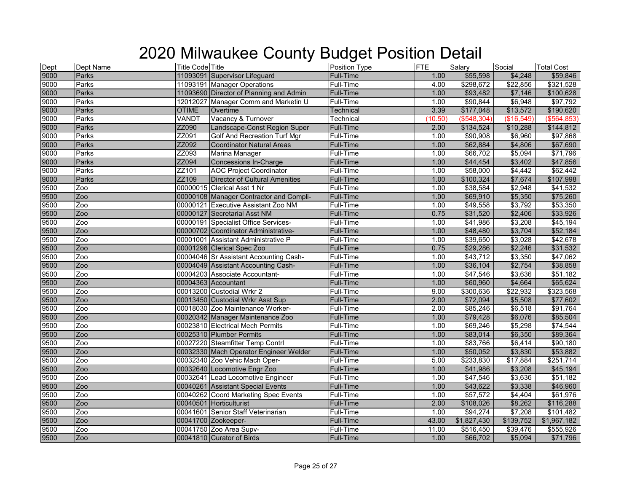| Dept | Dept Name    | <b>Title Code Title</b> |                                         | Position Type    | <b>FTE</b> | Salary      | Social     | <b>Total Cost</b> |
|------|--------------|-------------------------|-----------------------------------------|------------------|------------|-------------|------------|-------------------|
| 9000 | Parks        |                         | 11093091 Supervisor Lifeguard           | Full-Time        | 1.00       | \$55,598    | \$4,248    | \$59,846          |
| 9000 | Parks        |                         | 11093191 Manager Operations             | Full-Time        | 4.00       | \$298,672   | \$22,856   | \$321,528         |
| 9000 | Parks        |                         | 11093690 Director of Planning and Admin | <b>Full-Time</b> | 1.00       | \$93,482    | \$7,146    | \$100,628         |
| 9000 | Parks        |                         | 12012027 Manager Comm and Marketin U    | Full-Time        | 1.00       | \$90,844    | \$6,948    | \$97,792          |
| 9000 | Parks        | <b>OTIME</b>            | Overtime                                | <b>Technical</b> | 3.39       | \$177,048   | \$13,572   | \$190,620         |
| 9000 | <b>Parks</b> | VANDT                   | Vacancy & Turnover                      | Technical        | (10.50)    | (\$548,304) | (\$16,549) | (\$564, 853)      |
| 9000 | Parks        | ZZ090                   | Landscape-Const Region Super            | <b>Full-Time</b> | 2.00       | \$134,524   | \$10,288   | \$144,812         |
| 9000 | Parks        | ZZ091                   | <b>Golf And Recreation Turf Mgr</b>     | Full-Time        | 1.00       | \$90,908    | \$6,960    | \$97,868          |
| 9000 | Parks        | ZZ092                   | <b>Coordinator Natural Areas</b>        | Full-Time        | 1.00       | \$62,884    | \$4,806    | \$67,690          |
| 9000 | Parks        | ZZ093                   | Marina Manager                          | Full-Time        | 1.00       | \$66,702    | \$5,094    | \$71,796          |
| 9000 | Parks        | ZZ094                   | <b>Concessions In-Charge</b>            | Full-Time        | 1.00       | \$44,454    | \$3,402    | \$47,856          |
| 9000 | Parks        | ZZ101                   | <b>AOC Project Coordinator</b>          | Full-Time        | 1.00       | \$58,000    | \$4,442    | \$62,442          |
| 9000 | Parks        | ZZ109                   | <b>Director of Cultural Amenities</b>   | Full-Time        | 1.00       | \$100,324   | \$7,674    | \$107,998         |
| 9500 | Zoo          |                         | 00000015 Clerical Asst 1 Nr             | Full-Time        | 1.00       | \$38,584    | \$2,948    | \$41,532          |
| 9500 | Zoo          |                         | 00000108 Manager Contractor and Compli- | Full-Time        | 1.00       | \$69,910    | \$5,350    | \$75,260          |
| 9500 | Zoo          |                         | 00000121 Executive Assistant Zoo NM     | Full-Time        | 1.00       | \$49,558    | \$3,792    | \$53,350          |
| 9500 | Zoo          |                         | 00000127 Secretarial Asst NM            | <b>Full-Time</b> | 0.75       | \$31,520    | \$2,406    | \$33,926          |
| 9500 | Zoo          |                         | 00000191 Specialist Office Services-    | Full-Time        | 1.00       | \$41,986    | \$3,208    | \$45,194          |
| 9500 | Zoo          |                         | 00000702 Coordinator Administrative-    | <b>Full-Time</b> | 1.00       | \$48,480    | \$3,704    | \$52,184          |
| 9500 | Zoo          |                         | 00001001 Assistant Administrative P     | Full-Time        | 1.00       | \$39,650    | \$3,028    | \$42,678          |
| 9500 | Zoo          |                         | 00001298 Clerical Spec Zoo              | Full-Time        | 0.75       | \$29,286    | \$2,246    | \$31,532          |
| 9500 | Zoo          |                         | 00004046 Sr Assistant Accounting Cash-  | Full-Time        | 1.00       | \$43,712    | \$3,350    | \$47,062          |
| 9500 | Zoo          |                         | 00004049 Assistant Accounting Cash-     | <b>Full-Time</b> | 1.00       | \$36,104    | \$2,754    | \$38,858          |
| 9500 | Zoo          |                         | 00004203 Associate Accountant-          | Full-Time        | 1.00       | \$47,546    | \$3,636    | \$51,182          |
| 9500 | Zoo          |                         | 00004363 Accountant                     | Full-Time        | 1.00       | \$60,960    | \$4,664    | \$65,624          |
| 9500 | Zoo          |                         | 00013200 Custodial Wrkr 2               | Full-Time        | 9.00       | \$300,636   | \$22,932   | \$323,568         |
| 9500 | Zoo          |                         | 00013450 Custodial Wrkr Asst Sup        | Full-Time        | 2.00       | \$72,094    | \$5,508    | \$77,602          |
| 9500 | Zoo          |                         | 00018030 Zoo Maintenance Worker-        | Full-Time        | 2.00       | \$85,246    | \$6,518    | \$91,764          |
| 9500 | Zoo          |                         | 00020342 Manager Maintenance Zoo        | Full-Time        | 1.00       | \$79,428    | \$6,076    | \$85,504          |
| 9500 | Zoo          |                         | 00023810 Electrical Mech Permits        | Full-Time        | 1.00       | \$69,246    | \$5,298    | \$74,544          |
| 9500 | Zoo          |                         | 00025310 Plumber Permits                | <b>Full-Time</b> | 1.00       | \$83,014    | \$6,350    | \$89,364          |
| 9500 | Zoo          |                         | 00027220 Steamfitter Temp Contrl        | Full-Time        | 1.00       | \$83,766    | \$6,414    | \$90,180          |
| 9500 | Zoo          |                         | 00032330 Mach Operator Engineer Welder  | Full-Time        | 1.00       | \$50,052    | \$3,830    | \$53,882          |
| 9500 | Zoo          |                         | 00032340 Zoo Vehic Mach Oper-           | Full-Time        | 5.00       | \$233,830   | \$17,884   | \$251,714         |
| 9500 | Zoo          |                         | 00032640 Locomotive Engr Zoo            | Full-Time        | 1.00       | \$41,986    | \$3,208    | \$45,194          |
| 9500 | Zoo          |                         | 00032641 Lead Locomotive Engineer       | Full-Time        | 1.00       | \$47,546    | \$3,636    | \$51,182          |
| 9500 | Zoo          |                         | 00040261 Assistant Special Events       | Full-Time        | 1.00       | \$43,622    | \$3,338    | \$46,960          |
| 9500 | Zoo          |                         | 00040262 Coord Marketing Spec Events    | Full-Time        | 1.00       | \$57,572    | \$4,404    | \$61,976          |
| 9500 | Zoo          |                         | 00040501 Horticulturist                 | Full-Time        | 2.00       | \$108,026   | \$8,262    | \$116,288         |
| 9500 | Zoo          |                         | 00041601 Senior Staff Veterinarian      | Full-Time        | 1.00       | \$94,274    | \$7,208    | \$101,482         |
| 9500 | Zoo          |                         | 00041700 Zookeeper-                     | <b>Full-Time</b> | 43.00      | \$1,827,430 | \$139,752  | \$1,967,182       |
| 9500 | Zoo          |                         | 00041750 Zoo Area Supv-                 | Full-Time        | 11.00      | \$516,450   | \$39,476   | \$555,926         |
| 9500 | Zoo          |                         | 00041810 Curator of Birds               | Full-Time        | 1.00       | \$66,702    | \$5,094    | \$71,796          |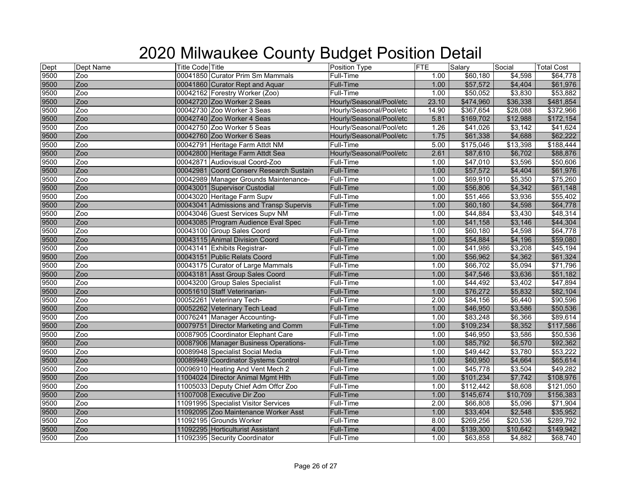| Dept<br>9500 | Dept Name | <b>Title Code Title</b> |                                         | <b>Position Type</b>     | <b>FTE</b> | Salary    | Social   | <b>Total Cost</b> |
|--------------|-----------|-------------------------|-----------------------------------------|--------------------------|------------|-----------|----------|-------------------|
|              | Zoo       |                         | 00041850 Curator Prim Sm Mammals        | Full-Time                | 1.00       | \$60,180  | \$4,598  | \$64,778          |
| 9500         | Zoo       |                         | 00041860 Curator Rept and Aquar         | <b>Full-Time</b>         | 1.00       | \$57,572  | \$4,404  | \$61,976          |
| 9500<br>9500 | Zoo       |                         | 00042162 Forestry Worker (Zoo)          | Full-Time                | 1.00       | \$50,052  | \$3,830  | \$53,882          |
|              | Zoo       |                         | 00042720 Zoo Worker 2 Seas              | Hourly/Seasonal/Pool/etc | 23.10      | \$474,960 | \$36,338 | \$481,854         |
| 9500         | Zoo       |                         | 00042730 Zoo Worker 3 Seas              | Hourly/Seasonal/Pool/etc | 14.90      | \$367,654 | \$28,088 | \$372,966         |
| 9500         | Zoo       |                         | 00042740 Zoo Worker 4 Seas              | Hourly/Seasonal/Pool/etc | 5.81       | \$169,702 | \$12,988 | \$172,154         |
| 9500         | Zoo       |                         | 00042750 Zoo Worker 5 Seas              | Hourly/Seasonal/Pool/etc | 1.26       | \$41,026  | \$3,142  | \$41,624          |
| 9500         | Zoo       |                         | 00042760 Zoo Worker 6 Seas              | Hourly/Seasonal/Pool/etc | 1.75       | \$61,338  | \$4,688  | \$62,222          |
| 9500         | Zoo       |                         | 00042791 Heritage Farm Attdt NM         | Full-Time                | 5.00       | \$175,046 | \$13,398 | \$188,444         |
| 9500         | Zoo       |                         | 00042800 Heritage Farm Attdt Sea        | Hourly/Seasonal/Pool/etc | 2.61       | \$87,610  | \$6,702  | \$88,876          |
| 9500         | Zoo       |                         | 00042871 Audiovisual Coord-Zoo          | Full-Time                | 1.00       | \$47,010  | \$3,596  | \$50,606          |
| 9500         | Zoo       |                         | 00042981 Coord Conserv Research Sustain | <b>Full-Time</b>         | 1.00       | \$57,572  | \$4,404  | \$61,976          |
| 9500         | Zoo       |                         | 00042989 Manager Grounds Maintenance-   | Full-Time                | 1.00       | \$69,910  | \$5,350  | \$75,260          |
| 9500         | Zoo       |                         | 00043001 Supervisor Custodial           | <b>Full-Time</b>         | 1.00       | \$56,806  | \$4,342  | \$61,148          |
| 9500         | Zoo       |                         | 00043020 Heritage Farm Supv             | Full-Time                | 1.00       | \$51,466  | \$3,936  | \$55,402          |
| 9500<br>9500 | Zoo       |                         | 00043041 Admissions and Transp Supervis | <b>Full-Time</b>         | 1.00       | \$60,180  | \$4,598  | \$64,778          |
|              | Zoo       |                         | 00043046 Guest Services Supv NM         | Full-Time                | 1.00       | \$44,884  | \$3,430  | \$48,314          |
| 9500         | Zoo       |                         | 00043085 Program Audience Eval Spec     | Full-Time                | 1.00       | \$41,158  | \$3,146  | \$44,304          |
| 9500<br>9500 | Zoo       |                         | 00043100 Group Sales Coord              | Full-Time                | 1.00       | \$60,180  | \$4,598  | \$64,778          |
|              | Zoo       |                         | 00043115 Animal Division Coord          | <b>Full-Time</b>         | 1.00       | \$54,884  | \$4,196  | \$59,080          |
| 9500         | Zoo       |                         | 00043141 Exhibits Registrar-            | Full-Time                | 1.00       | \$41,986  | \$3,208  | \$45,194          |
| 9500<br>9500 | Zoo       |                         | 00043151 Public Relats Coord            | <b>Full-Time</b>         | 1.00       | \$56,962  | \$4,362  | \$61,324          |
|              | Zoo       |                         | 00043175 Curator of Large Mammals       | Full-Time                | 1.00       | \$66,702  | \$5,094  | \$71,796          |
| 9500         | Zoo       |                         | 00043181 Asst Group Sales Coord         | Full-Time                | 1.00       | \$47,546  | \$3,636  | \$51,182          |
| 9500         | Zoo       |                         | 00043200 Group Sales Specialist         | Full-Time                | 1.00       | \$44,492  | \$3,402  | \$47,894          |
| 9500         | Zoo       |                         | 00051610 Staff Veterinarian-            | <b>Full-Time</b>         | 1.00       | \$76,272  | \$5,832  | \$82,104          |
| 9500         | Zoo       |                         | 00052261 Veterinary Tech-               | Full-Time                | 2.00       | \$84,156  | \$6,440  | \$90,596          |
| 9500         | Zoo       |                         | 00052262 Veterinary Tech Lead           | Full-Time                | 1.00       | \$46,950  | \$3,586  | \$50,536          |
| 9500         | Zoo       |                         | 00076241 Manager Accounting-            | Full-Time                | 1.00       | \$83,248  | \$6,366  | \$89,614          |
| 9500         | Zoo       |                         | 00079751 Director Marketing and Comm    | Full-Time                | 1.00       | \$109,234 | \$8,352  | \$117,586         |
| 9500         | Zoo       |                         | 00087905 Coordinator Elephant Care      | Full-Time                | 1.00       | \$46,950  | \$3,586  | \$50,536          |
| 9500         | Zoo       |                         | 00087906 Manager Business Operations-   | Full-Time                | 1.00       | \$85,792  | \$6,570  | \$92,362          |
| 9500         | Zoo       |                         | 00089948 Specialist Social Media        | Full-Time                | 1.00       | \$49,442  | \$3,780  | \$53,222          |
| 9500         | Zoo       |                         | 00089949 Coordinator Systems Control    | <b>Full-Time</b>         | 1.00       | \$60,950  | \$4,664  | \$65,614          |
| 9500         | Zoo       |                         | 00096910 Heating And Vent Mech 2        | Full-Time                | 1.00       | \$45,778  | \$3,504  | \$49,282          |
| 9500         | Zoo       |                         | 11004024 Director Animal Mgmt Hlth      | <b>Full-Time</b>         | 1.00       | \$101,234 | \$7,742  | \$108,976         |
| 9500         | Zoo       |                         | 11005033 Deputy Chief Adm Offcr Zoo     | Full-Time                | 1.00       | \$112,442 | \$8,608  | \$121,050         |
| 9500<br>9500 | Zoo       |                         | 11007008 Executive Dir Zoo              | Full-Time                | 1.00       | \$145,674 | \$10,709 | \$156,383         |
|              | Zoo       |                         | 11091995 Specialist Visitor Services    | Full-Time                | 2.00       | \$66,808  | \$5,096  | \$71,904          |
| 9500         | Zoo       |                         | 11092095 Zoo Maintenance Worker Asst    | Full-Time                | 1.00       | \$33,404  | \$2,548  | \$35,952          |
| 9500         | Zoo       |                         | 11092195 Grounds Worker                 | Full-Time                | 8.00       | \$269,256 | \$20,536 | \$289,792         |
| 9500         | Zoo       |                         | 11092295 Horticulturist Assistant       | <b>Full-Time</b>         | 4.00       | \$139,300 | \$10,642 | \$149,942         |
| 9500         | Zoo       |                         | 11092395 Security Coordinator           | Full-Time                | 1.00       | \$63,858  | \$4,882  | \$68,740          |